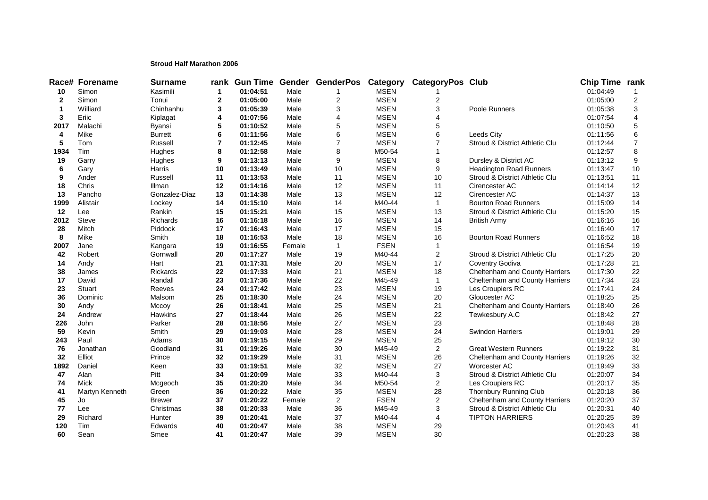## **Stroud Half Marathon 2006**

|              | Race# Forename | <b>Surname</b>  |                          |          |        | rank Gun Time Gender GenderPos Category |             | <b>CategoryPos Club</b> |                                | Chip Time rank |                |
|--------------|----------------|-----------------|--------------------------|----------|--------|-----------------------------------------|-------------|-------------------------|--------------------------------|----------------|----------------|
| 10           | Simon          | Kasimili        | $\mathbf{1}$             | 01:04:51 | Male   |                                         | <b>MSEN</b> |                         |                                | 01:04:49       | $\mathbf{1}$   |
| $\mathbf{2}$ | Simon          | Tonui           | $\mathbf{2}$             | 01:05:00 | Male   | $\overline{c}$                          | <b>MSEN</b> | 2                       |                                | 01:05:00       | $\overline{c}$ |
| 1            | Williard       | Chinhanhu       | 3                        | 01:05:39 | Male   | 3                                       | <b>MSEN</b> | 3                       | Poole Runners                  | 01:05:38       | 3              |
| 3            | Eriic          | Kiplagat        | 4                        | 01:07:56 | Male   | 4                                       | <b>MSEN</b> | 4                       |                                | 01:07:54       | 4              |
| 2017         | Malachi        | <b>Byansi</b>   | 5                        | 01:10:52 | Male   | 5                                       | <b>MSEN</b> | 5                       |                                | 01:10:50       | 5              |
| 4            | Mike           | <b>Burrett</b>  | 6                        | 01:11:56 | Male   | 6                                       | <b>MSEN</b> | 6                       | Leeds City                     | 01:11:56       | 6              |
| 5            | Tom            | Russell         | $\overline{\phantom{a}}$ | 01:12:45 | Male   | $\overline{7}$                          | <b>MSEN</b> | $\overline{7}$          | Stroud & District Athletic Clu | 01:12:44       | $\overline{7}$ |
| 1934         | Tim            | Hughes          | 8                        | 01:12:58 | Male   | 8                                       | M50-54      |                         |                                | 01:12:57       | 8              |
| 19           | Garry          | Hughes          | 9                        | 01:13:13 | Male   | $\boldsymbol{9}$                        | <b>MSEN</b> | 8                       | Dursley & District AC          | 01:13:12       | 9              |
| 6            | Gary           | Harris          | 10                       | 01:13:49 | Male   | 10                                      | <b>MSEN</b> | 9                       | <b>Headington Road Runners</b> | 01:13:47       | 10             |
| 9            | Ander          | Russell         | 11                       | 01:13:53 | Male   | 11                                      | <b>MSEN</b> | 10                      | Stroud & District Athletic Clu | 01:13:51       | 11             |
| 18           | Chris          | Illman          | 12                       | 01:14:16 | Male   | 12                                      | <b>MSEN</b> | 11                      | Cirencester AC                 | 01:14:14       | 12             |
| 13           | Pancho         | Gonzalez-Diaz   | 13                       | 01:14:38 | Male   | 13                                      | <b>MSEN</b> | 12                      | Cirencester AC                 | 01:14:37       | 13             |
| 1999         | Alistair       | Lockey          | 14                       | 01:15:10 | Male   | 14                                      | M40-44      | $\mathbf{1}$            | <b>Bourton Road Runners</b>    | 01:15:09       | 14             |
| 12           | Lee            | Rankin          | 15                       | 01:15:21 | Male   | 15                                      | <b>MSEN</b> | 13                      | Stroud & District Athletic Clu | 01:15:20       | 15             |
| 2012         | Steve          | <b>Richards</b> | 16                       | 01:16:18 | Male   | 16                                      | <b>MSEN</b> | 14                      | <b>British Army</b>            | 01:16:16       | 16             |
| 28           | Mitch          | Piddock         | 17                       | 01:16:43 | Male   | 17                                      | <b>MSEN</b> | 15                      |                                | 01:16:40       | 17             |
| 8            | Mike           | Smith           | 18                       | 01:16:53 | Male   | 18                                      | <b>MSEN</b> | 16                      | <b>Bourton Road Runners</b>    | 01:16:52       | 18             |
| 2007         | Jane           | Kangara         | 19                       | 01:16:55 | Female | $\mathbf{1}$                            | <b>FSEN</b> | $\mathbf{1}$            |                                | 01:16:54       | 19             |
| 42           | Robert         | Gornwall        | 20                       | 01:17:27 | Male   | 19                                      | M40-44      | $\overline{c}$          | Stroud & District Athletic Clu | 01:17:25       | 20             |
| 14           | Andy           | Hart            | 21                       | 01:17:31 | Male   | 20                                      | <b>MSEN</b> | 17                      | Coventry Godiva                | 01:17:28       | 21             |
| 38           | James          | Rickards        | 22                       | 01:17:33 | Male   | 21                                      | <b>MSEN</b> | 18                      | Cheltenham and County Harriers | 01:17:30       | 22             |
| 17           | David          | Randall         | 23                       | 01:17:36 | Male   | 22                                      | M45-49      | $\mathbf{1}$            | Cheltenham and County Harriers | 01:17:34       | 23             |
| 23           | <b>Stuart</b>  | Reeves          | 24                       | 01:17:42 | Male   | 23                                      | <b>MSEN</b> | 19                      | Les Croupiers RC               | 01:17:41       | 24             |
| 36           | Dominic        | Malsom          | 25                       | 01:18:30 | Male   | 24                                      | <b>MSEN</b> | 20                      | Gloucester AC                  | 01:18:25       | 25             |
| 30           | Andy           | Mccoy           | 26                       | 01:18:41 | Male   | 25                                      | <b>MSEN</b> | 21                      | Cheltenham and County Harriers | 01:18:40       | 26             |
| 24           | Andrew         | Hawkins         | 27                       | 01:18:44 | Male   | 26                                      | <b>MSEN</b> | 22                      | Tewkesbury A.C                 | 01:18:42       | 27             |
| 226          | John           | Parker          | 28                       | 01:18:56 | Male   | 27                                      | <b>MSEN</b> | 23                      |                                | 01:18:48       | 28             |
| 59           | Kevin          | Smith           | 29                       | 01:19:03 | Male   | 28                                      | <b>MSEN</b> | 24                      | <b>Swindon Harriers</b>        | 01:19:01       | 29             |
| 243          | Paul           | Adams           | 30                       | 01:19:15 | Male   | 29                                      | <b>MSEN</b> | 25                      |                                | 01:19:12       | 30             |
| 76           | Jonathan       | Goodland        | 31                       | 01:19:26 | Male   | 30                                      | M45-49      | $\overline{\mathbf{c}}$ | <b>Great Western Runners</b>   | 01:19:22       | 31             |
| 32           | Elliot         | Prince          | 32                       | 01:19:29 | Male   | 31                                      | <b>MSEN</b> | 26                      | Cheltenham and County Harriers | 01:19:26       | 32             |
| 1892         | Daniel         | Keen            | 33                       | 01:19:51 | Male   | 32                                      | <b>MSEN</b> | 27                      | Worcester AC                   | 01:19:49       | 33             |
| 47           | Alan           | Pitt            | 34                       | 01:20:09 | Male   | 33                                      | M40-44      | 3                       | Stroud & District Athletic Clu | 01:20:07       | 34             |
| 74           | Mick           | Mcgeoch         | 35                       | 01:20:20 | Male   | 34                                      | M50-54      | $\boldsymbol{2}$        | Les Croupiers RC               | 01:20:17       | 35             |
| 41           | Martyn Kenneth | Green           | 36                       | 01:20:22 | Male   | 35                                      | <b>MSEN</b> | 28                      | Thornbury Running Club         | 01:20:18       | 36             |
| 45           | Jo             | <b>Brewer</b>   | 37                       | 01:20:22 | Female | $\overline{c}$                          | <b>FSEN</b> | $\boldsymbol{2}$        | Cheltenham and County Harriers | 01:20:20       | 37             |
| 77           | Lee            | Christmas       | 38                       | 01:20:33 | Male   | 36                                      | M45-49      | 3                       | Stroud & District Athletic Clu | 01:20:31       | 40             |
| 29           | Richard        | Hunter          | 39                       | 01:20:41 | Male   | 37                                      | M40-44      | 4                       | <b>TIPTON HARRIERS</b>         | 01:20:25       | 39             |
| 120          | Tim            | Edwards         | 40                       | 01:20:47 | Male   | 38                                      | <b>MSEN</b> | 29                      |                                | 01:20:43       | 41             |
| 60           | Sean           | Smee            | 41                       | 01:20:47 | Male   | 39                                      | <b>MSEN</b> | 30                      |                                | 01:20:23       | 38             |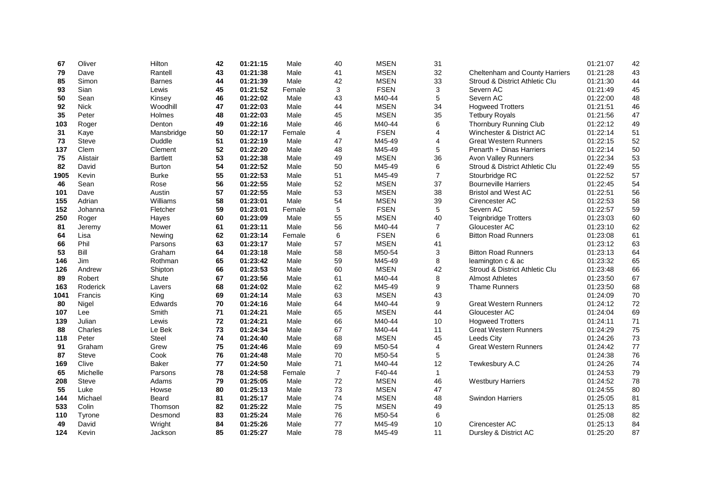| 67   | Oliver       | Hilton          | 42 | 01:21:15 | Male   | 40             | <b>MSEN</b> | 31                        |                                | 01:21:07 | 42   |
|------|--------------|-----------------|----|----------|--------|----------------|-------------|---------------------------|--------------------------------|----------|------|
| 79   | Dave         | Rantell         | 43 | 01:21:38 | Male   | 41             | <b>MSEN</b> | 32                        | Cheltenham and County Harriers | 01:21:28 | 43   |
| 85   | Simon        | <b>Barnes</b>   | 44 | 01:21:39 | Male   | 42             | <b>MSEN</b> | 33                        | Stroud & District Athletic Clu | 01:21:30 | 44   |
| 93   | Sian         | Lewis           | 45 | 01:21:52 | Female | 3              | <b>FSEN</b> | 3                         | Severn AC                      | 01:21:49 | 45   |
| 50   | Sean         | Kinsey          | 46 | 01:22:02 | Male   | 43             | M40-44      | 5                         | Severn AC                      | 01:22:00 | 48   |
| 92   | <b>Nick</b>  | Woodhill        | 47 | 01:22:03 | Male   | 44             | <b>MSEN</b> | 34                        | <b>Hogweed Trotters</b>        | 01:21:51 | 46   |
| 35   | Peter        | Holmes          | 48 | 01:22:03 | Male   | 45             | <b>MSEN</b> | 35                        | <b>Tetbury Royals</b>          | 01:21:56 | 47   |
| 103  | Roger        | Denton          | 49 | 01:22:16 | Male   | 46             | M40-44      | 6                         | Thornbury Running Club         | 01:22:12 | 49   |
| 31   | Kaye         | Mansbridge      | 50 | 01:22:17 | Female | 4              | <b>FSEN</b> | 4                         | Winchester & District AC       | 01:22:14 | 51   |
| 73   | <b>Steve</b> | Duddle          | 51 | 01:22:19 | Male   | 47             | M45-49      | 4                         | <b>Great Western Runners</b>   | 01:22:15 | 52   |
| 137  | Clem         | Clement         | 52 | 01:22:20 | Male   | 48             | M45-49      | 5                         | Penarth + Dinas Harriers       | 01:22:14 | 50   |
| 75   | Alistair     | <b>Bartlett</b> | 53 | 01:22:38 | Male   | 49             | <b>MSEN</b> | 36                        | <b>Avon Valley Runners</b>     | 01:22:34 | 53   |
| 82   | David        | <b>Burton</b>   | 54 | 01:22:52 | Male   | 50             | M45-49      | 6                         | Stroud & District Athletic Clu | 01:22:49 | 55   |
| 1905 | Kevin        | <b>Burke</b>    | 55 | 01:22:53 | Male   | 51             | M45-49      | $\overline{7}$            | Stourbridge RC                 | 01:22:52 | 57   |
| 46   | Sean         | Rose            | 56 | 01:22:55 | Male   | 52             | <b>MSEN</b> | 37                        | <b>Bourneville Harriers</b>    | 01:22:45 | 54   |
| 101  | Dave         | Austin          | 57 | 01:22:55 | Male   | 53             | <b>MSEN</b> | 38                        | <b>Bristol and West AC</b>     | 01:22:51 | 56   |
| 155  | Adrian       | Williams        | 58 | 01:23:01 | Male   | 54             | <b>MSEN</b> | 39                        | Cirencester AC                 | 01:22:53 | 58   |
| 152  | Johanna      | Fletcher        | 59 | 01:23:01 | Female | 5              | <b>FSEN</b> | 5                         | Severn AC                      | 01:22:57 | 59   |
| 250  | Roger        | Hayes           | 60 | 01:23:09 | Male   | 55             | <b>MSEN</b> | 40                        | Teignbridge Trotters           | 01:23:03 | 60   |
| 81   | Jeremy       | Mower           | 61 | 01:23:11 | Male   | 56             | M40-44      | $\overline{7}$            | Gloucester AC                  | 01:23:10 | 62   |
| 64   | Lisa         | Newing          | 62 | 01:23:14 | Female | 6              | <b>FSEN</b> | 6                         | <b>Bitton Road Runners</b>     | 01:23:08 | 61   |
| 66   | Phil         | Parsons         | 63 | 01:23:17 | Male   | 57             | <b>MSEN</b> | 41                        |                                | 01:23:12 | 63   |
| 53   | Bill         | Graham          | 64 | 01:23:18 | Male   | 58             | M50-54      | $\ensuremath{\mathsf{3}}$ | <b>Bitton Road Runners</b>     | 01:23:13 | 64   |
| 146  | Jim          | Rothman         | 65 | 01:23:42 | Male   | 59             | M45-49      | 8                         | leamington c & ac              | 01:23:32 | 65   |
| 126  | Andrew       | Shipton         | 66 | 01:23:53 | Male   | 60             | <b>MSEN</b> | 42                        | Stroud & District Athletic Clu | 01:23:48 | 66   |
| 89   | Robert       | Shute           | 67 | 01:23:56 | Male   | 61             | M40-44      | 8                         | <b>Almost Athletes</b>         | 01:23:50 | 67   |
| 163  | Roderick     | Lavers          | 68 | 01:24:02 | Male   | 62             | M45-49      | 9                         | <b>Thame Runners</b>           | 01:23:50 | 68   |
| 1041 | Francis      | King            | 69 | 01:24:14 | Male   | 63             | <b>MSEN</b> | 43                        |                                | 01:24:09 | 70   |
| 80   | Nigel        | Edwards         | 70 | 01:24:16 | Male   | 64             | M40-44      | 9                         | <b>Great Western Runners</b>   | 01:24:12 | 72   |
| 107  | Lee          | Smith           | 71 | 01:24:21 | Male   | 65             | <b>MSEN</b> | 44                        | Gloucester AC                  | 01:24:04 | 69   |
| 139  | Julian       | Lewis           | 72 | 01:24:21 | Male   | 66             | M40-44      | 10                        | <b>Hogweed Trotters</b>        | 01:24:11 | $71$ |
| 88   | Charles      | Le Bek          | 73 | 01:24:34 | Male   | 67             | M40-44      | 11                        | <b>Great Western Runners</b>   | 01:24:29 | 75   |
| 118  | Peter        | <b>Steel</b>    | 74 | 01:24:40 | Male   | 68             | <b>MSEN</b> | 45                        | Leeds City                     | 01:24:26 | 73   |
| 91   | Graham       | Grew            | 75 | 01:24:46 | Male   | 69             | M50-54      | 4                         | <b>Great Western Runners</b>   | 01:24:42 | 77   |
| 87   | <b>Steve</b> | Cook            | 76 | 01:24:48 | Male   | 70             | M50-54      | 5                         |                                | 01:24:38 | 76   |
| 169  | Clive        | <b>Baker</b>    | 77 | 01:24:50 | Male   | 71             | M40-44      | 12                        | Tewkesbury A.C                 | 01:24:26 | 74   |
| 65   | Michelle     | Parsons         | 78 | 01:24:58 | Female | $\overline{7}$ | F40-44      | $\mathbf{1}$              |                                | 01:24:53 | 79   |
| 208  | Steve        | Adams           | 79 | 01:25:05 | Male   | 72             | <b>MSEN</b> | 46                        | <b>Westbury Harriers</b>       | 01:24:52 | 78   |
| 55   | Luke         | Howse           | 80 | 01:25:13 | Male   | 73             | <b>MSEN</b> | 47                        |                                | 01:24:55 | 80   |
| 144  | Michael      | Beard           | 81 | 01:25:17 | Male   | 74             | <b>MSEN</b> | 48                        | <b>Swindon Harriers</b>        | 01:25:05 | 81   |
| 533  | Colin        | Thomson         | 82 | 01:25:22 | Male   | 75             | <b>MSEN</b> | 49                        |                                | 01:25:13 | 85   |
| 110  | Tyrone       | Desmond         | 83 | 01:25:24 | Male   | 76             | M50-54      | 6                         |                                | 01:25:08 | 82   |
| 49   | David        | Wright          | 84 | 01:25:26 | Male   | 77             | M45-49      | 10                        | Cirencester AC                 | 01:25:13 | 84   |
| 124  | Kevin        | Jackson         | 85 | 01:25:27 | Male   | 78             | M45-49      | 11                        | Dursley & District AC          | 01:25:20 | 87   |
|      |              |                 |    |          |        |                |             |                           |                                |          |      |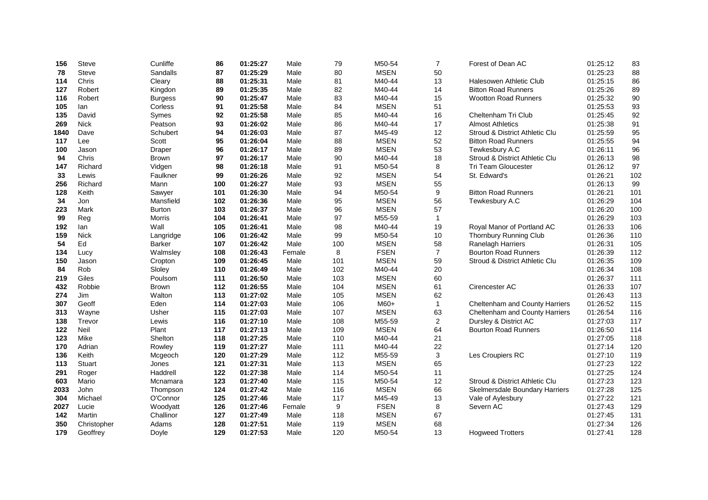| 78<br>114 | <b>Steve</b> | Sandalls       | 87  |          |        |     |             |                |                                       |          |     |
|-----------|--------------|----------------|-----|----------|--------|-----|-------------|----------------|---------------------------------------|----------|-----|
|           |              |                |     | 01:25:29 | Male   | 80  | <b>MSEN</b> | 50             |                                       | 01:25:23 | 88  |
|           | Chris        | Cleary         | 88  | 01:25:31 | Male   | 81  | M40-44      | 13             | Halesowen Athletic Club               | 01:25:15 | 86  |
| 127       | Robert       | Kingdon        | 89  | 01:25:35 | Male   | 82  | M40-44      | 14             | <b>Bitton Road Runners</b>            | 01:25:26 | 89  |
| 116       | Robert       | <b>Burgess</b> | 90  | 01:25:47 | Male   | 83  | M40-44      | 15             | <b>Wootton Road Runners</b>           | 01:25:32 | 90  |
| 105       | lan          | Corless        | 91  | 01:25:58 | Male   | 84  | <b>MSEN</b> | 51             |                                       | 01:25:53 | 93  |
| 135       | David        | Symes          | 92  | 01:25:58 | Male   | 85  | M40-44      | 16             | Cheltenham Tri Club                   | 01:25:45 | 92  |
| 269       | <b>Nick</b>  | Peatson        | 93  | 01:26:02 | Male   | 86  | M40-44      | 17             | <b>Almost Athletics</b>               | 01:25:38 | 91  |
| 1840      | Dave         | Schubert       | 94  | 01:26:03 | Male   | 87  | M45-49      | 12             | Stroud & District Athletic Clu        | 01:25:59 | 95  |
| 117       | Lee          | Scott          | 95  | 01:26:04 | Male   | 88  | <b>MSEN</b> | 52             | <b>Bitton Road Runners</b>            | 01:25:55 | 94  |
| 100       | Jason        | Draper         | 96  | 01:26:17 | Male   | 89  | <b>MSEN</b> | 53             | Tewkesbury A.C                        | 01:26:11 | 96  |
| 94        | Chris        | <b>Brown</b>   | 97  | 01:26:17 | Male   | 90  | M40-44      | 18             | Stroud & District Athletic Clu        | 01:26:13 | 98  |
| 147       | Richard      | Vidgen         | 98  | 01:26:18 | Male   | 91  | M50-54      | 8              | <b>Tri Team Gloucester</b>            | 01:26:12 | 97  |
| 33        | Lewis        | Faulkner       | 99  | 01:26:26 | Male   | 92  | <b>MSEN</b> | 54             | St. Edward's                          | 01:26:21 | 102 |
| 256       | Richard      | Mann           | 100 | 01:26:27 | Male   | 93  | <b>MSEN</b> | 55             |                                       | 01:26:13 | 99  |
| 128       | Keith        | Sawyer         | 101 | 01:26:30 | Male   | 94  | M50-54      | 9              | <b>Bitton Road Runners</b>            | 01:26:21 | 101 |
| 34        | Jon          | Mansfield      | 102 | 01:26:36 | Male   | 95  | <b>MSEN</b> | 56             | Tewkesbury A.C                        | 01:26:29 | 104 |
| 223       | Mark         | <b>Burton</b>  | 103 | 01:26:37 | Male   | 96  | <b>MSEN</b> | 57             |                                       | 01:26:20 | 100 |
| 99        | Reg          | Morris         | 104 | 01:26:41 | Male   | 97  | M55-59      | $\mathbf{1}$   |                                       | 01:26:29 | 103 |
| 192       | lan          | Wall           | 105 | 01:26:41 | Male   | 98  | M40-44      | 19             | Royal Manor of Portland AC            | 01:26:33 | 106 |
| 159       | <b>Nick</b>  | Langridge      | 106 | 01:26:42 | Male   | 99  | M50-54      | 10             | Thornbury Running Club                | 01:26:36 | 110 |
| 54        | Ed           | <b>Barker</b>  | 107 | 01:26:42 | Male   | 100 | <b>MSEN</b> | 58             | Ranelagh Harriers                     | 01:26:31 | 105 |
| 134       | Lucy         | Walmsley       | 108 | 01:26:43 | Female | 8   | <b>FSEN</b> | $\overline{7}$ | <b>Bourton Road Runners</b>           | 01:26:39 | 112 |
| 150       | Jason        | Cropton        | 109 | 01:26:45 | Male   | 101 | <b>MSEN</b> | 59             | Stroud & District Athletic Clu        | 01:26:35 | 109 |
| 84        | Rob          | Sloley         | 110 | 01:26:49 | Male   | 102 | M40-44      | 20             |                                       | 01:26:34 | 108 |
| 219       | Giles        | Poulsom        | 111 | 01:26:50 | Male   | 103 | <b>MSEN</b> | 60             |                                       | 01:26:37 | 111 |
| 432       | Robbie       | <b>Brown</b>   | 112 | 01:26:55 | Male   | 104 | <b>MSEN</b> | 61             | Cirencester AC                        | 01:26:33 | 107 |
| 274       | Jim          | Walton         | 113 | 01:27:02 | Male   | 105 | <b>MSEN</b> | 62             |                                       | 01:26:43 | 113 |
| 307       | Geoff        | Eden           | 114 | 01:27:03 | Male   | 106 | $M60+$      | $\overline{1}$ | Cheltenham and County Harriers        | 01:26:52 | 115 |
| 313       | Wayne        | Usher          | 115 | 01:27:03 | Male   | 107 | <b>MSEN</b> | 63             | Cheltenham and County Harriers        | 01:26:54 | 116 |
| 138       | Trevor       | Lewis          | 116 | 01:27:10 | Male   | 108 | M55-59      | 2              | Dursley & District AC                 | 01:27:03 | 117 |
| 122       | Neil         | Plant          | 117 | 01:27:13 | Male   | 109 | <b>MSEN</b> | 64             | <b>Bourton Road Runners</b>           | 01:26:50 | 114 |
| 123       | Mike         | Shelton        | 118 | 01:27:25 | Male   | 110 | M40-44      | 21             |                                       | 01:27:05 | 118 |
| 170       | Adrian       | Rowley         | 119 | 01:27:27 | Male   | 111 | M40-44      | 22             |                                       | 01:27:14 | 120 |
| 136       | Keith        | Mcgeoch        | 120 | 01:27:29 | Male   | 112 | M55-59      | 3              | Les Croupiers RC                      | 01:27:10 | 119 |
| 113       | Stuart       | Jones          | 121 | 01:27:31 | Male   | 113 | <b>MSEN</b> | 65             |                                       | 01:27:23 | 122 |
| 291       | Roger        | Haddrell       | 122 | 01:27:38 | Male   | 114 | M50-54      | 11             |                                       | 01:27:25 | 124 |
| 603       | Mario        | Mcnamara       | 123 | 01:27:40 | Male   | 115 | M50-54      | 12             | Stroud & District Athletic Clu        | 01:27:23 | 123 |
| 2033      | John         | Thompson       | 124 | 01:27:42 | Male   | 116 | <b>MSEN</b> | 66             | <b>Skelmersdale Boundary Harriers</b> | 01:27:28 | 125 |
| 304       | Michael      | O'Connor       | 125 | 01:27:46 | Male   | 117 | M45-49      | 13             | Vale of Aylesbury                     | 01:27:22 | 121 |
| 2027      | Lucie        | Woodyatt       | 126 | 01:27:46 | Female | 9   | <b>FSEN</b> | 8              | Severn AC                             | 01:27:43 | 129 |
| 142       | Martin       | Challinor      | 127 | 01:27:49 | Male   | 118 | <b>MSEN</b> | 67             |                                       | 01:27:45 | 131 |
| 350       | Christopher  | Adams          | 128 | 01:27:51 | Male   | 119 | <b>MSEN</b> | 68             |                                       | 01:27:34 | 126 |
| 179       | Geoffrey     | Doyle          | 129 | 01:27:53 | Male   | 120 | M50-54      | 13             | <b>Hogweed Trotters</b>               | 01:27:41 | 128 |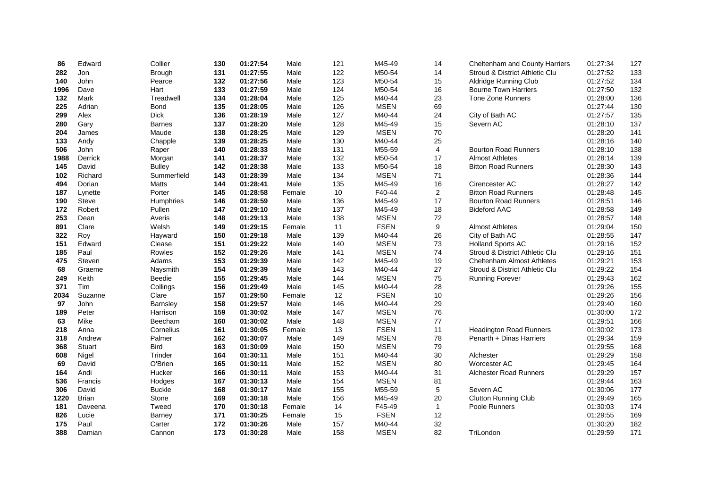| 86   | Edward       | Collier       | 130 | 01:27:54 | Male   | 121 | M45-49      | 14             | Cheltenham and County Harriers    | 01:27:34 | 127 |
|------|--------------|---------------|-----|----------|--------|-----|-------------|----------------|-----------------------------------|----------|-----|
| 282  | Jon          | <b>Brough</b> | 131 | 01:27:55 | Male   | 122 | M50-54      | 14             | Stroud & District Athletic Clu    | 01:27:52 | 133 |
| 140  | John         | Pearce        | 132 | 01:27:56 | Male   | 123 | M50-54      | 15             | Aldridge Running Club             | 01:27:52 | 134 |
| 1996 | Dave         | Hart          | 133 | 01:27:59 | Male   | 124 | M50-54      | 16             | <b>Bourne Town Harriers</b>       | 01:27:50 | 132 |
| 132  | Mark         | Treadwell     | 134 | 01:28:04 | Male   | 125 | M40-44      | 23             | Tone Zone Runners                 | 01:28:00 | 136 |
| 225  | Adrian       | Bond          | 135 | 01:28:05 | Male   | 126 | <b>MSEN</b> | 69             |                                   | 01:27:44 | 130 |
| 299  | Alex         | <b>Dick</b>   | 136 | 01:28:19 | Male   | 127 | M40-44      | 24             | City of Bath AC                   | 01:27:57 | 135 |
| 280  | Gary         | <b>Barnes</b> | 137 | 01:28:20 | Male   | 128 | M45-49      | 15             | Severn AC                         | 01:28:10 | 137 |
| 204  | James        | Maude         | 138 | 01:28:25 | Male   | 129 | <b>MSEN</b> | 70             |                                   | 01:28:20 | 141 |
| 133  | Andy         | Chapple       | 139 | 01:28:25 | Male   | 130 | M40-44      | 25             |                                   | 01:28:16 | 140 |
| 506  | John         | Raper         | 140 | 01:28:33 | Male   | 131 | M55-59      | $\overline{4}$ | <b>Bourton Road Runners</b>       | 01:28:10 | 138 |
| 1988 | Derrick      | Morgan        | 141 | 01:28:37 | Male   | 132 | M50-54      | 17             | <b>Almost Athletes</b>            | 01:28:14 | 139 |
| 145  | David        | <b>Bulley</b> | 142 | 01:28:38 | Male   | 133 | M50-54      | 18             | <b>Bitton Road Runners</b>        | 01:28:30 | 143 |
| 102  | Richard      | Summerfield   | 143 | 01:28:39 | Male   | 134 | <b>MSEN</b> | $71$           |                                   | 01:28:36 | 144 |
| 494  | Dorian       | Matts         | 144 | 01:28:41 | Male   | 135 | M45-49      | 16             | Cirencester AC                    | 01:28:27 | 142 |
| 187  | Lynette      | Porter        | 145 | 01:28:58 | Female | 10  | F40-44      | 2              | <b>Bitton Road Runners</b>        | 01:28:48 | 145 |
| 190  | Steve        | Humphries     | 146 | 01:28:59 | Male   | 136 | M45-49      | 17             | <b>Bourton Road Runners</b>       | 01:28:51 | 146 |
| 172  | Robert       | Pullen        | 147 | 01:29:10 | Male   | 137 | M45-49      | 18             | <b>Bideford AAC</b>               | 01:28:58 | 149 |
| 253  | Dean         | Averis        | 148 | 01:29:13 | Male   | 138 | <b>MSEN</b> | 72             |                                   | 01:28:57 | 148 |
| 891  | Clare        | Welsh         | 149 | 01:29:15 | Female | 11  | <b>FSEN</b> | 9              | <b>Almost Athletes</b>            | 01:29:04 | 150 |
| 322  | Roy          | Hayward       | 150 | 01:29:18 | Male   | 139 | M40-44      | 26             | City of Bath AC                   | 01:28:55 | 147 |
| 151  | Edward       | Clease        | 151 | 01:29:22 | Male   | 140 | <b>MSEN</b> | 73             | <b>Holland Sports AC</b>          | 01:29:16 | 152 |
| 185  | Paul         | Rowles        | 152 | 01:29:26 | Male   | 141 | <b>MSEN</b> | 74             | Stroud & District Athletic Clu    | 01:29:16 | 151 |
| 475  | Steven       | Adams         | 153 | 01:29:39 | Male   | 142 | M45-49      | 19             | <b>Cheltenham Almost Athletes</b> | 01:29:21 | 153 |
| 68   | Graeme       | Naysmith      | 154 | 01:29:39 | Male   | 143 | M40-44      | 27             | Stroud & District Athletic Clu    | 01:29:22 | 154 |
| 249  | Keith        | Beedie        | 155 | 01:29:45 | Male   | 144 | <b>MSEN</b> | 75             | <b>Running Forever</b>            | 01:29:43 | 162 |
| 371  | Tim          | Collings      | 156 | 01:29:49 | Male   | 145 | M40-44      | 28             |                                   | 01:29:26 | 155 |
| 2034 | Suzanne      | Clare         | 157 | 01:29:50 | Female | 12  | <b>FSEN</b> | $10\,$         |                                   | 01:29:26 | 156 |
| 97   | John         | Barnsley      | 158 | 01:29:57 | Male   | 146 | M40-44      | 29             |                                   | 01:29:40 | 160 |
| 189  | Peter        | Harrison      | 159 | 01:30:02 | Male   | 147 | <b>MSEN</b> | 76             |                                   | 01:30:00 | 172 |
| 63   | Mike         | Beecham       | 160 | 01:30:02 | Male   | 148 | <b>MSEN</b> | 77             |                                   | 01:29:51 | 166 |
| 218  | Anna         | Cornelius     | 161 | 01:30:05 | Female | 13  | <b>FSEN</b> | 11             | <b>Headington Road Runners</b>    | 01:30:02 | 173 |
| 318  | Andrew       | Palmer        | 162 | 01:30:07 | Male   | 149 | <b>MSEN</b> | 78             | Penarth + Dinas Harriers          | 01:29:34 | 159 |
| 368  | Stuart       | <b>Bird</b>   | 163 | 01:30:09 | Male   | 150 | <b>MSEN</b> | 79             |                                   | 01:29:55 | 168 |
| 608  | Nigel        | Trinder       | 164 | 01:30:11 | Male   | 151 | M40-44      | $30\,$         | Alchester                         | 01:29:29 | 158 |
| 69   | David        | O'Brien       | 165 | 01:30:11 | Male   | 152 | <b>MSEN</b> | 80             | Worcester AC                      | 01:29:45 | 164 |
| 164  | Andi         | Hucker        | 166 | 01:30:11 | Male   | 153 | M40-44      | 31             | Alchester Road Runners            | 01:29:29 | 157 |
| 536  | Francis      | Hodges        | 167 | 01:30:13 | Male   | 154 | <b>MSEN</b> | 81             |                                   | 01:29:44 | 163 |
| 306  | David        | <b>Buckle</b> | 168 | 01:30:17 | Male   | 155 | M55-59      | 5              | Severn AC                         | 01:30:06 | 177 |
| 1220 | <b>Brian</b> | Stone         | 169 | 01:30:18 | Male   | 156 | M45-49      | 20             | <b>Clutton Running Club</b>       | 01:29:49 | 165 |
| 181  | Daveena      | Tweed         | 170 | 01:30:18 | Female | 14  | F45-49      | $\mathbf{1}$   | Poole Runners                     | 01:30:03 | 174 |
| 826  | Lucie        | Barney        | 171 | 01:30:25 | Female | 15  | <b>FSEN</b> | 12             |                                   | 01:29:55 | 169 |
| 175  | Paul         | Carter        | 172 | 01:30:26 | Male   | 157 | M40-44      | 32             |                                   | 01:30:20 | 182 |
| 388  | Damian       | Cannon        | 173 | 01:30:28 | Male   | 158 | <b>MSEN</b> | 82             | TriLondon                         | 01:29:59 | 171 |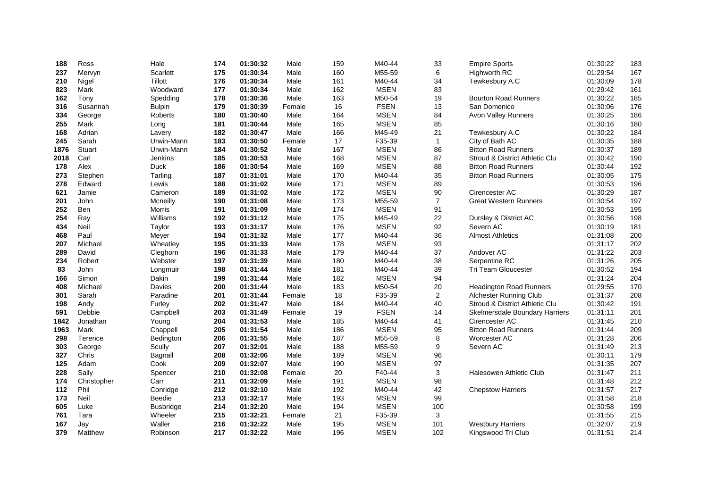| 188  | Ross          | Hale             | 174 | 01:30:32 | Male   | 159 | M40-44      | 33               | <b>Empire Sports</b>           | 01:30:22 | 183 |
|------|---------------|------------------|-----|----------|--------|-----|-------------|------------------|--------------------------------|----------|-----|
| 237  | Mervyn        | Scarlett         | 175 | 01:30:34 | Male   | 160 | M55-59      | 6                | <b>Highworth RC</b>            | 01:29:54 | 167 |
| 210  | Nigel         | Tillott          | 176 | 01:30:34 | Male   | 161 | M40-44      | 34               | Tewkesbury A.C                 | 01:30:09 | 178 |
| 823  | Mark          | Woodward         | 177 | 01:30:34 | Male   | 162 | <b>MSEN</b> | 83               |                                | 01:29:42 | 161 |
| 162  | Tony          | Spedding         | 178 | 01:30:36 | Male   | 163 | M50-54      | 19               | <b>Bourton Road Runners</b>    | 01:30:22 | 185 |
| 316  | Susannah      | <b>Bulpin</b>    | 179 | 01:30:39 | Female | 16  | <b>FSEN</b> | 13               | San Domenico                   | 01:30:06 | 176 |
| 334  | George        | Roberts          | 180 | 01:30:40 | Male   | 164 | <b>MSEN</b> | 84               | Avon Valley Runners            | 01:30:25 | 186 |
| 255  | Mark          | Long             | 181 | 01:30:44 | Male   | 165 | <b>MSEN</b> | 85               |                                | 01:30:16 | 180 |
| 168  | Adrian        | Lavery           | 182 | 01:30:47 | Male   | 166 | M45-49      | 21               | Tewkesbury A.C                 | 01:30:22 | 184 |
| 245  | Sarah         | Urwin-Mann       | 183 | 01:30:50 | Female | 17  | F35-39      | $\mathbf{1}$     | City of Bath AC                | 01:30:35 | 188 |
| 1876 | <b>Stuart</b> | Urwin-Mann       | 184 | 01:30:52 | Male   | 167 | <b>MSEN</b> | 86               | <b>Bitton Road Runners</b>     | 01:30:37 | 189 |
| 2018 | Carl          | Jenkins          | 185 | 01:30:53 | Male   | 168 | <b>MSEN</b> | 87               | Stroud & District Athletic Clu | 01:30:42 | 190 |
| 178  | Alex          | Duck             | 186 | 01:30:54 | Male   | 169 | <b>MSEN</b> | 88               | <b>Bitton Road Runners</b>     | 01:30:44 | 192 |
| 273  | Stephen       | Tarling          | 187 | 01:31:01 | Male   | 170 | M40-44      | 35               | <b>Bitton Road Runners</b>     | 01:30:05 | 175 |
| 278  | Edward        | Lewis            | 188 | 01:31:02 | Male   | 171 | <b>MSEN</b> | 89               |                                | 01:30:53 | 196 |
| 621  | Jamie         | Cameron          | 189 | 01:31:02 | Male   | 172 | <b>MSEN</b> | 90               | Cirencester AC                 | 01:30:29 | 187 |
| 201  | John          | Mcneilly         | 190 | 01:31:08 | Male   | 173 | M55-59      | $\overline{7}$   | <b>Great Western Runners</b>   | 01:30:54 | 197 |
| 252  | Ben           | <b>Morris</b>    | 191 | 01:31:09 | Male   | 174 | <b>MSEN</b> | 91               |                                | 01:30:53 | 195 |
| 254  | Ray           | Williams         | 192 | 01:31:12 | Male   | 175 | M45-49      | 22               | Dursley & District AC          | 01:30:56 | 198 |
| 434  | Neil          | Taylor           | 193 | 01:31:17 | Male   | 176 | <b>MSEN</b> | 92               | Severn AC                      | 01:30:19 | 181 |
| 468  | Paul          | Meyer            | 194 | 01:31:32 | Male   | 177 | M40-44      | 36               | <b>Almost Athletics</b>        | 01:31:08 | 200 |
| 207  | Michael       | Wheatley         | 195 | 01:31:33 | Male   | 178 | <b>MSEN</b> | 93               |                                | 01:31:17 | 202 |
| 289  | David         | Cleghorn         | 196 | 01:31:33 | Male   | 179 | M40-44      | 37               | Andover AC                     | 01:31:22 | 203 |
| 234  | Robert        | Webster          | 197 | 01:31:39 | Male   | 180 | M40-44      | 38               | Serpentine RC                  | 01:31:26 | 205 |
| 83   | John          | Longmuir         | 198 | 01:31:44 | Male   | 181 | M40-44      | 39               | Tri Team Gloucester            | 01:30:52 | 194 |
| 166  | Simon         | Dakin            | 199 | 01:31:44 | Male   | 182 | <b>MSEN</b> | 94               |                                | 01:31:24 | 204 |
| 408  | Michael       | Davies           | 200 | 01:31:44 | Male   | 183 | M50-54      | 20               | <b>Headington Road Runners</b> | 01:29:55 | 170 |
| 301  | Sarah         | Paradine         | 201 | 01:31:44 | Female | 18  | F35-39      | $\overline{2}$   | Alchester Running Club         | 01:31:37 | 208 |
| 198  | Andy          | Furley           | 202 | 01:31:47 | Male   | 184 | M40-44      | 40               | Stroud & District Athletic Clu | 01:30:42 | 191 |
| 591  | Debbie        | Campbell         | 203 | 01:31:49 | Female | 19  | <b>FSEN</b> | 14               | Skelmersdale Boundary Harriers | 01:31:11 | 201 |
| 1842 | Jonathan      | Young            | 204 | 01:31:53 | Male   | 185 | M40-44      | 41               | Cirencester AC                 | 01:31:45 | 210 |
| 1963 | Mark          | Chappell         | 205 | 01:31:54 | Male   | 186 | <b>MSEN</b> | 95               | <b>Bitton Road Runners</b>     | 01:31:44 | 209 |
| 298  | Terence       | Bedington        | 206 | 01:31:55 | Male   | 187 | M55-59      | 8                | Worcester AC                   | 01:31:28 | 206 |
| 303  | George        | Scully           | 207 | 01:32:01 | Male   | 188 | M55-59      | $\boldsymbol{9}$ | Severn AC                      | 01:31:49 | 213 |
| 327  | Chris         | Bagnall          | 208 | 01:32:06 | Male   | 189 | <b>MSEN</b> | 96               |                                | 01:30:11 | 179 |
| 125  | Adam          | Cook             | 209 | 01:32:07 | Male   | 190 | <b>MSEN</b> | 97               |                                | 01:31:35 | 207 |
| 228  | Sally         | Spencer          | 210 | 01:32:08 | Female | 20  | F40-44      | 3                | <b>Halesowen Athletic Club</b> | 01:31:47 | 211 |
| 174  | Christopher   | Carr             | 211 | 01:32:09 | Male   | 191 | <b>MSEN</b> | 98               |                                | 01:31:48 | 212 |
| 112  | Phil          | Conridge         | 212 | 01:32:10 | Male   | 192 | M40-44      | 42               | <b>Chepstow Harriers</b>       | 01:31:57 | 217 |
| 173  | Neil          | <b>Beedie</b>    | 213 | 01:32:17 | Male   | 193 | <b>MSEN</b> | 99               |                                | 01:31:58 | 218 |
| 605  | Luke          | <b>Busbridge</b> | 214 | 01:32:20 | Male   | 194 | <b>MSEN</b> | 100              |                                | 01:30:58 | 199 |
| 761  | Tara          | Wheeler          | 215 | 01:32:21 | Female | 21  | F35-39      | 3                |                                | 01:31:55 | 215 |
| 167  | Jay           | Waller           | 216 | 01:32:22 | Male   | 195 | <b>MSEN</b> | 101              | <b>Westbury Harriers</b>       | 01:32:07 | 219 |
| 379  | Matthew       | Robinson         | 217 | 01:32:22 | Male   | 196 | <b>MSEN</b> | 102              | Kingswood Tri Club             | 01:31:51 | 214 |
|      |               |                  |     |          |        |     |             |                  |                                |          |     |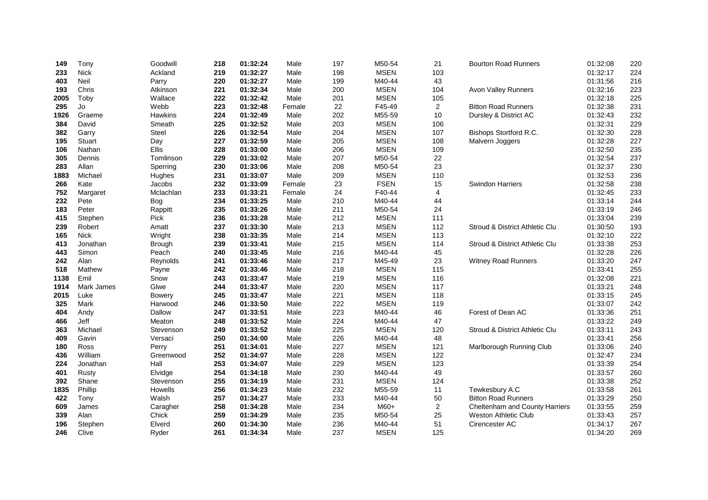| 149  | Tony          | Goodwill      | 218 | 01:32:24 | Male   | 197 | M50-54      | 21             | <b>Bourton Road Runners</b>    | 01:32:08 | 220 |
|------|---------------|---------------|-----|----------|--------|-----|-------------|----------------|--------------------------------|----------|-----|
| 233  | <b>Nick</b>   | Ackland       | 219 | 01:32:27 | Male   | 198 | <b>MSEN</b> | 103            |                                | 01:32:17 | 224 |
| 403  | Neil          | Parry         | 220 | 01:32:27 | Male   | 199 | M40-44      | 43             |                                | 01:31:56 | 216 |
| 193  | Chris         | Atkinson      | 221 | 01:32:34 | Male   | 200 | <b>MSEN</b> | 104            | <b>Avon Valley Runners</b>     | 01:32:16 | 223 |
| 2005 | Toby          | Wallace       | 222 | 01:32:42 | Male   | 201 | <b>MSEN</b> | 105            |                                | 01:32:18 | 225 |
| 295  | Jo            | Webb          | 223 | 01:32:48 | Female | 22  | F45-49      | $\overline{2}$ | <b>Bitton Road Runners</b>     | 01:32:38 | 231 |
| 1926 | Graeme        | Hawkins       | 224 | 01:32:49 | Male   | 202 | M55-59      | 10             | Dursley & District AC          | 01:32:43 | 232 |
| 384  | David         | Smeath        | 225 | 01:32:52 | Male   | 203 | <b>MSEN</b> | 106            |                                | 01:32:31 | 229 |
| 382  | Garry         | <b>Steel</b>  | 226 | 01:32:54 | Male   | 204 | <b>MSEN</b> | 107            | Bishops Stortford R.C.         | 01:32:30 | 228 |
| 195  | <b>Stuart</b> | Day           | 227 | 01:32:59 | Male   | 205 | <b>MSEN</b> | 108            | Malvern Joggers                | 01:32:28 | 227 |
| 106  | Nathan        | Ellis         | 228 | 01:33:00 | Male   | 206 | <b>MSEN</b> | 109            |                                | 01:32:50 | 235 |
| 305  | Dennis        | Tomlinson     | 229 | 01:33:02 | Male   | 207 | M50-54      | 22             |                                | 01:32:54 | 237 |
| 283  | Allan         | Sperring      | 230 | 01:33:06 | Male   | 208 | M50-54      | 23             |                                | 01:32:37 | 230 |
| 1883 | Michael       | Hughes        | 231 | 01:33:07 | Male   | 209 | <b>MSEN</b> | 110            |                                | 01:32:53 | 236 |
| 266  | Kate          | Jacobs        | 232 | 01:33:09 | Female | 23  | <b>FSEN</b> | 15             | <b>Swindon Harriers</b>        | 01:32:58 | 238 |
| 752  | Margaret      | Mclachlan     | 233 | 01:33:21 | Female | 24  | F40-44      | 4              |                                | 01:32:45 | 233 |
| 232  | Pete          | Bog           | 234 | 01:33:25 | Male   | 210 | M40-44      | 44             |                                | 01:33:14 | 244 |
| 183  | Peter         | Rappitt       | 235 | 01:33:26 | Male   | 211 | M50-54      | 24             |                                | 01:33:19 | 246 |
| 415  | Stephen       | Pick          | 236 | 01:33:28 | Male   | 212 | <b>MSEN</b> | 111            |                                | 01:33:04 | 239 |
| 239  | Robert        | Amatt         | 237 | 01:33:30 | Male   | 213 | <b>MSEN</b> | 112            | Stroud & District Athletic Clu | 01:30:50 | 193 |
| 165  | <b>Nick</b>   | Wright        | 238 | 01:33:35 | Male   | 214 | <b>MSEN</b> | 113            |                                | 01:32:10 | 222 |
| 413  | Jonathan      | <b>Brough</b> | 239 | 01:33:41 | Male   | 215 | <b>MSEN</b> | 114            | Stroud & District Athletic Clu | 01:33:38 | 253 |
| 443  | Simon         | Peach         | 240 | 01:33:45 | Male   | 216 | M40-44      | 45             |                                | 01:32:28 | 226 |
| 242  | Alan          | Reynolds      | 241 | 01:33:46 | Male   | 217 | M45-49      | 23             | <b>Witney Road Runners</b>     | 01:33:20 | 247 |
| 518  | Mathew        | Payne         | 242 | 01:33:46 | Male   | 218 | <b>MSEN</b> | 115            |                                | 01:33:41 | 255 |
| 1138 | Emil          | Snow          | 243 | 01:33:47 | Male   | 219 | <b>MSEN</b> | 116            |                                | 01:32:08 | 221 |
| 1914 | Mark James    | Glwe          | 244 | 01:33:47 | Male   | 220 | <b>MSEN</b> | 117            |                                | 01:33:21 | 248 |
| 2015 | Luke          | Bowery        | 245 | 01:33:47 | Male   | 221 | <b>MSEN</b> | 118            |                                | 01:33:15 | 245 |
| 325  | Mark          | Harwood       | 246 | 01:33:50 | Male   | 222 | <b>MSEN</b> | 119            |                                | 01:33:07 | 242 |
| 404  | Andy          | Dallow        | 247 | 01:33:51 | Male   | 223 | M40-44      | 46             | Forest of Dean AC              | 01:33:36 | 251 |
| 466  | Jeff          | Meaton        | 248 | 01:33:52 | Male   | 224 | M40-44      | 47             |                                | 01:33:22 | 249 |
| 363  | Michael       | Stevenson     | 249 | 01:33:52 | Male   | 225 | <b>MSEN</b> | 120            | Stroud & District Athletic Clu | 01:33:11 | 243 |
| 409  | Gavin         | Versaci       | 250 | 01:34:00 | Male   | 226 | M40-44      | 48             |                                | 01:33:41 | 256 |
| 180  | Ross          | Perry         | 251 | 01:34:01 | Male   | 227 | <b>MSEN</b> | 121            | Marlborough Running Club       | 01:33:06 | 240 |
| 436  | William       | Greenwood     | 252 | 01:34:07 | Male   | 228 | <b>MSEN</b> | 122            |                                | 01:32:47 | 234 |
| 224  | Jonathan      | Hall          | 253 | 01:34:07 | Male   | 229 | <b>MSEN</b> | 123            |                                | 01:33:39 | 254 |
| 401  | Rusty         | Elvidge       | 254 | 01:34:18 | Male   | 230 | M40-44      | 49             |                                | 01:33:57 | 260 |
| 392  | Shane         | Stevenson     | 255 | 01:34:19 | Male   | 231 | <b>MSEN</b> | 124            |                                | 01:33:38 | 252 |
| 1835 | Phillip       | Howells       | 256 | 01:34:23 | Male   | 232 | M55-59      | 11             | Tewkesbury A.C                 | 01:33:58 | 261 |
| 422  | Tony          | Walsh         | 257 | 01:34:27 | Male   | 233 | M40-44      | 50             | <b>Bitton Road Runners</b>     | 01:33:29 | 250 |
| 609  | James         | Caragher      | 258 | 01:34:28 | Male   | 234 | $M60+$      | 2              | Cheltenham and County Harriers | 01:33:55 | 259 |
| 339  | Alan          | Chick         | 259 | 01:34:29 | Male   | 235 | M50-54      | 25             | Weston Athletic Club           | 01:33:43 | 257 |
| 196  | Stephen       | Elverd        | 260 | 01:34:30 | Male   | 236 | M40-44      | 51             | Cirencester AC                 | 01:34:17 | 267 |
| 246  | Clive         | Ryder         | 261 | 01:34:34 | Male   | 237 | <b>MSEN</b> | 125            |                                | 01:34:20 | 269 |
|      |               |               |     |          |        |     |             |                |                                |          |     |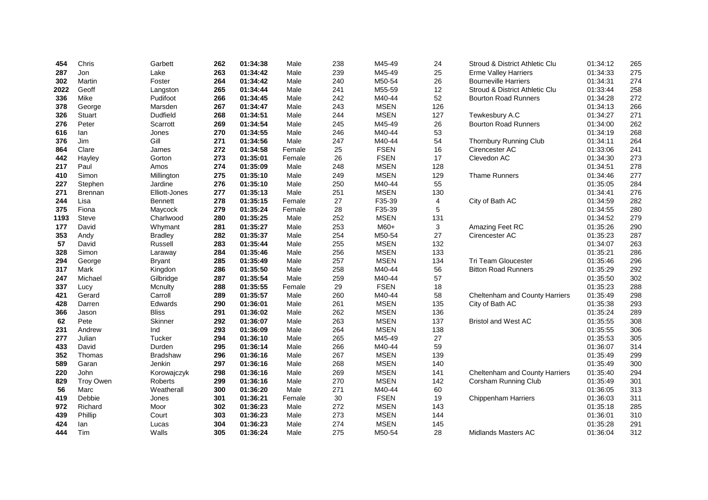| 454  | Chris        | Garbett         | 262 | 01:34:38 | Male   | 238 | M45-49      | 24             | Stroud & District Athletic Clu | 01:34:12 | 265 |
|------|--------------|-----------------|-----|----------|--------|-----|-------------|----------------|--------------------------------|----------|-----|
| 287  | Jon          | Lake            | 263 | 01:34:42 | Male   | 239 | M45-49      | 25             | <b>Erme Valley Harriers</b>    | 01:34:33 | 275 |
| 302  | Martin       | Foster          | 264 | 01:34:42 | Male   | 240 | M50-54      | 26             | <b>Bourneville Harriers</b>    | 01:34:31 | 274 |
| 2022 | Geoff        | Langston        | 265 | 01:34:44 | Male   | 241 | M55-59      | 12             | Stroud & District Athletic Clu | 01:33:44 | 258 |
| 336  | Mike         | Pudifoot        | 266 | 01:34:45 | Male   | 242 | M40-44      | 52             | <b>Bourton Road Runners</b>    | 01:34:28 | 272 |
| 378  | George       | Marsden         | 267 | 01:34:47 | Male   | 243 | <b>MSEN</b> | 126            |                                | 01:34:13 | 266 |
| 326  | Stuart       | <b>Dudfield</b> | 268 | 01:34:51 | Male   | 244 | <b>MSEN</b> | 127            | Tewkesbury A.C                 | 01:34:27 | 271 |
| 276  | Peter        | Scarrott        | 269 | 01:34:54 | Male   | 245 | M45-49      | 26             | <b>Bourton Road Runners</b>    | 01:34:00 | 262 |
| 616  | lan          | Jones           | 270 | 01:34:55 | Male   | 246 | M40-44      | 53             |                                | 01:34:19 | 268 |
| 376  | Jim          | Gill            | 271 | 01:34:56 | Male   | 247 | M40-44      | 54             | Thornbury Running Club         | 01:34:11 | 264 |
| 864  | Clare        | James           | 272 | 01:34:58 | Female | 25  | <b>FSEN</b> | 16             | Cirencester AC                 | 01:33:06 | 241 |
| 442  | Hayley       | Gorton          | 273 | 01:35:01 | Female | 26  | <b>FSEN</b> | 17             | Clevedon AC                    | 01:34:30 | 273 |
| 217  | Paul         | Amos            | 274 | 01:35:09 | Male   | 248 | <b>MSEN</b> | 128            |                                | 01:34:51 | 278 |
| 410  | Simon        | Millington      | 275 | 01:35:10 | Male   | 249 | <b>MSEN</b> | 129            | <b>Thame Runners</b>           | 01:34:46 | 277 |
| 227  | Stephen      | Jardine         | 276 | 01:35:10 | Male   | 250 | M40-44      | 55             |                                | 01:35:05 | 284 |
| 271  | Brennan      | Elliott-Jones   | 277 | 01:35:13 | Male   | 251 | <b>MSEN</b> | 130            |                                | 01:34:41 | 276 |
| 244  | Lisa         | <b>Bennett</b>  | 278 | 01:35:15 | Female | 27  | F35-39      | $\overline{4}$ | City of Bath AC                | 01:34:59 | 282 |
| 375  | Fiona        | Maycock         | 279 | 01:35:24 | Female | 28  | F35-39      | 5              |                                | 01:34:55 | 280 |
| 1193 | <b>Steve</b> | Charlwood       | 280 | 01:35:25 | Male   | 252 | <b>MSEN</b> | 131            |                                | 01:34:52 | 279 |
| 177  | David        | Whymant         | 281 | 01:35:27 | Male   | 253 | $M60+$      | 3              | Amazing Feet RC                | 01:35:26 | 290 |
| 353  | Andy         | <b>Bradley</b>  | 282 | 01:35:37 | Male   | 254 | M50-54      | 27             | Cirencester AC                 | 01:35:23 | 287 |
| 57   | David        | Russell         | 283 | 01:35:44 | Male   | 255 | <b>MSEN</b> | 132            |                                | 01:34:07 | 263 |
| 328  | Simon        | Laraway         | 284 | 01:35:46 | Male   | 256 | <b>MSEN</b> | 133            |                                | 01:35:21 | 286 |
| 294  | George       | <b>Bryant</b>   | 285 | 01:35:49 | Male   | 257 | <b>MSEN</b> | 134            | Tri Team Gloucester            | 01:35:46 | 296 |
| 317  | Mark         | Kingdon         | 286 | 01:35:50 | Male   | 258 | M40-44      | 56             | <b>Bitton Road Runners</b>     | 01:35:29 | 292 |
| 247  | Michael      | Gilbridge       | 287 | 01:35:54 | Male   | 259 | M40-44      | 57             |                                | 01:35:50 | 302 |
| 337  | Lucy         | Mcnulty         | 288 | 01:35:55 | Female | 29  | <b>FSEN</b> | 18             |                                | 01:35:23 | 288 |
| 421  | Gerard       | Carroll         | 289 | 01:35:57 | Male   | 260 | M40-44      | 58             | Cheltenham and County Harriers | 01:35:49 | 298 |
| 428  | Darren       | Edwards         | 290 | 01:36:01 | Male   | 261 | <b>MSEN</b> | 135            | City of Bath AC                | 01:35:38 | 293 |
| 366  | Jason        | <b>Bliss</b>    | 291 | 01:36:02 | Male   | 262 | <b>MSEN</b> | 136            |                                | 01:35:24 | 289 |
| 62   | Pete         | Skinner         | 292 | 01:36:07 | Male   | 263 | <b>MSEN</b> | 137            | <b>Bristol and West AC</b>     | 01:35:55 | 308 |
| 231  | Andrew       | Ind             | 293 | 01:36:09 | Male   | 264 | <b>MSEN</b> | 138            |                                | 01:35:55 | 306 |
| 277  | Julian       | Tucker          | 294 | 01:36:10 | Male   | 265 | M45-49      | 27             |                                | 01:35:53 | 305 |
| 433  | David        | Durden          | 295 | 01:36:14 | Male   | 266 | M40-44      | 59             |                                | 01:36:07 | 314 |
| 352  | Thomas       | <b>Bradshaw</b> | 296 | 01:36:16 | Male   | 267 | <b>MSEN</b> | 139            |                                | 01:35:49 | 299 |
| 589  | Garan        | Jenkin          | 297 | 01:36:16 | Male   | 268 | <b>MSEN</b> | 140            |                                | 01:35:49 | 300 |
| 220  | John         | Korowajczyk     | 298 | 01:36:16 | Male   | 269 | <b>MSEN</b> | 141            | Cheltenham and County Harriers | 01:35:40 | 294 |
| 829  | Troy Owen    | <b>Roberts</b>  | 299 | 01:36:16 | Male   | 270 | <b>MSEN</b> | 142            | <b>Corsham Running Club</b>    | 01:35:49 | 301 |
| 56   | Marc         | Weatherall      | 300 | 01:36:20 | Male   | 271 | M40-44      | 60             |                                | 01:36:05 | 313 |
| 419  | Debbie       | Jones           | 301 | 01:36:21 | Female | 30  | <b>FSEN</b> | 19             | <b>Chippenham Harriers</b>     | 01:36:03 | 311 |
| 972  | Richard      | Moor            | 302 | 01:36:23 | Male   | 272 | <b>MSEN</b> | 143            |                                | 01:35:18 | 285 |
| 439  | Phillip      | Court           | 303 | 01:36:23 | Male   | 273 | <b>MSEN</b> | 144            |                                | 01:36:01 | 310 |
| 424  | lan          | Lucas           | 304 | 01:36:23 | Male   | 274 | <b>MSEN</b> | 145            |                                | 01:35:28 | 291 |
| 444  | Tim          | Walls           | 305 | 01:36:24 | Male   | 275 | M50-54      | 28             | <b>Midlands Masters AC</b>     | 01:36:04 | 312 |
|      |              |                 |     |          |        |     |             |                |                                |          |     |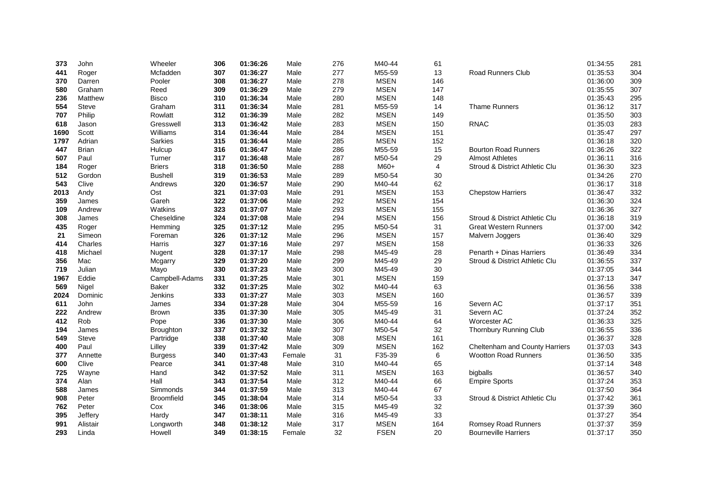| 373  | John         | Wheeler           | 306 | 01:36:26 | Male   | 276 | M40-44      | 61  |                                | 01:34:55 | 281 |
|------|--------------|-------------------|-----|----------|--------|-----|-------------|-----|--------------------------------|----------|-----|
| 441  | Roger        | Mcfadden          | 307 | 01:36:27 | Male   | 277 | M55-59      | 13  | <b>Road Runners Club</b>       | 01:35:53 | 304 |
| 370  | Darren       | Pooler            | 308 | 01:36:27 | Male   | 278 | <b>MSEN</b> | 146 |                                | 01:36:00 | 309 |
| 580  | Graham       | Reed              | 309 | 01:36:29 | Male   | 279 | <b>MSEN</b> | 147 |                                | 01:35:55 | 307 |
| 236  | Matthew      | <b>Bisco</b>      | 310 | 01:36:34 | Male   | 280 | <b>MSEN</b> | 148 |                                | 01:35:43 | 295 |
| 554  | Steve        | Graham            | 311 | 01:36:34 | Male   | 281 | M55-59      | 14  | <b>Thame Runners</b>           | 01:36:12 | 317 |
| 707  | Philip       | Rowlatt           | 312 | 01:36:39 | Male   | 282 | <b>MSEN</b> | 149 |                                | 01:35:50 | 303 |
| 618  | Jason        | Gresswell         | 313 | 01:36:42 | Male   | 283 | <b>MSEN</b> | 150 | <b>RNAC</b>                    | 01:35:03 | 283 |
| 1690 | Scott        | Williams          | 314 | 01:36:44 | Male   | 284 | <b>MSEN</b> | 151 |                                | 01:35:47 | 297 |
| 1797 | Adrian       | <b>Sarkies</b>    | 315 | 01:36:44 | Male   | 285 | <b>MSEN</b> | 152 |                                | 01:36:18 | 320 |
| 447  | <b>Brian</b> | Hulcup            | 316 | 01:36:47 | Male   | 286 | M55-59      | 15  | <b>Bourton Road Runners</b>    | 01:36:26 | 322 |
| 507  | Paul         | Turner            | 317 | 01:36:48 | Male   | 287 | M50-54      | 29  | <b>Almost Athletes</b>         | 01:36:11 | 316 |
| 184  | Roger        | <b>Briers</b>     | 318 | 01:36:50 | Male   | 288 | M60+        | 4   | Stroud & District Athletic Clu | 01:36:30 | 323 |
| 512  | Gordon       | <b>Bushell</b>    | 319 | 01:36:53 | Male   | 289 | M50-54      | 30  |                                | 01:34:26 | 270 |
| 543  | Clive        | Andrews           | 320 | 01:36:57 | Male   | 290 | M40-44      | 62  |                                | 01:36:17 | 318 |
| 2013 | Andy         | Ost               | 321 | 01:37:03 | Male   | 291 | <b>MSEN</b> | 153 | <b>Chepstow Harriers</b>       | 01:36:47 | 332 |
| 359  | James        | Gareh             | 322 | 01:37:06 | Male   | 292 | <b>MSEN</b> | 154 |                                | 01:36:30 | 324 |
| 109  | Andrew       | Watkins           | 323 | 01:37:07 | Male   | 293 | <b>MSEN</b> | 155 |                                | 01:36:36 | 327 |
| 308  | James        | Cheseldine        | 324 | 01:37:08 | Male   | 294 | <b>MSEN</b> | 156 | Stroud & District Athletic Clu | 01:36:18 | 319 |
| 435  | Roger        | Hemming           | 325 | 01:37:12 | Male   | 295 | M50-54      | 31  | <b>Great Western Runners</b>   | 01:37:00 | 342 |
| 21   | Simeon       | Foreman           | 326 | 01:37:12 | Male   | 296 | <b>MSEN</b> | 157 | Malvern Joggers                | 01:36:40 | 329 |
| 414  | Charles      | Harris            | 327 | 01:37:16 | Male   | 297 | <b>MSEN</b> | 158 |                                | 01:36:33 | 326 |
| 418  | Michael      | Nugent            | 328 | 01:37:17 | Male   | 298 | M45-49      | 28  | Penarth + Dinas Harriers       | 01:36:49 | 334 |
| 356  | Mac          | Mcgarry           | 329 | 01:37:20 | Male   | 299 | M45-49      | 29  | Stroud & District Athletic Clu | 01:36:55 | 337 |
| 719  | Julian       | Mayo              | 330 | 01:37:23 | Male   | 300 | M45-49      | 30  |                                | 01:37:05 | 344 |
| 1967 | Eddie        | Campbell-Adams    | 331 | 01:37:25 | Male   | 301 | <b>MSEN</b> | 159 |                                | 01:37:13 | 347 |
| 569  | Nigel        | Baker             | 332 | 01:37:25 | Male   | 302 | M40-44      | 63  |                                | 01:36:56 | 338 |
| 2024 | Dominic      | Jenkins           | 333 | 01:37:27 | Male   | 303 | <b>MSEN</b> | 160 |                                | 01:36:57 | 339 |
| 611  | John         | James             | 334 | 01:37:28 | Male   | 304 | M55-59      | 16  | Severn AC                      | 01:37:17 | 351 |
| 222  | Andrew       | Brown             | 335 | 01:37:30 | Male   | 305 | M45-49      | 31  | Severn AC                      | 01:37:24 | 352 |
| 412  | Rob          | Pope              | 336 | 01:37:30 | Male   | 306 | M40-44      | 64  | Worcester AC                   | 01:36:33 | 325 |
| 194  | James        | <b>Broughton</b>  | 337 | 01:37:32 | Male   | 307 | M50-54      | 32  | Thornbury Running Club         | 01:36:55 | 336 |
| 549  | <b>Steve</b> | Partridge         | 338 | 01:37:40 | Male   | 308 | <b>MSEN</b> | 161 |                                | 01:36:37 | 328 |
| 400  | Paul         | Lilley            | 339 | 01:37:42 | Male   | 309 | <b>MSEN</b> | 162 | Cheltenham and County Harriers | 01:37:03 | 343 |
| 377  | Annette      | <b>Burgess</b>    | 340 | 01:37:43 | Female | 31  | F35-39      | 6   | <b>Wootton Road Runners</b>    | 01:36:50 | 335 |
| 600  | Clive        | Pearce            | 341 | 01:37:48 | Male   | 310 | M40-44      | 65  |                                | 01:37:14 | 348 |
| 725  | Wayne        | Hand              | 342 | 01:37:52 | Male   | 311 | <b>MSEN</b> | 163 | bigballs                       | 01:36:57 | 340 |
| 374  | Alan         | Hall              | 343 | 01:37:54 | Male   | 312 | M40-44      | 66  | <b>Empire Sports</b>           | 01:37:24 | 353 |
| 588  | James        | Simmonds          | 344 | 01:37:59 | Male   | 313 | M40-44      | 67  |                                | 01:37:50 | 364 |
| 908  | Peter        | <b>Broomfield</b> | 345 | 01:38:04 | Male   | 314 | M50-54      | 33  | Stroud & District Athletic Clu | 01:37:42 | 361 |
| 762  | Peter        | Cox               | 346 | 01:38:06 | Male   | 315 | M45-49      | 32  |                                | 01:37:39 | 360 |
| 395  | Jeffery      | Hardy             | 347 | 01:38:11 | Male   | 316 | M45-49      | 33  |                                | 01:37:27 | 354 |
| 991  | Alistair     | Longworth         | 348 | 01:38:12 | Male   | 317 | <b>MSEN</b> | 164 | <b>Romsey Road Runners</b>     | 01:37:37 | 359 |
| 293  | Linda        | Howell            | 349 | 01:38:15 | Female | 32  | <b>FSEN</b> | 20  | <b>Bourneville Harriers</b>    | 01:37:17 | 350 |
|      |              |                   |     |          |        |     |             |     |                                |          |     |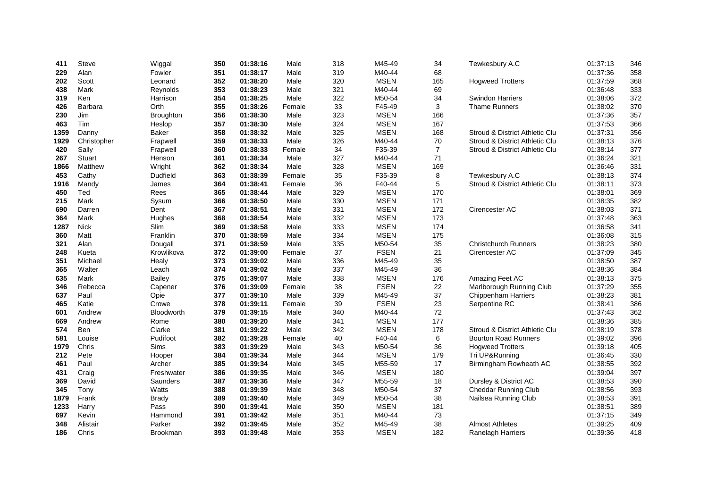| 411  | Steve         | Wiggal           | 350 | 01:38:16 | Male   | 318 | M45-49      | 34             | Tewkesbury A.C                 | 01:37:13 | 346 |
|------|---------------|------------------|-----|----------|--------|-----|-------------|----------------|--------------------------------|----------|-----|
| 229  | Alan          | Fowler           | 351 | 01:38:17 | Male   | 319 | M40-44      | 68             |                                | 01:37:36 | 358 |
| 202  | Scott         | Leonard          | 352 | 01:38:20 | Male   | 320 | <b>MSEN</b> | 165            | <b>Hogweed Trotters</b>        | 01:37:59 | 368 |
| 438  | Mark          | Reynolds         | 353 | 01:38:23 | Male   | 321 | M40-44      | 69             |                                | 01:36:48 | 333 |
| 319  | Ken           | Harrison         | 354 | 01:38:25 | Male   | 322 | M50-54      | 34             | <b>Swindon Harriers</b>        | 01:38:06 | 372 |
| 426  | Barbara       | Orth             | 355 | 01:38:26 | Female | 33  | F45-49      | 3              | <b>Thame Runners</b>           | 01:38:02 | 370 |
| 230  | Jim           | <b>Broughton</b> | 356 | 01:38:30 | Male   | 323 | <b>MSEN</b> | 166            |                                | 01:37:36 | 357 |
| 463  | Tim           | Heslop           | 357 | 01:38:30 | Male   | 324 | <b>MSEN</b> | 167            |                                | 01:37:53 | 366 |
| 1359 | Danny         | Baker            | 358 | 01:38:32 | Male   | 325 | <b>MSEN</b> | 168            | Stroud & District Athletic Clu | 01:37:31 | 356 |
| 1929 | Christopher   | Frapwell         | 359 | 01:38:33 | Male   | 326 | M40-44      | 70             | Stroud & District Athletic Clu | 01:38:13 | 376 |
| 420  | Sally         | Frapwell         | 360 | 01:38:33 | Female | 34  | F35-39      | $\overline{7}$ | Stroud & District Athletic Clu | 01:38:14 | 377 |
| 267  | <b>Stuart</b> | Henson           | 361 | 01:38:34 | Male   | 327 | M40-44      | 71             |                                | 01:36:24 | 321 |
| 1866 | Matthew       | Wright           | 362 | 01:38:34 | Male   | 328 | <b>MSEN</b> | 169            |                                | 01:36:46 | 331 |
| 453  | Cathy         | <b>Dudfield</b>  | 363 | 01:38:39 | Female | 35  | F35-39      | 8              | Tewkesbury A.C                 | 01:38:13 | 374 |
| 1916 | Mandy         | James            | 364 | 01:38:41 | Female | 36  | F40-44      | 5              | Stroud & District Athletic Clu | 01:38:11 | 373 |
| 450  | Ted           | Rees             | 365 | 01:38:44 | Male   | 329 | <b>MSEN</b> | 170            |                                | 01:38:01 | 369 |
| 215  | Mark          | Sysum            | 366 | 01:38:50 | Male   | 330 | <b>MSEN</b> | 171            |                                | 01:38:35 | 382 |
| 690  | Darren        | Dent             | 367 | 01:38:51 | Male   | 331 | <b>MSEN</b> | 172            | Cirencester AC                 | 01:38:03 | 371 |
| 364  | Mark          | Hughes           | 368 | 01:38:54 | Male   | 332 | <b>MSEN</b> | 173            |                                | 01:37:48 | 363 |
| 1287 | <b>Nick</b>   | <b>Slim</b>      | 369 | 01:38:58 | Male   | 333 | <b>MSEN</b> | 174            |                                | 01:36:58 | 341 |
| 360  | Matt          | Franklin         | 370 | 01:38:59 | Male   | 334 | <b>MSEN</b> | 175            |                                | 01:36:08 | 315 |
| 321  | Alan          | Dougall          | 371 | 01:38:59 | Male   | 335 | M50-54      | 35             | <b>Christchurch Runners</b>    | 01:38:23 | 380 |
| 248  | Kueta         | Krowlikova       | 372 | 01:39:00 | Female | 37  | <b>FSEN</b> | 21             | Cirencester AC                 | 01:37:09 | 345 |
| 351  | Michael       | Healy            | 373 | 01:39:02 | Male   | 336 | M45-49      | 35             |                                | 01:38:50 | 387 |
| 365  | Walter        | Leach            | 374 | 01:39:02 | Male   | 337 | M45-49      | 36             |                                | 01:38:36 | 384 |
| 635  | Mark          | <b>Bailey</b>    | 375 | 01:39:07 | Male   | 338 | <b>MSEN</b> | 176            | Amazing Feet AC                | 01:38:13 | 375 |
| 346  | Rebecca       | Capener          | 376 | 01:39:09 | Female | 38  | <b>FSEN</b> | 22             | Marlborough Running Club       | 01:37:29 | 355 |
| 637  | Paul          | Opie             | 377 | 01:39:10 | Male   | 339 | M45-49      | 37             | <b>Chippenham Harriers</b>     | 01:38:23 | 381 |
| 465  | Katie         | Crowe            | 378 | 01:39:11 | Female | 39  | <b>FSEN</b> | 23             | Serpentine RC                  | 01:38:41 | 386 |
| 601  | Andrew        | Bloodworth       | 379 | 01:39:15 | Male   | 340 | M40-44      | 72             |                                | 01:37:43 | 362 |
| 669  | Andrew        | Rome             | 380 | 01:39:20 | Male   | 341 | <b>MSEN</b> | 177            |                                | 01:38:36 | 385 |
| 574  | Ben           | Clarke           | 381 | 01:39:22 | Male   | 342 | <b>MSEN</b> | 178            | Stroud & District Athletic Clu | 01:38:19 | 378 |
| 581  | Louise        | Pudifoot         | 382 | 01:39:28 | Female | 40  | F40-44      | 6              | <b>Bourton Road Runners</b>    | 01:39:02 | 396 |
| 1979 | Chris         | Sims             | 383 | 01:39:29 | Male   | 343 | M50-54      | 36             | <b>Hogweed Trotters</b>        | 01:39:18 | 405 |
| 212  | Pete          | Hooper           | 384 | 01:39:34 | Male   | 344 | <b>MSEN</b> | 179            | Tri UP&Running                 | 01:36:45 | 330 |
| 461  | Paul          | Archer           | 385 | 01:39:34 | Male   | 345 | M55-59      | 17             | Birmingham Rowheath AC         | 01:38:55 | 392 |
| 431  | Craig         | Freshwater       | 386 | 01:39:35 | Male   | 346 | <b>MSEN</b> | 180            |                                | 01:39:04 | 397 |
| 369  | David         | Saunders         | 387 | 01:39:36 | Male   | 347 | M55-59      | 18             | Dursley & District AC          | 01:38:53 | 390 |
| 345  | Tony          | Watts            | 388 | 01:39:39 | Male   | 348 | M50-54      | 37             | Cheddar Running Club           | 01:38:56 | 393 |
| 1879 | Frank         | <b>Brady</b>     | 389 | 01:39:40 | Male   | 349 | M50-54      | 38             | Nailsea Running Club           | 01:38:53 | 391 |
| 1233 | Harry         | Pass             | 390 | 01:39:41 | Male   | 350 | <b>MSEN</b> | 181            |                                | 01:38:51 | 389 |
| 697  | Kevin         | Hammond          | 391 | 01:39:42 | Male   | 351 | M40-44      | 73             |                                | 01:37:15 | 349 |
| 348  | Alistair      | Parker           | 392 | 01:39:45 | Male   | 352 | M45-49      | 38             | <b>Almost Athletes</b>         | 01:39:25 | 409 |
| 186  | Chris         | Brookman         | 393 | 01:39:48 | Male   | 353 | <b>MSEN</b> | 182            | <b>Ranelagh Harriers</b>       | 01:39:36 | 418 |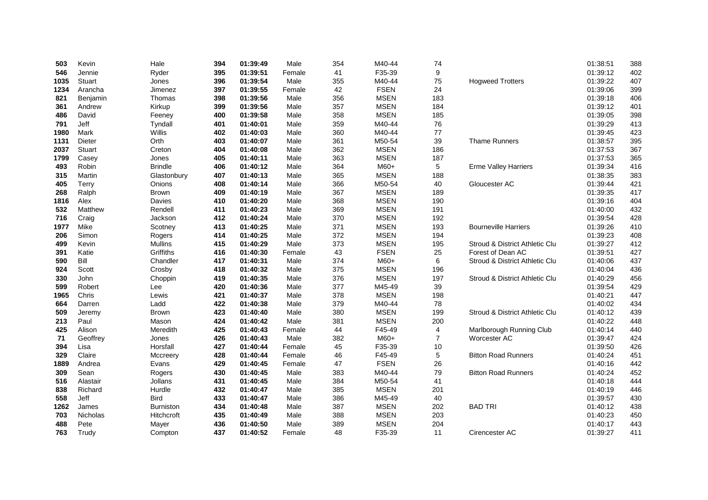| 503  | Kevin           | Hale             | 394 | 01:39:49 | Male   | 354 | M40-44      | 74             |                                | 01:38:51 | 388 |
|------|-----------------|------------------|-----|----------|--------|-----|-------------|----------------|--------------------------------|----------|-----|
| 546  | Jennie          | Ryder            | 395 | 01:39:51 | Female | 41  | F35-39      | 9              |                                | 01:39:12 | 402 |
| 1035 | Stuart          | Jones            | 396 | 01:39:54 | Male   | 355 | M40-44      | 75             | <b>Hogweed Trotters</b>        | 01:39:22 | 407 |
| 1234 | Arancha         | Jimenez          | 397 | 01:39:55 | Female | 42  | <b>FSEN</b> | 24             |                                | 01:39:06 | 399 |
| 821  | Benjamin        | Thomas           | 398 | 01:39:56 | Male   | 356 | <b>MSEN</b> | 183            |                                | 01:39:18 | 406 |
| 361  | Andrew          | Kirkup           | 399 | 01:39:56 | Male   | 357 | <b>MSEN</b> | 184            |                                | 01:39:12 | 401 |
| 486  | David           | Feeney           | 400 | 01:39:58 | Male   | 358 | <b>MSEN</b> | 185            |                                | 01:39:05 | 398 |
| 791  | Jeff            | Tyndall          | 401 | 01:40:01 | Male   | 359 | M40-44      | 76             |                                | 01:39:29 | 413 |
| 1980 | Mark            | Willis           | 402 | 01:40:03 | Male   | 360 | M40-44      | 77             |                                | 01:39:45 | 423 |
| 1131 | Dieter          | Orth             | 403 | 01:40:07 | Male   | 361 | M50-54      | 39             | Thame Runners                  | 01:38:57 | 395 |
| 2037 | <b>Stuart</b>   | Creton           | 404 | 01:40:08 | Male   | 362 | <b>MSEN</b> | 186            |                                | 01:37:53 | 367 |
| 1799 | Casey           | Jones            | 405 | 01:40:11 | Male   | 363 | <b>MSEN</b> | 187            |                                | 01:37:53 | 365 |
| 493  | Robin           | <b>Brindle</b>   | 406 | 01:40:12 | Male   | 364 | M60+        | 5              | <b>Erme Valley Harriers</b>    | 01:39:34 | 416 |
| 315  | Martin          | Glastonbury      | 407 | 01:40:13 | Male   | 365 | <b>MSEN</b> | 188            |                                | 01:38:35 | 383 |
| 405  | Terry           | Onions           | 408 | 01:40:14 | Male   | 366 | M50-54      | 40             | Gloucester AC                  | 01:39:44 | 421 |
| 268  | Ralph           | Brown            | 409 | 01:40:19 | Male   | 367 | <b>MSEN</b> | 189            |                                | 01:39:35 | 417 |
| 1816 | Alex            | Davies           | 410 | 01:40:20 | Male   | 368 | <b>MSEN</b> | 190            |                                | 01:39:16 | 404 |
| 532  | Matthew         | Rendell          | 411 | 01:40:23 | Male   | 369 | <b>MSEN</b> | 191            |                                | 01:40:00 | 432 |
| 716  | Craig           | Jackson          | 412 | 01:40:24 | Male   | 370 | <b>MSEN</b> | 192            |                                | 01:39:54 | 428 |
| 1977 | Mike            | Scotney          | 413 | 01:40:25 | Male   | 371 | <b>MSEN</b> | 193            | <b>Bourneville Harriers</b>    | 01:39:26 | 410 |
| 206  | Simon           | Rogers           | 414 | 01:40:25 | Male   | 372 | <b>MSEN</b> | 194            |                                | 01:39:23 | 408 |
| 499  | Kevin           | <b>Mullins</b>   | 415 | 01:40:29 | Male   | 373 | <b>MSEN</b> | 195            | Stroud & District Athletic Clu | 01:39:27 | 412 |
| 391  | Katie           | Griffiths        | 416 | 01:40:30 | Female | 43  | <b>FSEN</b> | 25             | Forest of Dean AC              | 01:39:51 | 427 |
| 590  | Bill            | Chandler         | 417 | 01:40:31 | Male   | 374 | M60+        | 6              | Stroud & District Athletic Clu | 01:40:06 | 437 |
| 924  | Scott           | Crosby           | 418 | 01:40:32 | Male   | 375 | <b>MSEN</b> | 196            |                                | 01:40:04 | 436 |
| 330  | John            | Choppin          | 419 | 01:40:35 | Male   | 376 | <b>MSEN</b> | 197            | Stroud & District Athletic Clu | 01:40:29 | 456 |
| 599  | Robert          | Lee              | 420 | 01:40:36 | Male   | 377 | M45-49      | 39             |                                | 01:39:54 | 429 |
| 1965 | Chris           | Lewis            | 421 | 01:40:37 | Male   | 378 | <b>MSEN</b> | 198            |                                | 01:40:21 | 447 |
| 664  | Darren          | Ladd             | 422 | 01:40:38 | Male   | 379 | M40-44      | 78             |                                | 01:40:02 | 434 |
| 509  | Jeremy          | <b>Brown</b>     | 423 | 01:40:40 | Male   | 380 | <b>MSEN</b> | 199            | Stroud & District Athletic Clu | 01:40:12 | 439 |
| 213  | Paul            | Mason            | 424 | 01:40:42 | Male   | 381 | <b>MSEN</b> | 200            |                                | 01:40:22 | 448 |
| 425  | Alison          | Meredith         | 425 | 01:40:43 | Female | 44  | F45-49      | $\overline{4}$ | Marlborough Running Club       | 01:40:14 | 440 |
| 71   | Geoffrey        | Jones            | 426 | 01:40:43 | Male   | 382 | M60+        | $\overline{7}$ | Worcester AC                   | 01:39:47 | 424 |
| 394  | Lisa            | Horsfall         | 427 | 01:40:44 | Female | 45  | F35-39      | 10             |                                | 01:39:50 | 426 |
| 329  | Claire          | Mccreery         | 428 | 01:40:44 | Female | 46  | F45-49      | 5              | <b>Bitton Road Runners</b>     | 01:40:24 | 451 |
| 1889 | Andrea          | Evans            | 429 | 01:40:45 | Female | 47  | <b>FSEN</b> | 26             |                                | 01:40:16 | 442 |
| 309  | Sean            | Rogers           | 430 | 01:40:45 | Male   | 383 | M40-44      | 79             | <b>Bitton Road Runners</b>     | 01:40:24 | 452 |
| 516  | Alastair        | Jollans          | 431 | 01:40:45 | Male   | 384 | M50-54      | 41             |                                | 01:40:18 | 444 |
| 838  | Richard         | Hurdle           | 432 | 01:40:47 | Male   | 385 | <b>MSEN</b> | 201            |                                | 01:40:19 | 446 |
| 558  | Jeff            | <b>Bird</b>      | 433 | 01:40:47 | Male   | 386 | M45-49      | 40             |                                | 01:39:57 | 430 |
| 1262 | James           | <b>Burniston</b> | 434 | 01:40:48 | Male   | 387 | <b>MSEN</b> | 202            | <b>BAD TRI</b>                 | 01:40:12 | 438 |
| 703  | <b>Nicholas</b> | Hitchcroft       | 435 | 01:40:49 | Male   | 388 | <b>MSEN</b> | 203            |                                | 01:40:23 | 450 |
| 488  | Pete            | Mayer            | 436 | 01:40:50 | Male   | 389 | <b>MSEN</b> | 204            |                                | 01:40:17 | 443 |
| 763  | Trudy           | Compton          | 437 | 01:40:52 | Female | 48  | F35-39      | 11             | Cirencester AC                 | 01:39:27 | 411 |
|      |                 |                  |     |          |        |     |             |                |                                |          |     |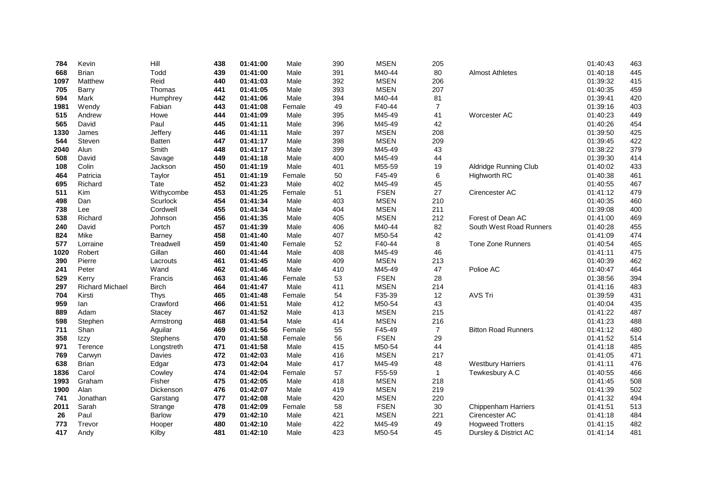| 784  | Kevin                  | Hill            | 438 | 01:41:00 | Male   | 390 | <b>MSEN</b> | 205            |                            | 01:40:43 | 463 |
|------|------------------------|-----------------|-----|----------|--------|-----|-------------|----------------|----------------------------|----------|-----|
| 668  | Brian                  | Todd            | 439 | 01:41:00 | Male   | 391 | M40-44      | 80             | <b>Almost Athletes</b>     | 01:40:18 | 445 |
| 1097 | Matthew                | Reid            | 440 | 01:41:03 | Male   | 392 | <b>MSEN</b> | 206            |                            | 01:39:32 | 415 |
| 705  | Barry                  | Thomas          | 441 | 01:41:05 | Male   | 393 | <b>MSEN</b> | 207            |                            | 01:40:35 | 459 |
| 594  | Mark                   | Humphrey        | 442 | 01:41:06 | Male   | 394 | M40-44      | 81             |                            | 01:39:41 | 420 |
| 1981 | Wendy                  | Fabian          | 443 | 01:41:08 | Female | 49  | F40-44      | $\overline{7}$ |                            | 01:39:16 | 403 |
| 515  | Andrew                 | Howe            | 444 | 01:41:09 | Male   | 395 | M45-49      | 41             | Worcester AC               | 01:40:23 | 449 |
| 565  | David                  | Paul            | 445 | 01:41:11 | Male   | 396 | M45-49      | 42             |                            | 01:40:26 | 454 |
| 1330 | James                  | Jeffery         | 446 | 01:41:11 | Male   | 397 | <b>MSEN</b> | 208            |                            | 01:39:50 | 425 |
| 544  | Steven                 | <b>Batten</b>   | 447 | 01:41:17 | Male   | 398 | <b>MSEN</b> | 209            |                            | 01:39:45 | 422 |
| 2040 | Alun                   | Smith           | 448 | 01:41:17 | Male   | 399 | M45-49      | 43             |                            | 01:38:22 | 379 |
| 508  | David                  | Savage          | 449 | 01:41:18 | Male   | 400 | M45-49      | 44             |                            | 01:39:30 | 414 |
| 108  | Colin                  | Jackson         | 450 | 01:41:19 | Male   | 401 | M55-59      | 19             | Aldridge Running Club      | 01:40:02 | 433 |
| 464  | Patricia               | Taylor          | 451 | 01:41:19 | Female | 50  | F45-49      | 6              | <b>Highworth RC</b>        | 01:40:38 | 461 |
| 695  | Richard                | Tate            | 452 | 01:41:23 | Male   | 402 | M45-49      | 45             |                            | 01:40:55 | 467 |
| 511  | Kim                    | Withycombe      | 453 | 01:41:25 | Female | 51  | <b>FSEN</b> | 27             | Cirencester AC             | 01:41:12 | 479 |
| 498  | Dan                    | Scurlock        | 454 | 01:41:34 | Male   | 403 | <b>MSEN</b> | 210            |                            | 01:40:35 | 460 |
| 738  | Lee                    | Cordwell        | 455 | 01:41:34 | Male   | 404 | <b>MSEN</b> | 211            |                            | 01:39:08 | 400 |
| 538  | Richard                | Johnson         | 456 | 01:41:35 | Male   | 405 | <b>MSEN</b> | 212            | Forest of Dean AC          | 01:41:00 | 469 |
| 240  | David                  | Portch          | 457 | 01:41:39 | Male   | 406 | M40-44      | 82             | South West Road Runners    | 01:40:28 | 455 |
| 824  | Mike                   | Barney          | 458 | 01:41:40 | Male   | 407 | M50-54      | 42             |                            | 01:41:09 | 474 |
| 577  | Lorraine               | Treadwell       | 459 | 01:41:40 | Female | 52  | F40-44      | 8              | Tone Zone Runners          | 01:40:54 | 465 |
| 1020 | Robert                 | Gillan          | 460 | 01:41:44 | Male   | 408 | M45-49      | 46             |                            | 01:41:11 | 475 |
| 390  | Pierre                 | Lacrouts        | 461 | 01:41:45 | Male   | 409 | <b>MSEN</b> | 213            |                            | 01:40:39 | 462 |
| 241  | Peter                  | Wand            | 462 | 01:41:46 | Male   | 410 | M45-49      | 47             | Polioe AC                  | 01:40:47 | 464 |
| 529  | Kerry                  | Francis         | 463 | 01:41:46 | Female | 53  | <b>FSEN</b> | 28             |                            | 01:38:56 | 394 |
| 297  | <b>Richard Michael</b> | <b>Birch</b>    | 464 | 01:41:47 | Male   | 411 | <b>MSEN</b> | 214            |                            | 01:41:16 | 483 |
| 704  | Kirsti                 | <b>Thys</b>     | 465 | 01:41:48 | Female | 54  | F35-39      | 12             | AVS Tri                    | 01:39:59 | 431 |
| 959  | lan                    | Crawford        | 466 | 01:41:51 | Male   | 412 | M50-54      | 43             |                            | 01:40:04 | 435 |
| 889  | Adam                   | Stacey          | 467 | 01:41:52 | Male   | 413 | <b>MSEN</b> | 215            |                            | 01:41:22 | 487 |
| 598  | Stephen                | Armstrong       | 468 | 01:41:54 | Male   | 414 | <b>MSEN</b> | 216            |                            | 01:41:23 | 488 |
| 711  | Shan                   | Aguilar         | 469 | 01:41:56 | Female | 55  | F45-49      | $\overline{7}$ | <b>Bitton Road Runners</b> | 01:41:12 | 480 |
| 358  | Izzy                   | <b>Stephens</b> | 470 | 01:41:58 | Female | 56  | <b>FSEN</b> | 29             |                            | 01:41:52 | 514 |
| 971  | Terence                | Longstreth      | 471 | 01:41:58 | Male   | 415 | M50-54      | 44             |                            | 01:41:18 | 485 |
| 769  | Carwyn                 | Davies          | 472 | 01:42:03 | Male   | 416 | <b>MSEN</b> | 217            |                            | 01:41:05 | 471 |
| 638  | <b>Brian</b>           | Edgar           | 473 | 01:42:04 | Male   | 417 | M45-49      | 48             | <b>Westbury Harriers</b>   | 01:41:11 | 476 |
| 1836 | Carol                  | Cowley          | 474 | 01:42:04 | Female | 57  | F55-59      | $\mathbf{1}$   | Tewkesbury A.C             | 01:40:55 | 466 |
| 1993 | Graham                 | Fisher          | 475 | 01:42:05 | Male   | 418 | <b>MSEN</b> | 218            |                            | 01:41:45 | 508 |
| 1900 | Alan                   | Dickenson       | 476 | 01:42:07 | Male   | 419 | <b>MSEN</b> | 219            |                            | 01:41:39 | 502 |
| 741  | Jonathan               | Garstang        | 477 | 01:42:08 | Male   | 420 | <b>MSEN</b> | 220            |                            | 01:41:32 | 494 |
| 2011 | Sarah                  | Strange         | 478 | 01:42:09 | Female | 58  | <b>FSEN</b> | 30             | <b>Chippenham Harriers</b> | 01:41:51 | 513 |
| 26   | Paul                   | Barlow          | 479 | 01:42:10 | Male   | 421 | <b>MSEN</b> | 221            | Cirencester AC             | 01:41:18 | 484 |
| 773  | Trevor                 | Hooper          | 480 | 01:42:10 | Male   | 422 | M45-49      | 49             | <b>Hogweed Trotters</b>    | 01:41:15 | 482 |
| 417  | Andy                   | Kilby           | 481 | 01:42:10 | Male   | 423 | M50-54      | 45             | Dursley & District AC      | 01:41:14 | 481 |
|      |                        |                 |     |          |        |     |             |                |                            |          |     |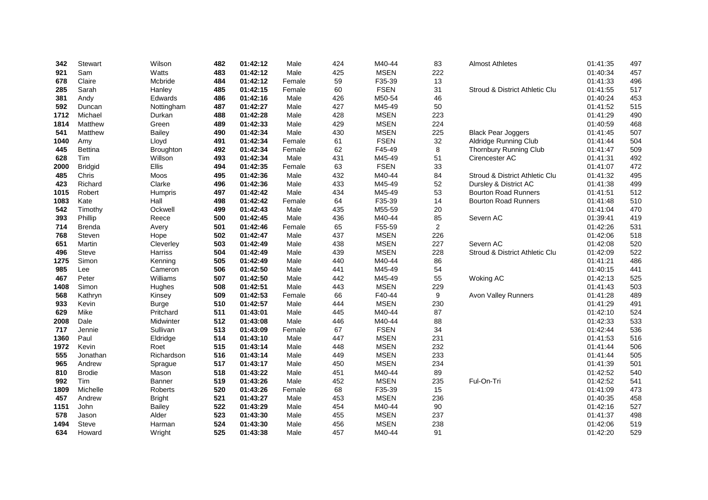| 342  | Stewart        | Wilson        | 482 | 01:42:12 | Male   | 424 | M40-44      | 83             | <b>Almost Athletes</b>         | 01:41:35 | 497 |
|------|----------------|---------------|-----|----------|--------|-----|-------------|----------------|--------------------------------|----------|-----|
| 921  | Sam            | Watts         | 483 | 01:42:12 | Male   | 425 | <b>MSEN</b> | 222            |                                | 01:40:34 | 457 |
| 678  | Claire         | Mcbride       | 484 | 01:42:12 | Female | 59  | F35-39      | 13             |                                | 01:41:33 | 496 |
| 285  | Sarah          | Hanley        | 485 | 01:42:15 | Female | 60  | <b>FSEN</b> | 31             | Stroud & District Athletic Clu | 01:41:55 | 517 |
| 381  | Andy           | Edwards       | 486 | 01:42:16 | Male   | 426 | M50-54      | 46             |                                | 01:40:24 | 453 |
| 592  | Duncan         | Nottingham    | 487 | 01:42:27 | Male   | 427 | M45-49      | 50             |                                | 01:41:52 | 515 |
| 1712 | Michael        | Durkan        | 488 | 01:42:28 | Male   | 428 | <b>MSEN</b> | 223            |                                | 01:41:29 | 490 |
| 1814 | Matthew        | Green         | 489 | 01:42:33 | Male   | 429 | <b>MSEN</b> | 224            |                                | 01:40:59 | 468 |
| 541  | Matthew        | Bailey        | 490 | 01:42:34 | Male   | 430 | <b>MSEN</b> | 225            | <b>Black Pear Joggers</b>      | 01:41:45 | 507 |
| 1040 | Amy            | Lloyd         | 491 | 01:42:34 | Female | 61  | <b>FSEN</b> | 32             | Aldridge Running Club          | 01:41:44 | 504 |
| 445  | <b>Bettina</b> | Broughton     | 492 | 01:42:34 | Female | 62  | F45-49      | 8              | Thornbury Running Club         | 01:41:47 | 509 |
| 628  | Tim            | Willson       | 493 | 01:42:34 | Male   | 431 | M45-49      | 51             | Cirencester AC                 | 01:41:31 | 492 |
| 2000 | <b>Bridgid</b> | <b>Ellis</b>  | 494 | 01:42:35 | Female | 63  | <b>FSEN</b> | 33             |                                | 01:41:07 | 472 |
| 485  | Chris          | Moos          | 495 | 01:42:36 | Male   | 432 | M40-44      | 84             | Stroud & District Athletic Clu | 01:41:32 | 495 |
| 423  | Richard        | Clarke        | 496 | 01:42:36 | Male   | 433 | M45-49      | 52             | Dursley & District AC          | 01:41:38 | 499 |
| 1015 | Robert         | Humpris       | 497 | 01:42:42 | Male   | 434 | M45-49      | 53             | <b>Bourton Road Runners</b>    | 01:41:51 | 512 |
| 1083 | Kate           | Hall          | 498 | 01:42:42 | Female | 64  | F35-39      | 14             | <b>Bourton Road Runners</b>    | 01:41:48 | 510 |
| 542  | Timothy        | Ockwell       | 499 | 01:42:43 | Male   | 435 | M55-59      | 20             |                                | 01:41:04 | 470 |
| 393  | Phillip        | Reece         | 500 | 01:42:45 | Male   | 436 | M40-44      | 85             | Severn AC                      | 01:39:41 | 419 |
| 714  | <b>Brenda</b>  | Avery         | 501 | 01:42:46 | Female | 65  | F55-59      | $\overline{2}$ |                                | 01:42:26 | 531 |
| 768  | Steven         | Hope          | 502 | 01:42:47 | Male   | 437 | <b>MSEN</b> | 226            |                                | 01:42:06 | 518 |
| 651  | Martin         | Cleverley     | 503 | 01:42:49 | Male   | 438 | <b>MSEN</b> | 227            | Severn AC                      | 01:42:08 | 520 |
| 496  | Steve          | Harriss       | 504 | 01:42:49 | Male   | 439 | <b>MSEN</b> | 228            | Stroud & District Athletic Clu | 01:42:09 | 522 |
| 1275 | Simon          | Kenning       | 505 | 01:42:49 | Male   | 440 | M40-44      | 86             |                                | 01:41:21 | 486 |
| 985  | Lee            | Cameron       | 506 | 01:42:50 | Male   | 441 | M45-49      | 54             |                                | 01:40:15 | 441 |
| 467  | Peter          | Williams      | 507 | 01:42:50 | Male   | 442 | M45-49      | 55             | <b>Woking AC</b>               | 01:42:13 | 525 |
| 1408 | Simon          | Hughes        | 508 | 01:42:51 | Male   | 443 | <b>MSEN</b> | 229            |                                | 01:41:43 | 503 |
| 568  | Kathryn        | Kinsey        | 509 | 01:42:53 | Female | 66  | F40-44      | 9              | Avon Valley Runners            | 01:41:28 | 489 |
| 933  | Kevin          | <b>Burge</b>  | 510 | 01:42:57 | Male   | 444 | <b>MSEN</b> | 230            |                                | 01:41:29 | 491 |
| 629  | Mike           | Pritchard     | 511 | 01:43:01 | Male   | 445 | M40-44      | 87             |                                | 01:42:10 | 524 |
| 2008 | Dale           | Midwinter     | 512 | 01:43:08 | Male   | 446 | M40-44      | 88             |                                | 01:42:33 | 533 |
| 717  | Jennie         | Sullivan      | 513 | 01:43:09 | Female | 67  | <b>FSEN</b> | 34             |                                | 01:42:44 | 536 |
| 1360 | Paul           | Eldridge      | 514 | 01:43:10 | Male   | 447 | <b>MSEN</b> | 231            |                                | 01:41:53 | 516 |
| 1972 | Kevin          | Roet          | 515 | 01:43:14 | Male   | 448 | <b>MSEN</b> | 232            |                                | 01:41:44 | 506 |
| 555  | Jonathan       | Richardson    | 516 | 01:43:14 | Male   | 449 | <b>MSEN</b> | 233            |                                | 01:41:44 | 505 |
| 965  | Andrew         | Sprague       | 517 | 01:43:17 | Male   | 450 | <b>MSEN</b> | 234            |                                | 01:41:39 | 501 |
| 810  | <b>Brodie</b>  | Mason         | 518 | 01:43:22 | Male   | 451 | M40-44      | 89             |                                | 01:42:52 | 540 |
| 992  | Tim            | Banner        | 519 | 01:43:26 | Male   | 452 | <b>MSEN</b> | 235            | Ful-On-Tri                     | 01:42:52 | 541 |
| 1809 | Michelle       | Roberts       | 520 | 01:43:26 | Female | 68  | F35-39      | 15             |                                | 01:41:09 | 473 |
| 457  | Andrew         | <b>Bright</b> | 521 | 01:43:27 | Male   | 453 | <b>MSEN</b> | 236            |                                | 01:40:35 | 458 |
| 1151 | John           | <b>Bailey</b> | 522 | 01:43:29 | Male   | 454 | M40-44      | 90             |                                | 01:42:16 | 527 |
| 578  | Jason          | Alder         | 523 | 01:43:30 | Male   | 455 | <b>MSEN</b> | 237            |                                | 01:41:37 | 498 |
| 1494 | <b>Steve</b>   | Harman        | 524 | 01:43:30 | Male   | 456 | <b>MSEN</b> | 238            |                                | 01:42:06 | 519 |
| 634  | Howard         | Wright        | 525 | 01:43:38 | Male   | 457 | M40-44      | 91             |                                | 01:42:20 | 529 |
|      |                |               |     |          |        |     |             |                |                                |          |     |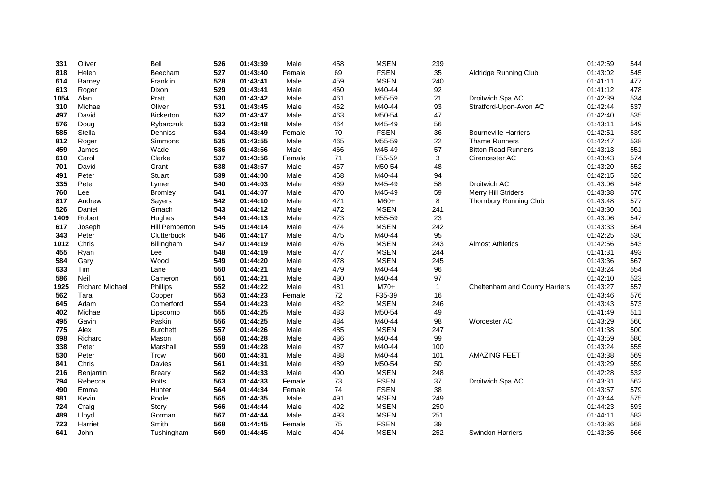| 331  | Oliver                 | Bell             | 526 | 01:43:39 | Male   | 458 | <b>MSEN</b> | 239          |                                | 01:42:59 | 544 |
|------|------------------------|------------------|-----|----------|--------|-----|-------------|--------------|--------------------------------|----------|-----|
| 818  | Helen                  | Beecham          | 527 | 01:43:40 | Female | 69  | <b>FSEN</b> | 35           | Aldridge Running Club          | 01:43:02 | 545 |
| 614  | Barney                 | Franklin         | 528 | 01:43:41 | Male   | 459 | <b>MSEN</b> | 240          |                                | 01:41:11 | 477 |
| 613  | Roger                  | Dixon            | 529 | 01:43:41 | Male   | 460 | M40-44      | 92           |                                | 01:41:12 | 478 |
| 1054 | Alan                   | Pratt            | 530 | 01:43:42 | Male   | 461 | M55-59      | 21           | Droitwich Spa AC               | 01:42:39 | 534 |
| 310  | Michael                | Oliver           | 531 | 01:43:45 | Male   | 462 | M40-44      | 93           | Stratford-Upon-Avon AC         | 01:42:44 | 537 |
| 497  | David                  | <b>Bickerton</b> | 532 | 01:43:47 | Male   | 463 | M50-54      | 47           |                                | 01:42:40 | 535 |
| 576  | Doug                   | Rybarczuk        | 533 | 01:43:48 | Male   | 464 | M45-49      | 56           |                                | 01:43:11 | 549 |
| 585  | <b>Stella</b>          | Denniss          | 534 | 01:43:49 | Female | 70  | <b>FSEN</b> | 36           | <b>Bourneville Harriers</b>    | 01:42:51 | 539 |
| 812  | Roger                  | Simmons          | 535 | 01:43:55 | Male   | 465 | M55-59      | 22           | <b>Thame Runners</b>           | 01:42:47 | 538 |
| 459  | James                  | Wade             | 536 | 01:43:56 | Male   | 466 | M45-49      | 57           | <b>Bitton Road Runners</b>     | 01:43:13 | 551 |
| 610  | Carol                  | Clarke           | 537 | 01:43:56 | Female | 71  | F55-59      | 3            | Cirencester AC                 | 01:43:43 | 574 |
| 701  | David                  | Grant            | 538 | 01:43:57 | Male   | 467 | M50-54      | 48           |                                | 01:43:20 | 552 |
| 491  | Peter                  | Stuart           | 539 | 01:44:00 | Male   | 468 | M40-44      | 94           |                                | 01:42:15 | 526 |
| 335  | Peter                  | Lymer            | 540 | 01:44:03 | Male   | 469 | M45-49      | 58           | Droitwich AC                   | 01:43:06 | 548 |
| 760  | Lee                    | <b>Bromley</b>   | 541 | 01:44:07 | Male   | 470 | M45-49      | 59           | Merry Hill Striders            | 01:43:38 | 570 |
| 817  | Andrew                 | Sayers           | 542 | 01:44:10 | Male   | 471 | M60+        | 8            | Thornbury Running Club         | 01:43:48 | 577 |
| 526  | Daniel                 | Gmach            | 543 | 01:44:12 | Male   | 472 | <b>MSEN</b> | 241          |                                | 01:43:30 | 561 |
| 1409 | Robert                 | Hughes           | 544 | 01:44:13 | Male   | 473 | M55-59      | 23           |                                | 01:43:06 | 547 |
| 617  | Joseph                 | Hill Pemberton   | 545 | 01:44:14 | Male   | 474 | <b>MSEN</b> | 242          |                                | 01:43:33 | 564 |
| 343  | Peter                  | Clutterbuck      | 546 | 01:44:17 | Male   | 475 | M40-44      | 95           |                                | 01:42:25 | 530 |
| 1012 | Chris                  | Billingham       | 547 | 01:44:19 | Male   | 476 | <b>MSEN</b> | 243          | <b>Almost Athletics</b>        | 01:42:56 | 543 |
| 455  | Ryan                   | Lee              | 548 | 01:44:19 | Male   | 477 | <b>MSEN</b> | 244          |                                | 01:41:31 | 493 |
| 584  | Gary                   | Wood             | 549 | 01:44:20 | Male   | 478 | <b>MSEN</b> | 245          |                                | 01:43:36 | 567 |
| 633  | Tim                    | Lane             | 550 | 01:44:21 | Male   | 479 | M40-44      | 96           |                                | 01:43:24 | 554 |
| 586  | Neil                   | Cameron          | 551 | 01:44:21 | Male   | 480 | M40-44      | 97           |                                | 01:42:10 | 523 |
| 1925 | <b>Richard Michael</b> | Phillips         | 552 | 01:44:22 | Male   | 481 | $M70+$      | $\mathbf{1}$ | Cheltenham and County Harriers | 01:43:27 | 557 |
| 562  | Tara                   | Cooper           | 553 | 01:44:23 | Female | 72  | F35-39      | 16           |                                | 01:43:46 | 576 |
| 645  | Adam                   | Comerford        | 554 | 01:44:23 | Male   | 482 | <b>MSEN</b> | 246          |                                | 01:43:43 | 573 |
| 402  | Michael                | Lipscomb         | 555 | 01:44:25 | Male   | 483 | M50-54      | 49           |                                | 01:41:49 | 511 |
| 495  | Gavin                  | Paskin           | 556 | 01:44:25 | Male   | 484 | M40-44      | 98           | Worcester AC                   | 01:43:29 | 560 |
| 775  | Alex                   | <b>Burchett</b>  | 557 | 01:44:26 | Male   | 485 | <b>MSEN</b> | 247          |                                | 01:41:38 | 500 |
| 698  | Richard                | Mason            | 558 | 01:44:28 | Male   | 486 | M40-44      | 99           |                                | 01:43:59 | 580 |
| 338  | Peter                  | Marshall         | 559 | 01:44:28 | Male   | 487 | M40-44      | 100          |                                | 01:43:24 | 555 |
| 530  | Peter                  | Trow             | 560 | 01:44:31 | Male   | 488 | M40-44      | 101          | <b>AMAZING FEET</b>            | 01:43:38 | 569 |
| 841  | Chris                  | Davies           | 561 | 01:44:31 | Male   | 489 | M50-54      | 50           |                                | 01:43:29 | 559 |
| 216  | Benjamin               | Breary           | 562 | 01:44:33 | Male   | 490 | <b>MSEN</b> | 248          |                                | 01:42:28 | 532 |
| 794  | Rebecca                | Potts            | 563 | 01:44:33 | Female | 73  | <b>FSEN</b> | 37           | Droitwich Spa AC               | 01:43:31 | 562 |
| 490  | Emma                   | Hunter           | 564 | 01:44:34 | Female | 74  | <b>FSEN</b> | 38           |                                | 01:43:57 | 579 |
| 981  | Kevin                  | Poole            | 565 | 01:44:35 | Male   | 491 | <b>MSEN</b> | 249          |                                | 01:43:44 | 575 |
| 724  | Craig                  | Story            | 566 | 01:44:44 | Male   | 492 | <b>MSEN</b> | 250          |                                | 01:44:23 | 593 |
| 489  | Lloyd                  | Gorman           | 567 | 01:44:44 | Male   | 493 | <b>MSEN</b> | 251          |                                | 01:44:11 | 583 |
| 723  | Harriet                | Smith            | 568 | 01:44:45 | Female | 75  | <b>FSEN</b> | 39           |                                | 01:43:36 | 568 |
| 641  | John                   | Tushingham       | 569 | 01:44:45 | Male   | 494 | <b>MSEN</b> | 252          | <b>Swindon Harriers</b>        | 01:43:36 | 566 |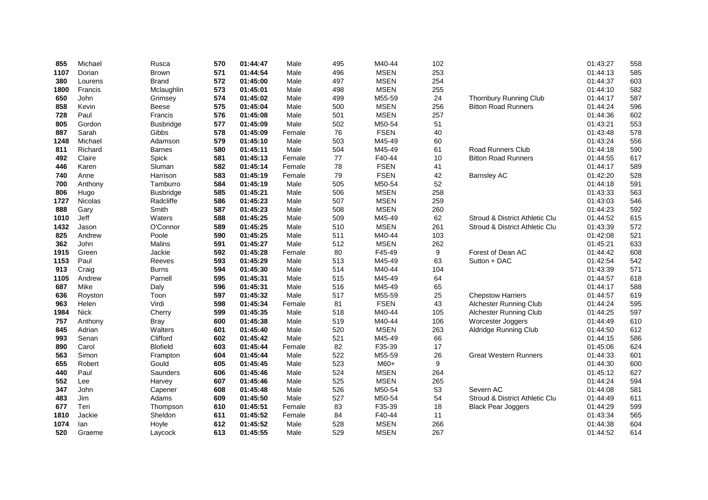| 855  | Michael        | Rusca            | 570 | 01:44:47 | Male   | 495 | M40-44      | 102 |                                | 01:43:27 | 558 |
|------|----------------|------------------|-----|----------|--------|-----|-------------|-----|--------------------------------|----------|-----|
| 1107 | Dorian         | Brown            | 571 | 01:44:54 | Male   | 496 | <b>MSEN</b> | 253 |                                | 01:44:13 | 585 |
| 380  | Lourens        | Brand            | 572 | 01:45:00 | Male   | 497 | <b>MSEN</b> | 254 |                                | 01:44:37 | 603 |
| 1800 | Francis        | Mclaughlin       | 573 | 01:45:01 | Male   | 498 | <b>MSEN</b> | 255 |                                | 01:44:10 | 582 |
| 650  | John           | Grimsey          | 574 | 01:45:02 | Male   | 499 | M55-59      | 24  | Thornbury Running Club         | 01:44:17 | 587 |
| 858  | Kevin          | Beese            | 575 | 01:45:04 | Male   | 500 | <b>MSEN</b> | 256 | <b>Bitton Road Runners</b>     | 01:44:24 | 596 |
| 728  | Paul           | Francis          | 576 | 01:45:08 | Male   | 501 | <b>MSEN</b> | 257 |                                | 01:44:36 | 602 |
| 805  | Gordon         | <b>Busbridge</b> | 577 | 01:45:09 | Male   | 502 | M50-54      | 51  |                                | 01:43:21 | 553 |
| 887  | Sarah          | Gibbs            | 578 | 01:45:09 | Female | 76  | <b>FSEN</b> | 40  |                                | 01:43:48 | 578 |
| 1248 | Michael        | Adamson          | 579 | 01:45:10 | Male   | 503 | M45-49      | 60  |                                | 01:43:24 | 556 |
| 811  | Richard        | <b>Barnes</b>    | 580 | 01:45:11 | Male   | 504 | M45-49      | 61  | <b>Road Runners Club</b>       | 01:44:18 | 590 |
| 492  | Claire         | Spick            | 581 | 01:45:13 | Female | 77  | F40-44      | 10  | <b>Bitton Road Runners</b>     | 01:44:55 | 617 |
| 446  | Karen          | Sluman           | 582 | 01:45:14 | Female | 78  | <b>FSEN</b> | 41  |                                | 01:44:17 | 589 |
| 740  | Anne           | Harrison         | 583 | 01:45:19 | Female | 79  | <b>FSEN</b> | 42  | <b>Barnsley AC</b>             | 01:42:20 | 528 |
| 700  | Anthony        | Tamburro         | 584 | 01:45:19 | Male   | 505 | M50-54      | 52  |                                | 01:44:18 | 591 |
| 806  | Hugo           | <b>Busbridge</b> | 585 | 01:45:21 | Male   | 506 | <b>MSEN</b> | 258 |                                | 01:43:33 | 563 |
| 1727 | <b>Nicolas</b> | Radcliffe        | 586 | 01:45:23 | Male   | 507 | <b>MSEN</b> | 259 |                                | 01:43:03 | 546 |
| 888  | Gary           | Smith            | 587 | 01:45:23 | Male   | 508 | <b>MSEN</b> | 260 |                                | 01:44:23 | 592 |
| 1010 | Jeff           | Waters           | 588 | 01:45:25 | Male   | 509 | M45-49      | 62  | Stroud & District Athletic Clu | 01:44:52 | 615 |
| 1432 | Jason          | O'Connor         | 589 | 01:45:25 | Male   | 510 | <b>MSEN</b> | 261 | Stroud & District Athletic Clu | 01:43:39 | 572 |
| 825  | Andrew         | Poole            | 590 | 01:45:25 | Male   | 511 | M40-44      | 103 |                                | 01:42:08 | 521 |
| 362  | John           | <b>Malins</b>    | 591 | 01:45:27 | Male   | 512 | <b>MSEN</b> | 262 |                                | 01:45:21 | 633 |
| 1915 | Green          | Jackie           | 592 | 01:45:28 | Female | 80  | F45-49      | 9   | Forest of Dean AC              | 01:44:42 | 608 |
| 1153 | Paul           | Reeves           | 593 | 01:45:29 | Male   | 513 | M45-49      | 63  | Sutton + DAC                   | 01:42:54 | 542 |
| 913  | Craig          | <b>Burns</b>     | 594 | 01:45:30 | Male   | 514 | M40-44      | 104 |                                | 01:43:39 | 571 |
| 1105 | Andrew         | Parnell          | 595 | 01:45:31 | Male   | 515 | M45-49      | 64  |                                | 01:44:57 | 618 |
| 687  | Mike           | Daly             | 596 | 01:45:31 | Male   | 516 | M45-49      | 65  |                                | 01:44:17 | 588 |
| 636  | Royston        | Toon             | 597 | 01:45:32 | Male   | 517 | M55-59      | 25  | <b>Chepstow Harriers</b>       | 01:44:57 | 619 |
| 963  | Helen          | Virdi            | 598 | 01:45:34 | Female | 81  | <b>FSEN</b> | 43  | Alchester Running Club         | 01:44:24 | 595 |
| 1984 | <b>Nick</b>    | Cherry           | 599 | 01:45:35 | Male   | 518 | M40-44      | 105 | Alchester Running Club         | 01:44:25 | 597 |
| 757  | Anthony        | <b>Bray</b>      | 600 | 01:45:38 | Male   | 519 | M40-44      | 106 | Worcester Joggers              | 01:44:49 | 610 |
| 845  | Adrian         | Walters          | 601 | 01:45:40 | Male   | 520 | <b>MSEN</b> | 263 | Aldridge Running Club          | 01:44:50 | 612 |
| 993  | Senan          | Clifford         | 602 | 01:45:42 | Male   | 521 | M45-49      | 66  |                                | 01:44:15 | 586 |
| 890  | Carol          | <b>Blofield</b>  | 603 | 01:45:44 | Female | 82  | F35-39      | 17  |                                | 01:45:06 | 624 |
| 563  | Simon          | Frampton         | 604 | 01:45:44 | Male   | 522 | M55-59      | 26  | <b>Great Western Runners</b>   | 01:44:33 | 601 |
| 655  | Robert         | Gould            | 605 | 01:45:45 | Male   | 523 | M60+        | 9   |                                | 01:44:30 | 600 |
| 440  | Paul           | Saunders         | 606 | 01:45:46 | Male   | 524 | <b>MSEN</b> | 264 |                                | 01:45:12 | 627 |
| 552  | Lee            | Harvey           | 607 | 01:45:46 | Male   | 525 | <b>MSEN</b> | 265 |                                | 01:44:24 | 594 |
| 347  | John           | Capener          | 608 | 01:45:48 | Male   | 526 | M50-54      | 53  | Severn AC                      | 01:44:08 | 581 |
| 483  | Jim            | Adams            | 609 | 01:45:50 | Male   | 527 | M50-54      | 54  | Stroud & District Athletic Clu | 01:44:49 | 611 |
| 677  | Teri           | Thompson         | 610 | 01:45:51 | Female | 83  | F35-39      | 18  | <b>Black Pear Joggers</b>      | 01:44:29 | 599 |
| 1810 | Jackie         | Sheldon          | 611 | 01:45:52 | Female | 84  | F40-44      | 11  |                                | 01:43:34 | 565 |
| 1074 | lan            | Hoyle            | 612 | 01:45:52 | Male   | 528 | <b>MSEN</b> | 266 |                                | 01:44:38 | 604 |
| 520  | Graeme         | Laycock          | 613 | 01:45:55 | Male   | 529 | <b>MSEN</b> | 267 |                                | 01:44:52 | 614 |
|      |                |                  |     |          |        |     |             |     |                                |          |     |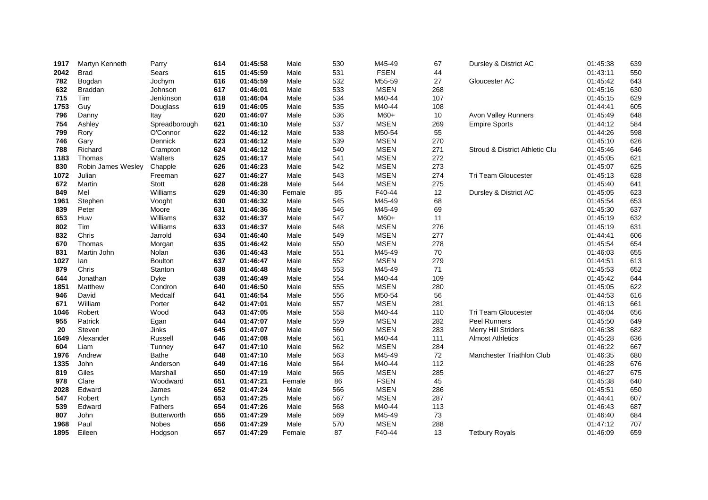| 1917 | Martyn Kenneth     | Parry              | 614 | 01:45:58 | Male   | 530 | M45-49      | 67  | Dursley & District AC          | 01:45:38 | 639 |
|------|--------------------|--------------------|-----|----------|--------|-----|-------------|-----|--------------------------------|----------|-----|
| 2042 | <b>Brad</b>        | Sears              | 615 | 01:45:59 | Male   | 531 | <b>FSEN</b> | 44  |                                | 01:43:11 | 550 |
| 782  | Bogdan             | Jochym             | 616 | 01:45:59 | Male   | 532 | M55-59      | 27  | Gloucester AC                  | 01:45:42 | 643 |
| 632  | <b>Braddan</b>     | Johnson            | 617 | 01:46:01 | Male   | 533 | <b>MSEN</b> | 268 |                                | 01:45:16 | 630 |
| 715  | Tim                | Jenkinson          | 618 | 01:46:04 | Male   | 534 | M40-44      | 107 |                                | 01:45:15 | 629 |
| 1753 | Guy                | Douglass           | 619 | 01:46:05 | Male   | 535 | M40-44      | 108 |                                | 01:44:41 | 605 |
| 796  | Danny              | Itay               | 620 | 01:46:07 | Male   | 536 | M60+        | 10  | <b>Avon Valley Runners</b>     | 01:45:49 | 648 |
| 754  | Ashley             | Spreadborough      | 621 | 01:46:10 | Male   | 537 | <b>MSEN</b> | 269 | <b>Empire Sports</b>           | 01:44:12 | 584 |
| 799  | Rory               | O'Connor           | 622 | 01:46:12 | Male   | 538 | M50-54      | 55  |                                | 01:44:26 | 598 |
| 746  | Gary               | Dennick            | 623 | 01:46:12 | Male   | 539 | <b>MSEN</b> | 270 |                                | 01:45:10 | 626 |
| 788  | Richard            | Crampton           | 624 | 01:46:12 | Male   | 540 | <b>MSEN</b> | 271 | Stroud & District Athletic Clu | 01:45:46 | 646 |
| 1183 | Thomas             | Walters            | 625 | 01:46:17 | Male   | 541 | <b>MSEN</b> | 272 |                                | 01:45:05 | 621 |
| 830  | Robin James Wesley | Chapple            | 626 | 01:46:23 | Male   | 542 | <b>MSEN</b> | 273 |                                | 01:45:07 | 625 |
| 1072 | Julian             | Freeman            | 627 | 01:46:27 | Male   | 543 | <b>MSEN</b> | 274 | Tri Team Gloucester            | 01:45:13 | 628 |
| 672  | Martin             | Stott              | 628 | 01:46:28 | Male   | 544 | <b>MSEN</b> | 275 |                                | 01:45:40 | 641 |
| 849  | Mel                | Williams           | 629 | 01:46:30 | Female | 85  | F40-44      | 12  | Dursley & District AC          | 01:45:05 | 623 |
| 1961 | Stephen            | Vooght             | 630 | 01:46:32 | Male   | 545 | M45-49      | 68  |                                | 01:45:54 | 653 |
| 839  | Peter              | Moore              | 631 | 01:46:36 | Male   | 546 | M45-49      | 69  |                                | 01:45:30 | 637 |
| 653  | Huw                | Williams           | 632 | 01:46:37 | Male   | 547 | M60+        | 11  |                                | 01:45:19 | 632 |
| 802  | Tim                | Williams           | 633 | 01:46:37 | Male   | 548 | <b>MSEN</b> | 276 |                                | 01:45:19 | 631 |
| 832  | Chris              | Jarrold            | 634 | 01:46:40 | Male   | 549 | <b>MSEN</b> | 277 |                                | 01:44:41 | 606 |
| 670  | Thomas             | Morgan             | 635 | 01:46:42 | Male   | 550 | <b>MSEN</b> | 278 |                                | 01:45:54 | 654 |
| 831  | Martin John        | Nolan              | 636 | 01:46:43 | Male   | 551 | M45-49      | 70  |                                | 01:46:03 | 655 |
| 1027 | lan                | <b>Boulton</b>     | 637 | 01:46:47 | Male   | 552 | <b>MSEN</b> | 279 |                                | 01:44:51 | 613 |
| 879  | Chris              | Stanton            | 638 | 01:46:48 | Male   | 553 | M45-49      | 71  |                                | 01:45:53 | 652 |
| 644  | Jonathan           | Dyke               | 639 | 01:46:49 | Male   | 554 | M40-44      | 109 |                                | 01:45:42 | 644 |
| 1851 | Matthew            | Condron            | 640 | 01:46:50 | Male   | 555 | <b>MSEN</b> | 280 |                                | 01:45:05 | 622 |
| 946  | David              | Medcalf            | 641 | 01:46:54 | Male   | 556 | M50-54      | 56  |                                | 01:44:53 | 616 |
| 671  | William            | Porter             | 642 | 01:47:01 | Male   | 557 | <b>MSEN</b> | 281 |                                | 01:46:13 | 661 |
| 1046 | Robert             | Wood               | 643 | 01:47:05 | Male   | 558 | M40-44      | 110 | Tri Team Gloucester            | 01:46:04 | 656 |
| 955  | Patrick            | Egan               | 644 | 01:47:07 | Male   | 559 | <b>MSEN</b> | 282 | Peel Runners                   | 01:45:50 | 649 |
| 20   | Steven             | Jinks              | 645 | 01:47:07 | Male   | 560 | <b>MSEN</b> | 283 | <b>Merry Hill Striders</b>     | 01:46:38 | 682 |
| 1649 | Alexander          | Russell            | 646 | 01:47:08 | Male   | 561 | M40-44      | 111 | <b>Almost Athletics</b>        | 01:45:28 | 636 |
| 604  | Liam               | Tunney             | 647 | 01:47:10 | Male   | 562 | <b>MSEN</b> | 284 |                                | 01:46:22 | 667 |
| 1976 | Andrew             | <b>Bathe</b>       | 648 | 01:47:10 | Male   | 563 | M45-49      | 72  | Manchester Triathlon Club      | 01:46:35 | 680 |
| 1335 | John               | Anderson           | 649 | 01:47:16 | Male   | 564 | M40-44      | 112 |                                | 01:46:28 | 676 |
| 819  | Giles              | Marshall           | 650 | 01:47:19 | Male   | 565 | <b>MSEN</b> | 285 |                                | 01:46:27 | 675 |
| 978  | Clare              | Woodward           | 651 | 01:47:21 | Female | 86  | <b>FSEN</b> | 45  |                                | 01:45:38 | 640 |
| 2028 | Edward             | James              | 652 | 01:47:24 | Male   | 566 | <b>MSEN</b> | 286 |                                | 01:45:51 | 650 |
| 547  | Robert             | Lynch              | 653 | 01:47:25 | Male   | 567 | <b>MSEN</b> | 287 |                                | 01:44:41 | 607 |
| 539  | Edward             | Fathers            | 654 | 01:47:26 | Male   | 568 | M40-44      | 113 |                                | 01:46:43 | 687 |
| 807  | John               | <b>Butterworth</b> | 655 | 01:47:29 | Male   | 569 | M45-49      | 73  |                                | 01:46:40 | 684 |
| 1968 | Paul               | <b>Nobes</b>       | 656 | 01:47:29 | Male   | 570 | <b>MSEN</b> | 288 |                                | 01:47:12 | 707 |
| 1895 | Eileen             | Hodgson            | 657 | 01:47:29 | Female | 87  | F40-44      | 13  | <b>Tetbury Royals</b>          | 01:46:09 | 659 |
|      |                    |                    |     |          |        |     |             |     |                                |          |     |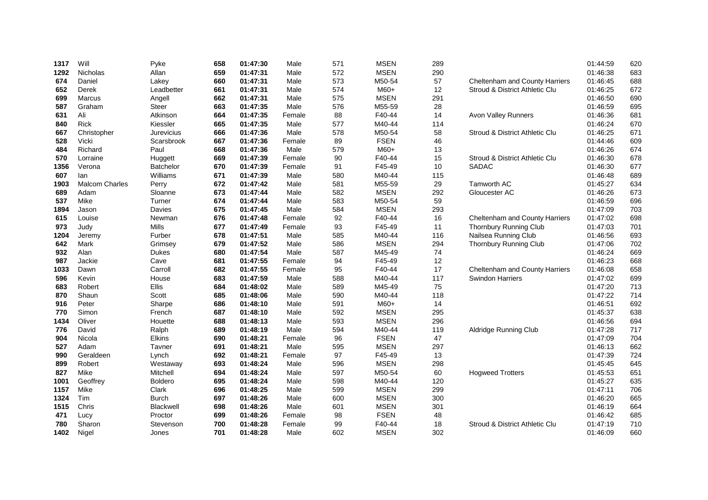| 1317 | Will           | Pyke             | 658 | 01:47:30 | Male   | 571 | <b>MSEN</b> | 289 |                                       | 01:44:59 | 620 |
|------|----------------|------------------|-----|----------|--------|-----|-------------|-----|---------------------------------------|----------|-----|
| 1292 | Nicholas       | Allan            | 659 | 01:47:31 | Male   | 572 | <b>MSEN</b> | 290 |                                       | 01:46:38 | 683 |
| 674  | Daniel         | Lakey            | 660 | 01:47:31 | Male   | 573 | M50-54      | 57  | Cheltenham and County Harriers        | 01:46:45 | 688 |
| 652  | Derek          | Leadbetter       | 661 | 01:47:31 | Male   | 574 | M60+        | 12  | Stroud & District Athletic Clu        | 01:46:25 | 672 |
| 699  | Marcus         | Angell           | 662 | 01:47:31 | Male   | 575 | <b>MSEN</b> | 291 |                                       | 01:46:50 | 690 |
| 587  | Graham         | <b>Steer</b>     | 663 | 01:47:35 | Male   | 576 | M55-59      | 28  |                                       | 01:46:59 | 695 |
| 631  | Ali            | Atkinson         | 664 | 01:47:35 | Female | 88  | F40-44      | 14  | Avon Valley Runners                   | 01:46:36 | 681 |
| 840  | Rick           | Kiessler         | 665 | 01:47:35 | Male   | 577 | M40-44      | 114 |                                       | 01:46:24 | 670 |
| 667  | Christopher    | Jurevicius       | 666 | 01:47:36 | Male   | 578 | M50-54      | 58  | Stroud & District Athletic Clu        | 01:46:25 | 671 |
| 528  | Vicki          | Scarsbrook       | 667 | 01:47:36 | Female | 89  | <b>FSEN</b> | 46  |                                       | 01:44:46 | 609 |
| 484  | Richard        | Paul             | 668 | 01:47:36 | Male   | 579 | $M60+$      | 13  |                                       | 01:46:26 | 674 |
| 570  | Lorraine       | Huggett          | 669 | 01:47:39 | Female | 90  | F40-44      | 15  | Stroud & District Athletic Clu        | 01:46:30 | 678 |
| 1356 | Verona         | <b>Batchelor</b> | 670 | 01:47:39 | Female | 91  | F45-49      | 10  | <b>SADAC</b>                          | 01:46:30 | 677 |
| 607  | lan            | Williams         | 671 | 01:47:39 | Male   | 580 | M40-44      | 115 |                                       | 01:46:48 | 689 |
| 1903 | Malcom Charles | Perry            | 672 | 01:47:42 | Male   | 581 | M55-59      | 29  | Tamworth AC                           | 01:45:27 | 634 |
| 689  | Adam           | Sloanne          | 673 | 01:47:44 | Male   | 582 | <b>MSEN</b> | 292 | Gloucester AC                         | 01:46:26 | 673 |
| 537  | Mike           | Turner           | 674 | 01:47:44 | Male   | 583 | M50-54      | 59  |                                       | 01:46:59 | 696 |
| 1894 | Jason          | Davies           | 675 | 01:47:45 | Male   | 584 | <b>MSEN</b> | 293 |                                       | 01:47:09 | 703 |
| 615  | Louise         | Newman           | 676 | 01:47:48 | Female | 92  | F40-44      | 16  | <b>Cheltenham and County Harriers</b> | 01:47:02 | 698 |
| 973  | Judy           | <b>Mills</b>     | 677 | 01:47:49 | Female | 93  | F45-49      | 11  | Thornbury Running Club                | 01:47:03 | 701 |
| 1204 | Jeremy         | Furber           | 678 | 01:47:51 | Male   | 585 | M40-44      | 116 | Nailsea Running Club                  | 01:46:56 | 693 |
| 642  | Mark           | Grimsey          | 679 | 01:47:52 | Male   | 586 | <b>MSEN</b> | 294 | Thornbury Running Club                | 01:47:06 | 702 |
| 932  | Alan           | Dukes            | 680 | 01:47:54 | Male   | 587 | M45-49      | 74  |                                       | 01:46:24 | 669 |
| 987  | Jackie         | Cave             | 681 | 01:47:55 | Female | 94  | F45-49      | 12  |                                       | 01:46:23 | 668 |
| 1033 | Dawn           | Carroll          | 682 | 01:47:55 | Female | 95  | F40-44      | 17  | Cheltenham and County Harriers        | 01:46:08 | 658 |
| 596  | Kevin          | House            | 683 | 01:47:59 | Male   | 588 | M40-44      | 117 | <b>Swindon Harriers</b>               | 01:47:02 | 699 |
| 683  | Robert         | Ellis            | 684 | 01:48:02 | Male   | 589 | M45-49      | 75  |                                       | 01:47:20 | 713 |
| 870  | Shaun          | Scott            | 685 | 01:48:06 | Male   | 590 | M40-44      | 118 |                                       | 01:47:22 | 714 |
| 916  | Peter          | Sharpe           | 686 | 01:48:10 | Male   | 591 | $M60+$      | 14  |                                       | 01:46:51 | 692 |
| 770  | Simon          | French           | 687 | 01:48:10 | Male   | 592 | <b>MSEN</b> | 295 |                                       | 01:45:37 | 638 |
| 1434 | Oliver         | Houette          | 688 | 01:48:13 | Male   | 593 | <b>MSEN</b> | 296 |                                       | 01:46:56 | 694 |
| 776  | David          | Ralph            | 689 | 01:48:19 | Male   | 594 | M40-44      | 119 | Aldridge Running Club                 | 01:47:28 | 717 |
| 904  | Nicola         | Elkins           | 690 | 01:48:21 | Female | 96  | <b>FSEN</b> | 47  |                                       | 01:47:09 | 704 |
| 527  | Adam           | Tavner           | 691 | 01:48:21 | Male   | 595 | <b>MSEN</b> | 297 |                                       | 01:46:13 | 662 |
| 990  | Geraldeen      | Lynch            | 692 | 01:48:21 | Female | 97  | F45-49      | 13  |                                       | 01:47:39 | 724 |
| 899  | Robert         | Westaway         | 693 | 01:48:24 | Male   | 596 | <b>MSEN</b> | 298 |                                       | 01:45:45 | 645 |
| 827  | Mike           | Mitchell         | 694 | 01:48:24 | Male   | 597 | M50-54      | 60  | <b>Hogweed Trotters</b>               | 01:45:53 | 651 |
| 1001 | Geoffrey       | <b>Boldero</b>   | 695 | 01:48:24 | Male   | 598 | M40-44      | 120 |                                       | 01:45:27 | 635 |
| 1157 | Mike           | Clark            | 696 | 01:48:25 | Male   | 599 | <b>MSEN</b> | 299 |                                       | 01:47:11 | 706 |
| 1324 | Tim            | <b>Burch</b>     | 697 | 01:48:26 | Male   | 600 | <b>MSEN</b> | 300 |                                       | 01:46:20 | 665 |
| 1515 | Chris          | Blackwell        | 698 | 01:48:26 | Male   | 601 | <b>MSEN</b> | 301 |                                       | 01:46:19 | 664 |
| 471  | Lucy           | Proctor          | 699 | 01:48:26 | Female | 98  | <b>FSEN</b> | 48  |                                       | 01:46:42 | 685 |
| 780  | Sharon         | Stevenson        | 700 | 01:48:28 | Female | 99  | F40-44      | 18  | Stroud & District Athletic Clu        | 01:47:19 | 710 |
| 1402 | Nigel          | Jones            | 701 | 01:48:28 | Male   | 602 | <b>MSEN</b> | 302 |                                       | 01:46:09 | 660 |
|      |                |                  |     |          |        |     |             |     |                                       |          |     |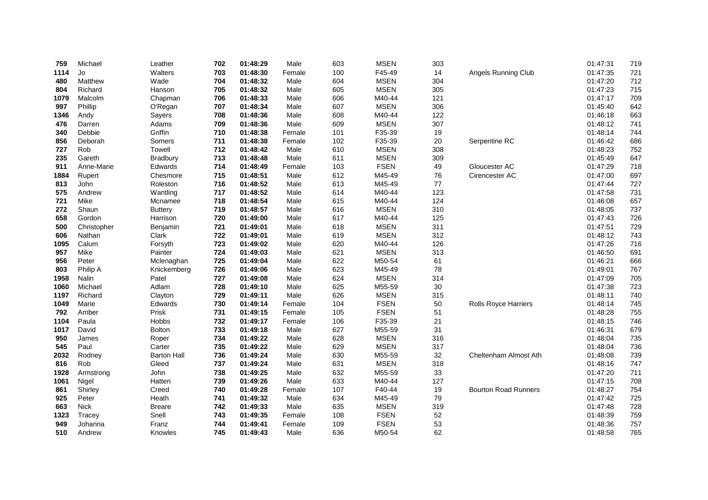| 759  | Michael     | Leather            | 702 | 01:48:29 | Male   | 603 | <b>MSEN</b> | 303 |                             | 01:47:31 | 719 |
|------|-------------|--------------------|-----|----------|--------|-----|-------------|-----|-----------------------------|----------|-----|
| 1114 | Jo          | Walters            | 703 | 01:48:30 | Female | 100 | F45-49      | 14  | Angels Running Club         | 01:47:35 | 721 |
| 480  | Matthew     | Wade               | 704 | 01:48:32 | Male   | 604 | <b>MSEN</b> | 304 |                             | 01:47:20 | 712 |
| 804  | Richard     | Hanson             | 705 | 01:48:32 | Male   | 605 | <b>MSEN</b> | 305 |                             | 01:47:23 | 715 |
| 1079 | Malcolm     | Chapman            | 706 | 01:48:33 | Male   | 606 | M40-44      | 121 |                             | 01:47:17 | 709 |
| 997  | Phillip     | O'Regan            | 707 | 01:48:34 | Male   | 607 | <b>MSEN</b> | 306 |                             | 01:45:40 | 642 |
| 1346 | Andy        | Sayers             | 708 | 01:48:36 | Male   | 608 | M40-44      | 122 |                             | 01:46:18 | 663 |
| 476  | Darren      | Adams              | 709 | 01:48:36 | Male   | 609 | <b>MSEN</b> | 307 |                             | 01:48:12 | 741 |
| 340  | Debbie      | Griffin            | 710 | 01:48:38 | Female | 101 | F35-39      | 19  |                             | 01:48:14 | 744 |
| 856  | Deborah     | Somers             | 711 | 01:48:38 | Female | 102 | F35-39      | 20  | Serpentine RC               | 01:46:42 | 686 |
| 727  | Rob         | Towell             | 712 | 01:48:42 | Male   | 610 | <b>MSEN</b> | 308 |                             | 01:48:23 | 752 |
| 235  | Gareth      | <b>Bradbury</b>    | 713 | 01:48:48 | Male   | 611 | <b>MSEN</b> | 309 |                             | 01:45:49 | 647 |
| 911  | Anne-Marie  | Edwards            | 714 | 01:48:49 | Female | 103 | <b>FSEN</b> | 49  | Gloucester AC               | 01:47:29 | 718 |
| 1884 | Rupert      | Chesmore           | 715 | 01:48:51 | Male   | 612 | M45-49      | 76  | Cirencester AC              | 01:47:00 | 697 |
| 813  | John        | Roleston           | 716 | 01:48:52 | Male   | 613 | M45-49      | 77  |                             | 01:47:44 | 727 |
| 575  | Andrew      | Wantling           | 717 | 01:48:52 | Male   | 614 | M40-44      | 123 |                             | 01:47:58 | 731 |
| 721  | Mike        | Mcnamee            | 718 | 01:48:54 | Male   | 615 | M40-44      | 124 |                             | 01:46:08 | 657 |
| 272  | Shaun       | <b>Buttery</b>     | 719 | 01:48:57 | Male   | 616 | <b>MSEN</b> | 310 |                             | 01:48:05 | 737 |
| 658  | Gordon      | Harrison           | 720 | 01:49:00 | Male   | 617 | M40-44      | 125 |                             | 01:47:43 | 726 |
| 500  | Christopher | Benjamin           | 721 | 01:49:01 | Male   | 618 | <b>MSEN</b> | 311 |                             | 01:47:51 | 729 |
| 606  | Nathan      | Clark              | 722 | 01:49:01 | Male   | 619 | <b>MSEN</b> | 312 |                             | 01:48:12 | 743 |
| 1095 | Calum       | Forsyth            | 723 | 01:49:02 | Male   | 620 | M40-44      | 126 |                             | 01:47:26 | 716 |
| 957  | Mike        | Painter            | 724 | 01:49:03 | Male   | 621 | <b>MSEN</b> | 313 |                             | 01:46:50 | 691 |
| 956  | Peter       | Mclenaghan         | 725 | 01:49:04 | Male   | 622 | M50-54      | 61  |                             | 01:46:21 | 666 |
| 803  | Philip A    | Knickemberg        | 726 | 01:49:06 | Male   | 623 | M45-49      | 78  |                             | 01:49:01 | 767 |
| 1958 | Nalin       | Patel              | 727 | 01:49:08 | Male   | 624 | <b>MSEN</b> | 314 |                             | 01:47:09 | 705 |
| 1060 | Michael     | Adlam              | 728 | 01:49:10 | Male   | 625 | M55-59      | 30  |                             | 01:47:38 | 723 |
| 1197 | Richard     | Clayton            | 729 | 01:49:11 | Male   | 626 | <b>MSEN</b> | 315 |                             | 01:48:11 | 740 |
| 1049 | Marie       | Edwards            | 730 | 01:49:14 | Female | 104 | <b>FSEN</b> | 50  | <b>Rolls Royce Harriers</b> | 01:48:14 | 745 |
| 792  | Amber       | Prisk              | 731 | 01:49:15 | Female | 105 | <b>FSEN</b> | 51  |                             | 01:48:28 | 755 |
| 1104 | Paula       | Hobbs              | 732 | 01:49:17 | Female | 106 | F35-39      | 21  |                             | 01:48:15 | 746 |
| 1017 | David       | <b>Bolton</b>      | 733 | 01:49:18 | Male   | 627 | M55-59      | 31  |                             | 01:46:31 | 679 |
| 950  | James       | Roper              | 734 | 01:49:22 | Male   | 628 | <b>MSEN</b> | 316 |                             | 01:48:04 | 735 |
| 545  | Paul        | Carter             | 735 | 01:49:22 | Male   | 629 | <b>MSEN</b> | 317 |                             | 01:48:04 | 736 |
| 2032 | Rodney      | <b>Barton Hall</b> | 736 | 01:49:24 | Male   | 630 | M55-59      | 32  | Cheltenham Almost Ath       | 01:48:08 | 739 |
| 816  | Rob         | Gleed              | 737 | 01:49:24 | Male   | 631 | <b>MSEN</b> | 318 |                             | 01:48:16 | 747 |
| 1928 | Armstrong   | John               | 738 | 01:49:25 | Male   | 632 | M55-59      | 33  |                             | 01:47:20 | 711 |
| 1061 | Nigel       | Hatten             | 739 | 01:49:26 | Male   | 633 | M40-44      | 127 |                             | 01:47:15 | 708 |
| 861  | Shirley     | Creed              | 740 | 01:49:28 | Female | 107 | F40-44      | 19  | <b>Bourton Road Runners</b> | 01:48:27 | 754 |
| 925  | Peter       | Heath              | 741 | 01:49:32 | Male   | 634 | M45-49      | 79  |                             | 01:47:42 | 725 |
| 663  | <b>Nick</b> | <b>Breare</b>      | 742 | 01:49:33 | Male   | 635 | <b>MSEN</b> | 319 |                             | 01:47:48 | 728 |
| 1323 | Tracey      | Snell              | 743 | 01:49:35 | Female | 108 | <b>FSEN</b> | 52  |                             | 01:48:39 | 759 |
| 949  | Johanna     | Franz              | 744 | 01:49:41 | Female | 109 | <b>FSEN</b> | 53  |                             | 01:48:36 | 757 |
| 510  | Andrew      | Knowles            | 745 | 01:49:43 | Male   | 636 | M50-54      | 62  |                             | 01:48:58 | 765 |
|      |             |                    |     |          |        |     |             |     |                             |          |     |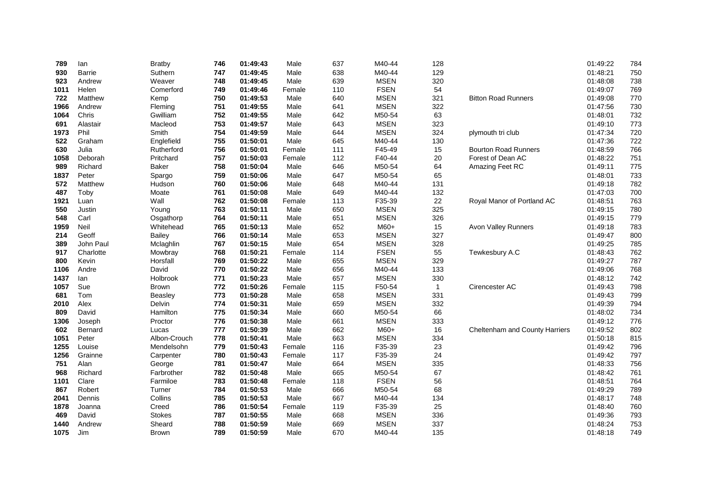| 789  | lan       | <b>Bratby</b> | 746 | 01:49:43 | Male   | 637 | M40-44      | 128          |                                | 01:49:22 | 784 |
|------|-----------|---------------|-----|----------|--------|-----|-------------|--------------|--------------------------------|----------|-----|
| 930  | Barrie    | Suthern       | 747 | 01:49:45 | Male   | 638 | M40-44      | 129          |                                | 01:48:21 | 750 |
| 923  | Andrew    | Weaver        | 748 | 01:49:45 | Male   | 639 | <b>MSEN</b> | 320          |                                | 01:48:08 | 738 |
| 1011 | Helen     | Comerford     | 749 | 01:49:46 | Female | 110 | <b>FSEN</b> | 54           |                                | 01:49:07 | 769 |
| 722  | Matthew   | Kemp          | 750 | 01:49:53 | Male   | 640 | <b>MSEN</b> | 321          | <b>Bitton Road Runners</b>     | 01:49:08 | 770 |
| 1966 | Andrew    | Fleming       | 751 | 01:49:55 | Male   | 641 | <b>MSEN</b> | 322          |                                | 01:47:56 | 730 |
| 1064 | Chris     | Gwilliam      | 752 | 01:49:55 | Male   | 642 | M50-54      | 63           |                                | 01:48:01 | 732 |
| 691  | Alastair  | Macleod       | 753 | 01:49:57 | Male   | 643 | <b>MSEN</b> | 323          |                                | 01:49:10 | 773 |
| 1973 | Phil      | Smith         | 754 | 01:49:59 | Male   | 644 | <b>MSEN</b> | 324          | plymouth tri club              | 01:47:34 | 720 |
| 522  | Graham    | Englefield    | 755 | 01:50:01 | Male   | 645 | M40-44      | 130          |                                | 01:47:36 | 722 |
| 630  | Julia     | Rutherford    | 756 | 01:50:01 | Female | 111 | F45-49      | 15           | <b>Bourton Road Runners</b>    | 01:48:59 | 766 |
| 1058 | Deborah   | Pritchard     | 757 | 01:50:03 | Female | 112 | F40-44      | 20           | Forest of Dean AC              | 01:48:22 | 751 |
| 989  | Richard   | Baker         | 758 | 01:50:04 | Male   | 646 | M50-54      | 64           | Amazing Feet RC                | 01:49:11 | 775 |
| 1837 | Peter     | Spargo        | 759 | 01:50:06 | Male   | 647 | M50-54      | 65           |                                | 01:48:01 | 733 |
| 572  | Matthew   | Hudson        | 760 | 01:50:06 | Male   | 648 | M40-44      | 131          |                                | 01:49:18 | 782 |
| 487  | Toby      | Moate         | 761 | 01:50:08 | Male   | 649 | M40-44      | 132          |                                | 01:47:03 | 700 |
| 1921 | Luan      | Wall          | 762 | 01:50:08 | Female | 113 | F35-39      | 22           | Royal Manor of Portland AC     | 01:48:51 | 763 |
| 550  | Justin    | Young         | 763 | 01:50:11 | Male   | 650 | <b>MSEN</b> | 325          |                                | 01:49:15 | 780 |
| 548  | Carl      | Osgathorp     | 764 | 01:50:11 | Male   | 651 | <b>MSEN</b> | 326          |                                | 01:49:15 | 779 |
| 1959 | Neil      | Whitehead     | 765 | 01:50:13 | Male   | 652 | $M60+$      | 15           | Avon Valley Runners            | 01:49:18 | 783 |
| 214  | Geoff     | <b>Bailey</b> | 766 | 01:50:14 | Male   | 653 | <b>MSEN</b> | 327          |                                | 01:49:47 | 800 |
| 389  | John Paul | Mclaghlin     | 767 | 01:50:15 | Male   | 654 | <b>MSEN</b> | 328          |                                | 01:49:25 | 785 |
| 917  | Charlotte | Mowbray       | 768 | 01:50:21 | Female | 114 | <b>FSEN</b> | 55           | Tewkesbury A.C                 | 01:48:43 | 762 |
| 800  | Kevin     | Horsfall      | 769 | 01:50:22 | Male   | 655 | <b>MSEN</b> | 329          |                                | 01:49:27 | 787 |
| 1106 | Andre     | David         | 770 | 01:50:22 | Male   | 656 | M40-44      | 133          |                                | 01:49:06 | 768 |
| 1437 | lan       | Holbrook      | 771 | 01:50:23 | Male   | 657 | <b>MSEN</b> | 330          |                                | 01:48:12 | 742 |
| 1057 | Sue       | Brown         | 772 | 01:50:26 | Female | 115 | F50-54      | $\mathbf{1}$ | Cirencester AC                 | 01:49:43 | 798 |
| 681  | Tom       | Beasley       | 773 | 01:50:28 | Male   | 658 | <b>MSEN</b> | 331          |                                | 01:49:43 | 799 |
| 2010 | Alex      | Delvin        | 774 | 01:50:31 | Male   | 659 | <b>MSEN</b> | 332          |                                | 01:49:39 | 794 |
| 809  | David     | Hamilton      | 775 | 01:50:34 | Male   | 660 | M50-54      | 66           |                                | 01:48:02 | 734 |
| 1306 | Joseph    | Proctor       | 776 | 01:50:38 | Male   | 661 | <b>MSEN</b> | 333          |                                | 01:49:12 | 776 |
| 602  | Bernard   | Lucas         | 777 | 01:50:39 | Male   | 662 | M60+        | 16           | Cheltenham and County Harriers | 01:49:52 | 802 |
| 1051 | Peter     | Albon-Crouch  | 778 | 01:50:41 | Male   | 663 | <b>MSEN</b> | 334          |                                | 01:50:18 | 815 |
| 1255 | Louise    | Mendelsohn    | 779 | 01:50:43 | Female | 116 | F35-39      | 23           |                                | 01:49:42 | 796 |
| 1256 | Grainne   | Carpenter     | 780 | 01:50:43 | Female | 117 | F35-39      | 24           |                                | 01:49:42 | 797 |
| 751  | Alan      | George        | 781 | 01:50:47 | Male   | 664 | <b>MSEN</b> | 335          |                                | 01:48:33 | 756 |
| 968  | Richard   | Farbrother    | 782 | 01:50:48 | Male   | 665 | M50-54      | 67           |                                | 01:48:42 | 761 |
| 1101 | Clare     | Farmiloe      | 783 | 01:50:48 | Female | 118 | <b>FSEN</b> | 56           |                                | 01:48:51 | 764 |
| 867  | Robert    | Turner        | 784 | 01:50:53 | Male   | 666 | M50-54      | 68           |                                | 01:49:29 | 789 |
| 2041 | Dennis    | Collins       | 785 | 01:50:53 | Male   | 667 | M40-44      | 134          |                                | 01:48:17 | 748 |
| 1878 | Joanna    | Creed         | 786 | 01:50:54 | Female | 119 | F35-39      | 25           |                                | 01:48:40 | 760 |
| 469  | David     | <b>Stokes</b> | 787 | 01:50:55 | Male   | 668 | <b>MSEN</b> | 336          |                                | 01:49:36 | 793 |
| 1440 | Andrew    | Sheard        | 788 | 01:50:59 | Male   | 669 | <b>MSEN</b> | 337          |                                | 01:48:24 | 753 |
| 1075 | Jim       | Brown         | 789 | 01:50:59 | Male   | 670 | M40-44      | 135          |                                | 01:48:18 | 749 |
|      |           |               |     |          |        |     |             |              |                                |          |     |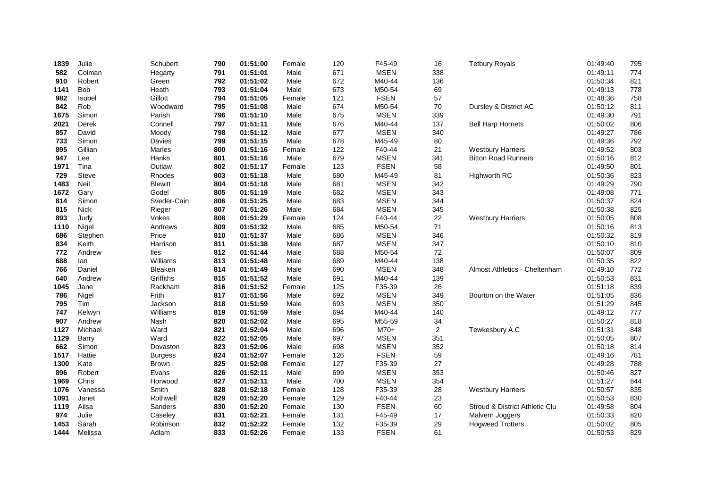| 1839 | Julie         | Schubert       | 790 | 01:51:00 | Female | 120 | F45-49      | 16             | <b>Tetbury Royals</b>          | 01:49:40 | 795 |
|------|---------------|----------------|-----|----------|--------|-----|-------------|----------------|--------------------------------|----------|-----|
| 582  | Colman        | Hegarty        | 791 | 01:51:01 | Male   | 671 | <b>MSEN</b> | 338            |                                | 01:49:11 | 774 |
| 910  | Robert        | Green          | 792 | 01:51:02 | Male   | 672 | M40-44      | 136            |                                | 01:50:34 | 821 |
| 1141 | <b>Bob</b>    | Heath          | 793 | 01:51:04 | Male   | 673 | M50-54      | 69             |                                | 01:49:13 | 778 |
| 982  | <b>Isobel</b> | Gillott        | 794 | 01:51:05 | Female | 121 | <b>FSEN</b> | 57             |                                | 01:48:36 | 758 |
| 842  | Rob           | Woodward       | 795 | 01:51:08 | Male   | 674 | M50-54      | $70\,$         | Dursley & District AC          | 01:50:12 | 811 |
| 1675 | Simon         | Parish         | 796 | 01:51:10 | Male   | 675 | <b>MSEN</b> | 339            |                                | 01:49:30 | 791 |
| 2021 | Derek         | Connell        | 797 | 01:51:11 | Male   | 676 | M40-44      | 137            | <b>Bell Harp Hornets</b>       | 01:50:02 | 806 |
| 857  | David         | Moody          | 798 | 01:51:12 | Male   | 677 | <b>MSEN</b> | 340            |                                | 01:49:27 | 786 |
| 733  | Simon         | Davies         | 799 | 01:51:15 | Male   | 678 | M45-49      | 80             |                                | 01:49:36 | 792 |
| 895  | Gillian       | Marles         | 800 | 01:51:16 | Female | 122 | F40-44      | 21             | <b>Westbury Harriers</b>       | 01:49:52 | 803 |
| 947  | Lee           | Hanks          | 801 | 01:51:16 | Male   | 679 | <b>MSEN</b> | 341            | <b>Bitton Road Runners</b>     | 01:50:16 | 812 |
| 1971 | Tina          | Outlaw         | 802 | 01:51:17 | Female | 123 | <b>FSEN</b> | 58             |                                | 01:49:50 | 801 |
| 729  | <b>Steve</b>  | Rhodes         | 803 | 01:51:18 | Male   | 680 | M45-49      | 81             | <b>Highworth RC</b>            | 01:50:36 | 823 |
| 1483 | Neil          | <b>Blewitt</b> | 804 | 01:51:18 | Male   | 681 | <b>MSEN</b> | 342            |                                | 01:49:29 | 790 |
| 1672 | Gary          | Godel          | 805 | 01:51:19 | Male   | 682 | <b>MSEN</b> | 343            |                                | 01:49:08 | 771 |
| 814  | Simon         | Sveder-Cain    | 806 | 01:51:25 | Male   | 683 | <b>MSEN</b> | 344            |                                | 01:50:37 | 824 |
| 815  | <b>Nick</b>   | Rieger         | 807 | 01:51:26 | Male   | 684 | <b>MSEN</b> | 345            |                                | 01:50:38 | 825 |
| 893  | Judy          | Vokes          | 808 | 01:51:29 | Female | 124 | F40-44      | 22             | <b>Westbury Harriers</b>       | 01:50:05 | 808 |
| 1110 | Nigel         | Andrews        | 809 | 01:51:32 | Male   | 685 | M50-54      | $71$           |                                | 01:50:16 | 813 |
| 686  | Stephen       | Price          | 810 | 01:51:37 | Male   | 686 | <b>MSEN</b> | 346            |                                | 01:50:32 | 819 |
| 834  | Keith         | Harrison       | 811 | 01:51:38 | Male   | 687 | <b>MSEN</b> | 347            |                                | 01:50:10 | 810 |
| 772  | Andrew        | lles           | 812 | 01:51:44 | Male   | 688 | M50-54      | 72             |                                | 01:50:07 | 809 |
| 688  | lan           | Williams       | 813 | 01:51:48 | Male   | 689 | M40-44      | 138            |                                | 01:50:35 | 822 |
| 766  | Daniel        | Bleaken        | 814 | 01:51:49 | Male   | 690 | <b>MSEN</b> | 348            | Almost Athletics - Cheltenham  | 01:49:10 | 772 |
| 640  | Andrew        | Griffiths      | 815 | 01:51:52 | Male   | 691 | M40-44      | 139            |                                | 01:50:53 | 831 |
| 1045 | Jane          | Rackham        | 816 | 01:51:52 | Female | 125 | F35-39      | 26             |                                | 01:51:18 | 839 |
| 786  | Nigel         | Frith          | 817 | 01:51:56 | Male   | 692 | <b>MSEN</b> | 349            | Bourton on the Water           | 01:51:05 | 836 |
| 795  | Tim           | Jackson        | 818 | 01:51:59 | Male   | 693 | <b>MSEN</b> | 350            |                                | 01:51:29 | 845 |
| 747  | Kelwyn        | Williams       | 819 | 01:51:59 | Male   | 694 | M40-44      | 140            |                                | 01:49:12 | 777 |
| 907  | Andrew        | Nash           | 820 | 01:52:02 | Male   | 695 | M55-59      | 34             |                                | 01:50:27 | 818 |
| 1127 | Michael       | Ward           | 821 | 01:52:04 | Male   | 696 | M70+        | $\overline{c}$ | Tewkesbury A.C                 | 01:51:31 | 848 |
| 1129 | Barry         | Ward           | 822 | 01:52:05 | Male   | 697 | <b>MSEN</b> | 351            |                                | 01:50:05 | 807 |
| 662  | Simon         | Dovaston       | 823 | 01:52:06 | Male   | 698 | <b>MSEN</b> | 352            |                                | 01:50:18 | 814 |
| 1517 | Hattie        | <b>Burgess</b> | 824 | 01:52:07 | Female | 126 | <b>FSEN</b> | 59             |                                | 01:49:16 | 781 |
| 1300 | Kate          | Brown          | 825 | 01:52:08 | Female | 127 | F35-39      | 27             |                                | 01:49:28 | 788 |
| 896  | Robert        | Evans          | 826 | 01:52:11 | Male   | 699 | <b>MSEN</b> | 353            |                                | 01:50:46 | 827 |
| 1969 | Chris         | Horwood        | 827 | 01:52:11 | Male   | 700 | <b>MSEN</b> | 354            |                                | 01:51:27 | 844 |
| 1076 | Vanessa       | Smith          | 828 | 01:52:18 | Female | 128 | F35-39      | 28             | <b>Westbury Harriers</b>       | 01:50:57 | 835 |
| 1091 | Janet         | Rothwell       | 829 | 01:52:20 | Female | 129 | F40-44      | 23             |                                | 01:50:53 | 830 |
| 1119 | Ailsa         | Sanders        | 830 | 01:52:20 | Female | 130 | <b>FSEN</b> | 60             | Stroud & District Athletic Clu | 01:49:58 | 804 |
| 974  | Julie         | Caseley        | 831 | 01:52:21 | Female | 131 | F45-49      | 17             | Malvern Joggers                | 01:50:33 | 820 |
| 1453 | Sarah         | Robinson       | 832 | 01:52:22 | Female | 132 | F35-39      | 29             | <b>Hogweed Trotters</b>        | 01:50:02 | 805 |
| 1444 | Melissa       | Adlam          | 833 | 01:52:26 | Female | 133 | <b>FSEN</b> | 61             |                                | 01:50:53 | 829 |
|      |               |                |     |          |        |     |             |                |                                |          |     |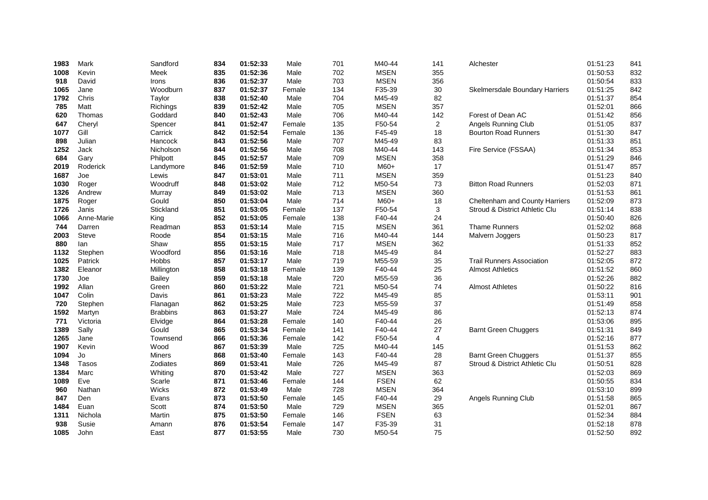| 1983 | Mark         | Sandford        | 834 | 01:52:33 | Male   | 701 | M40-44      | 141            | Alchester                        | 01:51:23 | 841 |
|------|--------------|-----------------|-----|----------|--------|-----|-------------|----------------|----------------------------------|----------|-----|
| 1008 | Kevin        | Meek            | 835 | 01:52:36 | Male   | 702 | <b>MSEN</b> | 355            |                                  | 01:50:53 | 832 |
| 918  | David        | Irons           | 836 | 01:52:37 | Male   | 703 | <b>MSEN</b> | 356            |                                  | 01:50:54 | 833 |
| 1065 | Jane         | Woodburn        | 837 | 01:52:37 | Female | 134 | F35-39      | 30             | Skelmersdale Boundary Harriers   | 01:51:25 | 842 |
| 1792 | Chris        | Taylor          | 838 | 01:52:40 | Male   | 704 | M45-49      | 82             |                                  | 01:51:37 | 854 |
| 785  | Matt         | <b>Richings</b> | 839 | 01:52:42 | Male   | 705 | <b>MSEN</b> | 357            |                                  | 01:52:01 | 866 |
| 620  | Thomas       | Goddard         | 840 | 01:52:43 | Male   | 706 | M40-44      | 142            | Forest of Dean AC                | 01:51:42 | 856 |
| 647  | Cheryl       | Spencer         | 841 | 01:52:47 | Female | 135 | F50-54      | $\overline{c}$ | Angels Running Club              | 01:51:05 | 837 |
| 1077 | Gill         | Carrick         | 842 | 01:52:54 | Female | 136 | F45-49      | 18             | <b>Bourton Road Runners</b>      | 01:51:30 | 847 |
| 898  | Julian       | Hancock         | 843 | 01:52:56 | Male   | 707 | M45-49      | 83             |                                  | 01:51:33 | 851 |
| 1252 | Jack         | Nicholson       | 844 | 01:52:56 | Male   | 708 | M40-44      | 143            | Fire Service (FSSAA)             | 01:51:34 | 853 |
| 684  | Gary         | Philpott        | 845 | 01:52:57 | Male   | 709 | <b>MSEN</b> | 358            |                                  | 01:51:29 | 846 |
| 2019 | Roderick     | Landymore       | 846 | 01:52:59 | Male   | 710 | M60+        | 17             |                                  | 01:51:47 | 857 |
| 1687 | Joe          | Lewis           | 847 | 01:53:01 | Male   | 711 | <b>MSEN</b> | 359            |                                  | 01:51:23 | 840 |
| 1030 | Roger        | Woodruff        | 848 | 01:53:02 | Male   | 712 | M50-54      | 73             | <b>Bitton Road Runners</b>       | 01:52:03 | 871 |
| 1326 | Andrew       | Murray          | 849 | 01:53:02 | Male   | 713 | <b>MSEN</b> | 360            |                                  | 01:51:53 | 861 |
| 1875 | Roger        | Gould           | 850 | 01:53:04 | Male   | 714 | M60+        | 18             | Cheltenham and County Harriers   | 01:52:09 | 873 |
| 1726 | Janis        | Stickland       | 851 | 01:53:05 | Female | 137 | F50-54      | 3              | Stroud & District Athletic Clu   | 01:51:14 | 838 |
| 1066 | Anne-Marie   | King            | 852 | 01:53:05 | Female | 138 | F40-44      | 24             |                                  | 01:50:40 | 826 |
| 744  | Darren       | Readman         | 853 | 01:53:14 | Male   | 715 | <b>MSEN</b> | 361            | <b>Thame Runners</b>             | 01:52:02 | 868 |
| 2003 | <b>Steve</b> | Roode           | 854 | 01:53:15 | Male   | 716 | M40-44      | 144            | Malvern Joggers                  | 01:50:23 | 817 |
| 880  | lan          | Shaw            | 855 | 01:53:15 | Male   | 717 | <b>MSEN</b> | 362            |                                  | 01:51:33 | 852 |
| 1132 | Stephen      | Woodford        | 856 | 01:53:16 | Male   | 718 | M45-49      | 84             |                                  | 01:52:27 | 883 |
| 1025 | Patrick      | Hobbs           | 857 | 01:53:17 | Male   | 719 | M55-59      | 35             | <b>Trail Runners Association</b> | 01:52:05 | 872 |
| 1382 | Eleanor      | Millington      | 858 | 01:53:18 | Female | 139 | F40-44      | 25             | <b>Almost Athletics</b>          | 01:51:52 | 860 |
| 1730 | Joe          | <b>Bailey</b>   | 859 | 01:53:18 | Male   | 720 | M55-59      | 36             |                                  | 01:52:26 | 882 |
| 1992 | Allan        | Green           | 860 | 01:53:22 | Male   | 721 | M50-54      | 74             | <b>Almost Athletes</b>           | 01:50:22 | 816 |
| 1047 | Colin        | Davis           | 861 | 01:53:23 | Male   | 722 | M45-49      | 85             |                                  | 01:53:11 | 901 |
| 720  | Stephen      | Flanagan        | 862 | 01:53:25 | Male   | 723 | M55-59      | 37             |                                  | 01:51:49 | 858 |
| 1592 | Martyn       | <b>Brabbins</b> | 863 | 01:53:27 | Male   | 724 | M45-49      | 86             |                                  | 01:52:13 | 874 |
| 771  | Victoria     | Elvidge         | 864 | 01:53:28 | Female | 140 | F40-44      | 26             |                                  | 01:53:06 | 895 |
| 1389 | Sally        | Gould           | 865 | 01:53:34 | Female | 141 | F40-44      | 27             | <b>Barnt Green Chuggers</b>      | 01:51:31 | 849 |
| 1265 | Jane         | Townsend        | 866 | 01:53:36 | Female | 142 | F50-54      | $\overline{4}$ |                                  | 01:52:16 | 877 |
| 1907 | Kevin        | Wood            | 867 | 01:53:39 | Male   | 725 | M40-44      | 145            |                                  | 01:51:53 | 862 |
| 1094 | Jo           | <b>Miners</b>   | 868 | 01:53:40 | Female | 143 | F40-44      | 28             | <b>Barnt Green Chuggers</b>      | 01:51:37 | 855 |
| 1348 | Tasos        | Zodiates        | 869 | 01:53:41 | Male   | 726 | M45-49      | 87             | Stroud & District Athletic Clu   | 01:50:51 | 828 |
| 1384 | Marc         | Whiting         | 870 | 01:53:42 | Male   | 727 | <b>MSEN</b> | 363            |                                  | 01:52:03 | 869 |
| 1089 | Eve          | Scarle          | 871 | 01:53:46 | Female | 144 | <b>FSEN</b> | 62             |                                  | 01:50:55 | 834 |
| 960  | Nathan       | Wicks           | 872 | 01:53:49 | Male   | 728 | <b>MSEN</b> | 364            |                                  | 01:53:10 | 899 |
| 847  | Den          | Evans           | 873 | 01:53:50 | Female | 145 | F40-44      | 29             | Angels Running Club              | 01:51:58 | 865 |
| 1484 | Euan         | Scott           | 874 | 01:53:50 | Male   | 729 | <b>MSEN</b> | 365            |                                  | 01:52:01 | 867 |
| 1311 | Nichola      | Martin          | 875 | 01:53:50 | Female | 146 | <b>FSEN</b> | 63             |                                  | 01:52:34 | 884 |
| 938  | Susie        | Amann           | 876 | 01:53:54 | Female | 147 | F35-39      | 31             |                                  | 01:52:18 | 878 |
| 1085 | John         | East            | 877 | 01:53:55 | Male   | 730 | M50-54      | 75             |                                  | 01:52:50 | 892 |
|      |              |                 |     |          |        |     |             |                |                                  |          |     |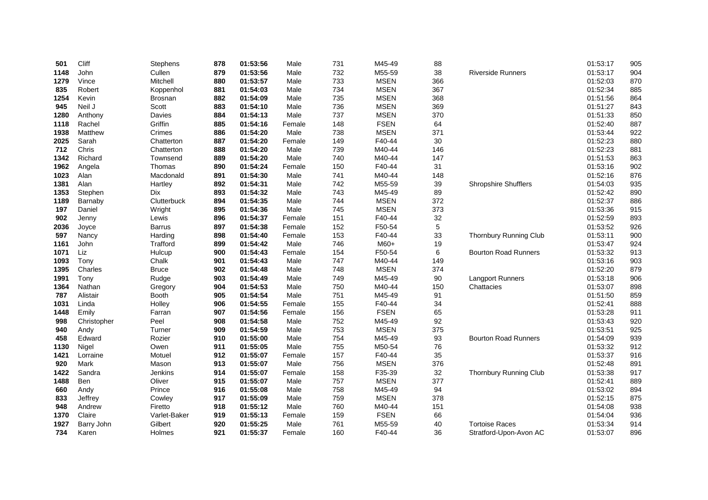| 501  | Cliff       | Stephens      | 878 | 01:53:56 | Male   | 731 | M45-49      | 88          |                             | 01:53:17 | 905 |
|------|-------------|---------------|-----|----------|--------|-----|-------------|-------------|-----------------------------|----------|-----|
| 1148 | John        | Cullen        | 879 | 01:53:56 | Male   | 732 | M55-59      | 38          | <b>Riverside Runners</b>    | 01:53:17 | 904 |
| 1279 | Vince       | Mitchell      | 880 | 01:53:57 | Male   | 733 | <b>MSEN</b> | 366         |                             | 01:52:03 | 870 |
| 835  | Robert      | Koppenhol     | 881 | 01:54:03 | Male   | 734 | <b>MSEN</b> | 367         |                             | 01:52:34 | 885 |
| 1254 | Kevin       | Brosnan       | 882 | 01:54:09 | Male   | 735 | <b>MSEN</b> | 368         |                             | 01:51:56 | 864 |
| 945  | Neil J      | Scott         | 883 | 01:54:10 | Male   | 736 | <b>MSEN</b> | 369         |                             | 01:51:27 | 843 |
| 1280 | Anthony     | Davies        | 884 | 01:54:13 | Male   | 737 | <b>MSEN</b> | 370         |                             | 01:51:33 | 850 |
| 1118 | Rachel      | Griffin       | 885 | 01:54:16 | Female | 148 | <b>FSEN</b> | 64          |                             | 01:52:40 | 887 |
| 1938 | Matthew     | Crimes        | 886 | 01:54:20 | Male   | 738 | <b>MSEN</b> | 371         |                             | 01:53:44 | 922 |
| 2025 | Sarah       | Chatterton    | 887 | 01:54:20 | Female | 149 | F40-44      | 30          |                             | 01:52:23 | 880 |
| 712  | Chris       | Chatterton    | 888 | 01:54:20 | Male   | 739 | M40-44      | 146         |                             | 01:52:23 | 881 |
| 1342 | Richard     | Townsend      | 889 | 01:54:20 | Male   | 740 | M40-44      | 147         |                             | 01:51:53 | 863 |
| 1962 | Angela      | Thomas        | 890 | 01:54:24 | Female | 150 | F40-44      | 31          |                             | 01:53:16 | 902 |
| 1023 | Alan        | Macdonald     | 891 | 01:54:30 | Male   | 741 | M40-44      | 148         |                             | 01:52:16 | 876 |
| 1381 | Alan        | Hartley       | 892 | 01:54:31 | Male   | 742 | M55-59      | 39          | <b>Shropshire Shufflers</b> | 01:54:03 | 935 |
| 1353 | Stephen     | <b>Dix</b>    | 893 | 01:54:32 | Male   | 743 | M45-49      | 89          |                             | 01:52:42 | 890 |
| 1189 | Barnaby     | Clutterbuck   | 894 | 01:54:35 | Male   | 744 | <b>MSEN</b> | 372         |                             | 01:52:37 | 886 |
| 197  | Daniel      | Wright        | 895 | 01:54:36 | Male   | 745 | <b>MSEN</b> | 373         |                             | 01:53:36 | 915 |
| 902  | Jenny       | Lewis         | 896 | 01:54:37 | Female | 151 | F40-44      | 32          |                             | 01:52:59 | 893 |
| 2036 | Joyce       | <b>Barrus</b> | 897 | 01:54:38 | Female | 152 | F50-54      | $\mathbf 5$ |                             | 01:53:52 | 926 |
| 597  | Nancy       | Harding       | 898 | 01:54:40 | Female | 153 | F40-44      | 33          | Thornbury Running Club      | 01:53:11 | 900 |
| 1161 | John        | Trafford      | 899 | 01:54:42 | Male   | 746 | M60+        | 19          |                             | 01:53:47 | 924 |
| 1071 | Liz         | Hulcup        | 900 | 01:54:43 | Female | 154 | F50-54      | 6           | <b>Bourton Road Runners</b> | 01:53:32 | 913 |
| 1093 | Tony        | Chalk         | 901 | 01:54:43 | Male   | 747 | M40-44      | 149         |                             | 01:53:16 | 903 |
| 1395 | Charles     | Bruce         | 902 | 01:54:48 | Male   | 748 | <b>MSEN</b> | 374         |                             | 01:52:20 | 879 |
| 1991 | Tony        | Rudge         | 903 | 01:54:49 | Male   | 749 | M45-49      | 90          | <b>Langport Runners</b>     | 01:53:18 | 906 |
| 1364 | Nathan      | Gregory       | 904 | 01:54:53 | Male   | 750 | M40-44      | 150         | Chattacies                  | 01:53:07 | 898 |
| 787  | Alistair    | <b>Booth</b>  | 905 | 01:54:54 | Male   | 751 | M45-49      | 91          |                             | 01:51:50 | 859 |
| 1031 | Linda       | Holley        | 906 | 01:54:55 | Female | 155 | F40-44      | 34          |                             | 01:52:41 | 888 |
| 1448 | Emily       | Farran        | 907 | 01:54:56 | Female | 156 | <b>FSEN</b> | 65          |                             | 01:53:28 | 911 |
| 998  | Christopher | Peel          | 908 | 01:54:58 | Male   | 752 | M45-49      | 92          |                             | 01:53:43 | 920 |
| 940  | Andy        | Turner        | 909 | 01:54:59 | Male   | 753 | <b>MSEN</b> | 375         |                             | 01:53:51 | 925 |
| 458  | Edward      | Rozier        | 910 | 01:55:00 | Male   | 754 | M45-49      | 93          | <b>Bourton Road Runners</b> | 01:54:09 | 939 |
| 1130 | Nigel       | Owen          | 911 | 01:55:05 | Male   | 755 | M50-54      | 76          |                             | 01:53:32 | 912 |
| 1421 | Lorraine    | Motuel        | 912 | 01:55:07 | Female | 157 | F40-44      | 35          |                             | 01:53:37 | 916 |
| 920  | Mark        | Mason         | 913 | 01:55:07 | Male   | 756 | <b>MSEN</b> | 376         |                             | 01:52:48 | 891 |
| 1422 | Sandra      | Jenkins       | 914 | 01:55:07 | Female | 158 | F35-39      | 32          | Thornbury Running Club      | 01:53:38 | 917 |
| 1488 | <b>Ben</b>  | Oliver        | 915 | 01:55:07 | Male   | 757 | <b>MSEN</b> | 377         |                             | 01:52:41 | 889 |
| 660  | Andy        | Prince        | 916 | 01:55:08 | Male   | 758 | M45-49      | 94          |                             | 01:53:02 | 894 |
| 833  | Jeffrey     | Cowley        | 917 | 01:55:09 | Male   | 759 | <b>MSEN</b> | 378         |                             | 01:52:15 | 875 |
| 948  | Andrew      | Firetto       | 918 | 01:55:12 | Male   | 760 | M40-44      | 151         |                             | 01:54:08 | 938 |
| 1370 | Claire      | Varlet-Baker  | 919 | 01:55:13 | Female | 159 | <b>FSEN</b> | 66          |                             | 01:54:04 | 936 |
| 1927 | Barry John  | Gilbert       | 920 | 01:55:25 | Male   | 761 | M55-59      | 40          | <b>Tortoise Races</b>       | 01:53:34 | 914 |
| 734  | Karen       | Holmes        | 921 | 01:55:37 | Female | 160 | F40-44      | 36          | Stratford-Upon-Avon AC      | 01:53:07 | 896 |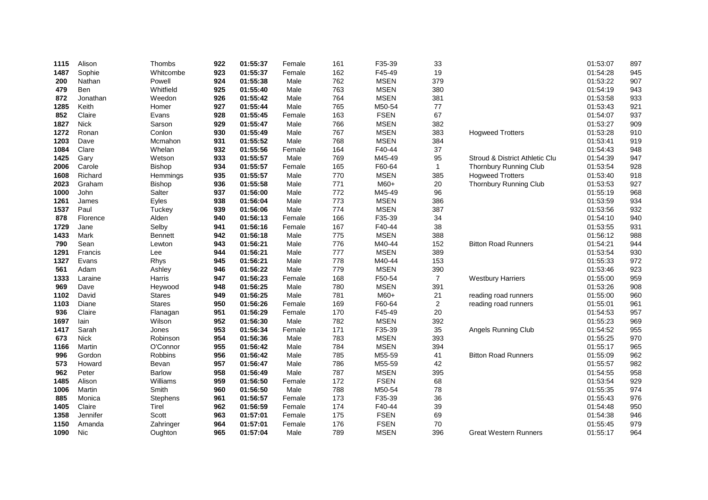| 1115 | Alison      | Thombs         | 922 | 01:55:37 | Female | 161 | F35-39      | 33             |                                | 01:53:07 | 897 |
|------|-------------|----------------|-----|----------|--------|-----|-------------|----------------|--------------------------------|----------|-----|
| 1487 | Sophie      | Whitcombe      | 923 | 01:55:37 | Female | 162 | F45-49      | 19             |                                | 01:54:28 | 945 |
| 200  | Nathan      | Powell         | 924 | 01:55:38 | Male   | 762 | <b>MSEN</b> | 379            |                                | 01:53:22 | 907 |
| 479  | Ben         | Whitfield      | 925 | 01:55:40 | Male   | 763 | <b>MSEN</b> | 380            |                                | 01:54:19 | 943 |
| 872  | Jonathan    | Weedon         | 926 | 01:55:42 | Male   | 764 | <b>MSEN</b> | 381            |                                | 01:53:58 | 933 |
| 1285 | Keith       | Homer          | 927 | 01:55:44 | Male   | 765 | M50-54      | 77             |                                | 01:53:43 | 921 |
| 852  | Claire      | Evans          | 928 | 01:55:45 | Female | 163 | <b>FSEN</b> | 67             |                                | 01:54:07 | 937 |
| 1827 | <b>Nick</b> | Sarson         | 929 | 01:55:47 | Male   | 766 | <b>MSEN</b> | 382            |                                | 01:53:27 | 909 |
| 1272 | Ronan       | Conlon         | 930 | 01:55:49 | Male   | 767 | <b>MSEN</b> | 383            | <b>Hogweed Trotters</b>        | 01:53:28 | 910 |
| 1203 | Dave        | Mcmahon        | 931 | 01:55:52 | Male   | 768 | <b>MSEN</b> | 384            |                                | 01:53:41 | 919 |
| 1084 | Clare       | Whelan         | 932 | 01:55:56 | Female | 164 | F40-44      | 37             |                                | 01:54:43 | 948 |
| 1425 | Gary        | Wetson         | 933 | 01:55:57 | Male   | 769 | M45-49      | 95             | Stroud & District Athletic Clu | 01:54:39 | 947 |
| 2006 | Carole      | Bishop         | 934 | 01:55:57 | Female | 165 | F60-64      | $\mathbf{1}$   | Thornbury Running Club         | 01:53:54 | 928 |
| 1608 | Richard     | Hemmings       | 935 | 01:55:57 | Male   | 770 | <b>MSEN</b> | 385            | <b>Hogweed Trotters</b>        | 01:53:40 | 918 |
| 2023 | Graham      | Bishop         | 936 | 01:55:58 | Male   | 771 | M60+        | 20             | Thornbury Running Club         | 01:53:53 | 927 |
| 1000 | John        | Salter         | 937 | 01:56:00 | Male   | 772 | M45-49      | 96             |                                | 01:55:19 | 968 |
| 1261 | James       | Eyles          | 938 | 01:56:04 | Male   | 773 | <b>MSEN</b> | 386            |                                | 01:53:59 | 934 |
| 1537 | Paul        | Tuckey         | 939 | 01:56:06 | Male   | 774 | <b>MSEN</b> | 387            |                                | 01:53:56 | 932 |
| 878  | Florence    | Alden          | 940 | 01:56:13 | Female | 166 | F35-39      | 34             |                                | 01:54:10 | 940 |
| 1729 | Jane        | Selby          | 941 | 01:56:16 | Female | 167 | F40-44      | 38             |                                | 01:53:55 | 931 |
| 1433 | Mark        | <b>Bennett</b> | 942 | 01:56:18 | Male   | 775 | <b>MSEN</b> | 388            |                                | 01:56:12 | 988 |
| 790  | Sean        | Lewton         | 943 | 01:56:21 | Male   | 776 | M40-44      | 152            | <b>Bitton Road Runners</b>     | 01:54:21 | 944 |
| 1291 | Francis     | Lee            | 944 | 01:56:21 | Male   | 777 | <b>MSEN</b> | 389            |                                | 01:53:54 | 930 |
| 1327 | Evans       | Rhys           | 945 | 01:56:21 | Male   | 778 | M40-44      | 153            |                                | 01:55:33 | 972 |
| 561  | Adam        | Ashley         | 946 | 01:56:22 | Male   | 779 | <b>MSEN</b> | 390            |                                | 01:53:46 | 923 |
| 1333 | Laraine     | Harris         | 947 | 01:56:23 | Female | 168 | F50-54      | $\overline{7}$ | <b>Westbury Harriers</b>       | 01:55:00 | 959 |
| 969  | Dave        | Heywood        | 948 | 01:56:25 | Male   | 780 | <b>MSEN</b> | 391            |                                | 01:53:26 | 908 |
| 1102 | David       | <b>Stares</b>  | 949 | 01:56:25 | Male   | 781 | M60+        | 21             | reading road runners           | 01:55:00 | 960 |
| 1103 | Diane       | <b>Stares</b>  | 950 | 01:56:26 | Female | 169 | F60-64      | $\overline{2}$ | reading road runners           | 01:55:01 | 961 |
| 936  | Claire      | Flanagan       | 951 | 01:56:29 | Female | 170 | F45-49      | 20             |                                | 01:54:53 | 957 |
| 1697 | lain        | Wilson         | 952 | 01:56:30 | Male   | 782 | <b>MSEN</b> | 392            |                                | 01:55:23 | 969 |
| 1417 | Sarah       | Jones          | 953 | 01:56:34 | Female | 171 | F35-39      | 35             | Angels Running Club            | 01:54:52 | 955 |
| 673  | <b>Nick</b> | Robinson       | 954 | 01:56:36 | Male   | 783 | <b>MSEN</b> | 393            |                                | 01:55:25 | 970 |
| 1166 | Martin      | O'Connor       | 955 | 01:56:42 | Male   | 784 | <b>MSEN</b> | 394            |                                | 01:55:17 | 965 |
| 996  | Gordon      | Robbins        | 956 | 01:56:42 | Male   | 785 | M55-59      | 41             | <b>Bitton Road Runners</b>     | 01:55:09 | 962 |
| 573  | Howard      | Bevan          | 957 | 01:56:47 | Male   | 786 | M55-59      | 42             |                                | 01:55:57 | 982 |
| 962  | Peter       | <b>Barlow</b>  | 958 | 01:56:49 | Male   | 787 | <b>MSEN</b> | 395            |                                | 01:54:55 | 958 |
| 1485 | Alison      | Williams       | 959 | 01:56:50 | Female | 172 | <b>FSEN</b> | 68             |                                | 01:53:54 | 929 |
| 1006 | Martin      | Smith          | 960 | 01:56:50 | Male   | 788 | M50-54      | 78             |                                | 01:55:35 | 974 |
| 885  | Monica      | Stephens       | 961 | 01:56:57 | Female | 173 | F35-39      | 36             |                                | 01:55:43 | 976 |
| 1405 | Claire      | Tirel          | 962 | 01:56:59 | Female | 174 | F40-44      | 39             |                                | 01:54:48 | 950 |
| 1358 | Jennifer    | Scott          | 963 | 01:57:01 | Female | 175 | <b>FSEN</b> | 69             |                                | 01:54:38 | 946 |
| 1150 | Amanda      | Zahringer      | 964 | 01:57:01 | Female | 176 | <b>FSEN</b> | 70             |                                | 01:55:45 | 979 |
| 1090 | <b>Nic</b>  | Oughton        | 965 | 01:57:04 | Male   | 789 | <b>MSEN</b> | 396            | <b>Great Western Runners</b>   | 01:55:17 | 964 |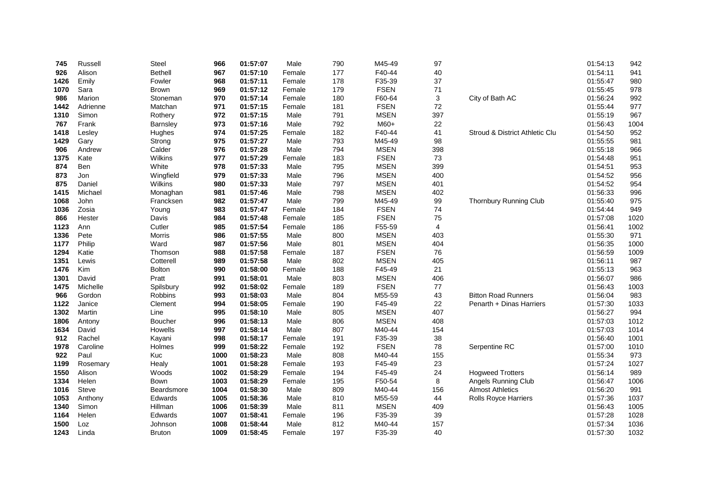| 745  | Russell      | Steel         | 966  | 01:57:07 | Male   | 790 | M45-49      | 97      |                                | 01:54:13 | 942  |
|------|--------------|---------------|------|----------|--------|-----|-------------|---------|--------------------------------|----------|------|
| 926  | Alison       | Bethell       | 967  | 01:57:10 | Female | 177 | F40-44      | 40      |                                | 01:54:11 | 941  |
| 1426 | Emily        | Fowler        | 968  | 01:57:11 | Female | 178 | F35-39      | 37      |                                | 01:55:47 | 980  |
| 1070 | Sara         | Brown         | 969  | 01:57:12 | Female | 179 | <b>FSEN</b> | 71      |                                | 01:55:45 | 978  |
| 986  | Marion       | Stoneman      | 970  | 01:57:14 | Female | 180 | F60-64      | 3       | City of Bath AC                | 01:56:24 | 992  |
| 1442 | Adrienne     | Matchan       | 971  | 01:57:15 | Female | 181 | <b>FSEN</b> | 72      |                                | 01:55:44 | 977  |
| 1310 | Simon        | Rothery       | 972  | 01:57:15 | Male   | 791 | <b>MSEN</b> | 397     |                                | 01:55:19 | 967  |
| 767  | Frank        | Barnsley      | 973  | 01:57:16 | Male   | 792 | M60+        | 22      |                                | 01:56:43 | 1004 |
| 1418 | Lesley       | Hughes        | 974  | 01:57:25 | Female | 182 | F40-44      | 41      | Stroud & District Athletic Clu | 01:54:50 | 952  |
| 1429 | Gary         | Strong        | 975  | 01:57:27 | Male   | 793 | M45-49      | 98      |                                | 01:55:55 | 981  |
| 906  | Andrew       | Calder        | 976  | 01:57:28 | Male   | 794 | <b>MSEN</b> | 398     |                                | 01:55:18 | 966  |
| 1375 | Kate         | Wilkins       | 977  | 01:57:29 | Female | 183 | <b>FSEN</b> | 73      |                                | 01:54:48 | 951  |
| 874  | Ben          | White         | 978  | 01:57:33 | Male   | 795 | <b>MSEN</b> | 399     |                                | 01:54:51 | 953  |
| 873  | Jon          | Wingfield     | 979  | 01:57:33 | Male   | 796 | <b>MSEN</b> | 400     |                                | 01:54:52 | 956  |
| 875  | Daniel       | Wilkins       | 980  | 01:57:33 | Male   | 797 | <b>MSEN</b> | 401     |                                | 01:54:52 | 954  |
| 1415 | Michael      | Monaghan      | 981  | 01:57:46 | Male   | 798 | <b>MSEN</b> | 402     |                                | 01:56:33 | 996  |
| 1068 | John         | Francksen     | 982  | 01:57:47 | Male   | 799 | M45-49      | 99      | Thornbury Running Club         | 01:55:40 | 975  |
| 1036 | Zosia        | Young         | 983  | 01:57:47 | Female | 184 | <b>FSEN</b> | 74      |                                | 01:54:44 | 949  |
| 866  | Hester       | Davis         | 984  | 01:57:48 | Female | 185 | <b>FSEN</b> | 75      |                                | 01:57:08 | 1020 |
| 1123 | Ann          | Cutler        | 985  | 01:57:54 | Female | 186 | F55-59      | 4       |                                | 01:56:41 | 1002 |
| 1336 | Pete         | Morris        | 986  | 01:57:55 | Male   | 800 | <b>MSEN</b> | 403     |                                | 01:55:30 | 971  |
| 1177 | Philip       | Ward          | 987  | 01:57:56 | Male   | 801 | <b>MSEN</b> | 404     |                                | 01:56:35 | 1000 |
| 1294 | Katie        | Thomson       | 988  | 01:57:58 | Female | 187 | <b>FSEN</b> | 76      |                                | 01:56:59 | 1009 |
| 1351 | Lewis        | Cotterell     | 989  | 01:57:58 | Male   | 802 | <b>MSEN</b> | 405     |                                | 01:56:11 | 987  |
| 1476 | Kim          | Bolton        | 990  | 01:58:00 | Female | 188 | F45-49      | 21      |                                | 01:55:13 | 963  |
| 1301 | David        | Pratt         | 991  | 01:58:01 | Male   | 803 | <b>MSEN</b> | 406     |                                | 01:56:07 | 986  |
| 1475 | Michelle     | Spilsbury     | 992  | 01:58:02 | Female | 189 | <b>FSEN</b> | $77 \,$ |                                | 01:56:43 | 1003 |
| 966  | Gordon       | Robbins       | 993  | 01:58:03 | Male   | 804 | M55-59      | 43      | <b>Bitton Road Runners</b>     | 01:56:04 | 983  |
| 1122 | Janice       | Clement       | 994  | 01:58:05 | Female | 190 | F45-49      | 22      | Penarth + Dinas Harriers       | 01:57:30 | 1033 |
| 1302 | Martin       | Line          | 995  | 01:58:10 | Male   | 805 | <b>MSEN</b> | 407     |                                | 01:56:27 | 994  |
| 1806 | Antony       | Boucher       | 996  | 01:58:13 | Male   | 806 | <b>MSEN</b> | 408     |                                | 01:57:03 | 1012 |
| 1634 | David        | Howells       | 997  | 01:58:14 | Male   | 807 | M40-44      | 154     |                                | 01:57:03 | 1014 |
| 912  | Rachel       | Kayani        | 998  | 01:58:17 | Female | 191 | F35-39      | 38      |                                | 01:56:40 | 1001 |
| 1978 | Caroline     | Holmes        | 999  | 01:58:22 | Female | 192 | <b>FSEN</b> | 78      | Serpentine RC                  | 01:57:00 | 1010 |
| 922  | Paul         | Kuc           | 1000 | 01:58:23 | Male   | 808 | M40-44      | 155     |                                | 01:55:34 | 973  |
| 1199 | Rosemary     | Healy         | 1001 | 01:58:28 | Female | 193 | F45-49      | 23      |                                | 01:57:24 | 1027 |
| 1550 | Alison       | Woods         | 1002 | 01:58:29 | Female | 194 | F45-49      | 24      | <b>Hogweed Trotters</b>        | 01:56:14 | 989  |
| 1334 | Helen        | <b>Bown</b>   | 1003 | 01:58:29 | Female | 195 | F50-54      | 8       | <b>Angels Running Club</b>     | 01:56:47 | 1006 |
| 1016 | <b>Steve</b> | Beardsmore    | 1004 | 01:58:30 | Male   | 809 | M40-44      | 156     | <b>Almost Athletics</b>        | 01:56:20 | 991  |
| 1053 | Anthony      | Edwards       | 1005 | 01:58:36 | Male   | 810 | M55-59      | 44      | Rolls Royce Harriers           | 01:57:36 | 1037 |
| 1340 | Simon        | Hillman       | 1006 | 01:58:39 | Male   | 811 | <b>MSEN</b> | 409     |                                | 01:56:43 | 1005 |
| 1164 | Helen        | Edwards       | 1007 | 01:58:41 | Female | 196 | F35-39      | 39      |                                | 01:57:28 | 1028 |
| 1500 | Loz          | Johnson       | 1008 | 01:58:44 | Male   | 812 | M40-44      | 157     |                                | 01:57:34 | 1036 |
| 1243 | Linda        | <b>Bruton</b> | 1009 | 01:58:45 | Female | 197 | F35-39      | 40      |                                | 01:57:30 | 1032 |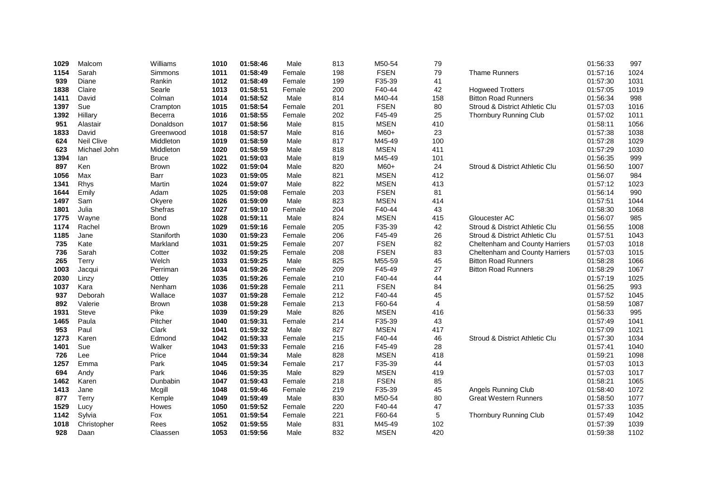| 1029 | Malcom       | Williams     | 1010 | 01:58:46 | Male   | 813 | M50-54      | 79  |                                | 01:56:33 | 997  |
|------|--------------|--------------|------|----------|--------|-----|-------------|-----|--------------------------------|----------|------|
| 1154 | Sarah        | Simmons      | 1011 | 01:58:49 | Female | 198 | <b>FSEN</b> | 79  | <b>Thame Runners</b>           | 01:57:16 | 1024 |
| 939  | Diane        | Rankin       | 1012 | 01:58:49 | Female | 199 | F35-39      | 41  |                                | 01:57:30 | 1031 |
| 1838 | Claire       | Searle       | 1013 | 01:58:51 | Female | 200 | F40-44      | 42  | <b>Hogweed Trotters</b>        | 01:57:05 | 1019 |
| 1411 | David        | Colman       | 1014 | 01:58:52 | Male   | 814 | M40-44      | 158 | <b>Bitton Road Runners</b>     | 01:56:34 | 998  |
| 1397 | Sue          | Crampton     | 1015 | 01:58:54 | Female | 201 | <b>FSEN</b> | 80  | Stroud & District Athletic Clu | 01:57:03 | 1016 |
| 1392 | Hillary      | Becerra      | 1016 | 01:58:55 | Female | 202 | F45-49      | 25  | Thornbury Running Club         | 01:57:02 | 1011 |
| 951  | Alastair     | Donaldson    | 1017 | 01:58:56 | Male   | 815 | <b>MSEN</b> | 410 |                                | 01:58:11 | 1056 |
| 1833 | David        | Greenwood    | 1018 | 01:58:57 | Male   | 816 | $M60+$      | 23  |                                | 01:57:38 | 1038 |
| 624  | Neil Clive   | Middleton    | 1019 | 01:58:59 | Male   | 817 | M45-49      | 100 |                                | 01:57:28 | 1029 |
| 623  | Michael John | Middleton    | 1020 | 01:58:59 | Male   | 818 | <b>MSEN</b> | 411 |                                | 01:57:29 | 1030 |
| 1394 | lan          | Bruce        | 1021 | 01:59:03 | Male   | 819 | M45-49      | 101 |                                | 01:56:35 | 999  |
| 897  | Ken          | Brown        | 1022 | 01:59:04 | Male   | 820 | $M60+$      | 24  | Stroud & District Athletic Clu | 01:56:50 | 1007 |
| 1056 | Max          | Barr         | 1023 | 01:59:05 | Male   | 821 | <b>MSEN</b> | 412 |                                | 01:56:07 | 984  |
| 1341 | Rhys         | Martin       | 1024 | 01:59:07 | Male   | 822 | <b>MSEN</b> | 413 |                                | 01:57:12 | 1023 |
| 1644 | Emily        | Adam         | 1025 | 01:59:08 | Female | 203 | <b>FSEN</b> | 81  |                                | 01:56:14 | 990  |
| 1497 | Sam          | Okyere       | 1026 | 01:59:09 | Male   | 823 | <b>MSEN</b> | 414 |                                | 01:57:51 | 1044 |
| 1801 | Julia        | Shefras      | 1027 | 01:59:10 | Female | 204 | F40-44      | 43  |                                | 01:58:30 | 1068 |
| 1775 | Wayne        | Bond         | 1028 | 01:59:11 | Male   | 824 | <b>MSEN</b> | 415 | Gloucester AC                  | 01:56:07 | 985  |
| 1174 | Rachel       | <b>Brown</b> | 1029 | 01:59:16 | Female | 205 | F35-39      | 42  | Stroud & District Athletic Clu | 01:56:55 | 1008 |
| 1185 | Jane         | Staniforth   | 1030 | 01:59:23 | Female | 206 | F45-49      | 26  | Stroud & District Athletic Clu | 01:57:51 | 1043 |
| 735  | Kate         | Markland     | 1031 | 01:59:25 | Female | 207 | <b>FSEN</b> | 82  | Cheltenham and County Harriers | 01:57:03 | 1018 |
| 736  | Sarah        | Cotter       | 1032 | 01:59:25 | Female | 208 | <b>FSEN</b> | 83  | Cheltenham and County Harriers | 01:57:03 | 1015 |
| 265  | Terry        | Welch        | 1033 | 01:59:25 | Male   | 825 | M55-59      | 45  | <b>Bitton Road Runners</b>     | 01:58:28 | 1066 |
| 1003 | Jacqui       | Perriman     | 1034 | 01:59:26 | Female | 209 | F45-49      | 27  | <b>Bitton Road Runners</b>     | 01:58:29 | 1067 |
| 2030 | Linzy        | Ottley       | 1035 | 01:59:26 | Female | 210 | F40-44      | 44  |                                | 01:57:19 | 1025 |
| 1037 | Kara         | Nenham       | 1036 | 01:59:28 | Female | 211 | <b>FSEN</b> | 84  |                                | 01:56:25 | 993  |
| 937  | Deborah      | Wallace      | 1037 | 01:59:28 | Female | 212 | F40-44      | 45  |                                | 01:57:52 | 1045 |
| 892  | Valerie      | Brown        | 1038 | 01:59:28 | Female | 213 | F60-64      | 4   |                                | 01:58:59 | 1087 |
| 1931 | <b>Steve</b> | Pike         | 1039 | 01:59:29 | Male   | 826 | <b>MSEN</b> | 416 |                                | 01:56:33 | 995  |
| 1465 | Paula        | Pitcher      | 1040 | 01:59:31 | Female | 214 | F35-39      | 43  |                                | 01:57:49 | 1041 |
| 953  | Paul         | Clark        | 1041 | 01:59:32 | Male   | 827 | <b>MSEN</b> | 417 |                                | 01:57:09 | 1021 |
| 1273 | Karen        | Edmond       | 1042 | 01:59:33 | Female | 215 | F40-44      | 46  | Stroud & District Athletic Clu | 01:57:30 | 1034 |
| 1401 | Sue          | Walker       | 1043 | 01:59:33 | Female | 216 | F45-49      | 28  |                                | 01:57:41 | 1040 |
| 726  | Lee          | Price        | 1044 | 01:59:34 | Male   | 828 | <b>MSEN</b> | 418 |                                | 01:59:21 | 1098 |
| 1257 | Emma         | Park         | 1045 | 01:59:34 | Female | 217 | F35-39      | 44  |                                | 01:57:03 | 1013 |
| 694  | Andy         | Park         | 1046 | 01:59:35 | Male   | 829 | <b>MSEN</b> | 419 |                                | 01:57:03 | 1017 |
| 1462 | Karen        | Dunbabin     | 1047 | 01:59:43 | Female | 218 | <b>FSEN</b> | 85  |                                | 01:58:21 | 1065 |
| 1413 | Jane         | Mcgill       | 1048 | 01:59:46 | Female | 219 | F35-39      | 45  | Angels Running Club            | 01:58:40 | 1072 |
| 877  | Terry        | Kemple       | 1049 | 01:59:49 | Male   | 830 | M50-54      | 80  | <b>Great Western Runners</b>   | 01:58:50 | 1077 |
| 1529 | Lucy         | Howes        | 1050 | 01:59:52 | Female | 220 | F40-44      | 47  |                                | 01:57:33 | 1035 |
| 1142 | Sylvia       | Fox          | 1051 | 01:59:54 | Female | 221 | F60-64      | 5   | Thornbury Running Club         | 01:57:49 | 1042 |
| 1018 | Christopher  | Rees         | 1052 | 01:59:55 | Male   | 831 | M45-49      | 102 |                                | 01:57:39 | 1039 |
| 928  | Daan         | Claassen     | 1053 | 01:59:56 | Male   | 832 | <b>MSEN</b> | 420 |                                | 01:59:38 | 1102 |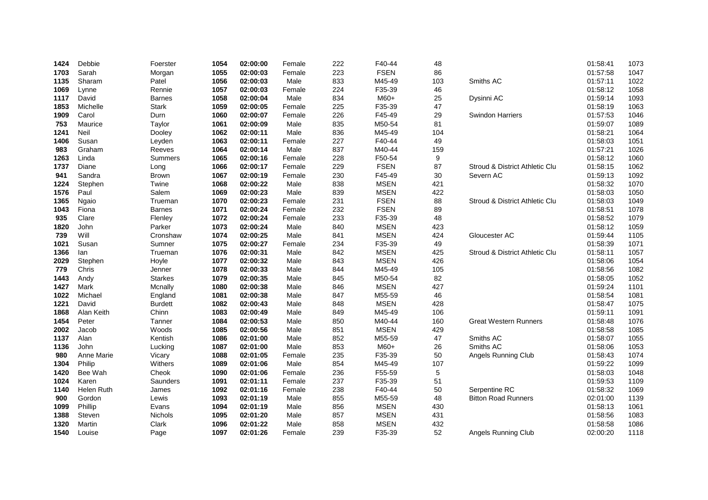| 1424 | Debbie            | Foerster       | 1054 | 02:00:00 | Female | 222 | F40-44      | 48  |                                | 01:58:41 | 1073 |
|------|-------------------|----------------|------|----------|--------|-----|-------------|-----|--------------------------------|----------|------|
| 1703 | Sarah             | Morgan         | 1055 | 02:00:03 | Female | 223 | <b>FSEN</b> | 86  |                                | 01:57:58 | 1047 |
| 1135 | Sharam            | Patel          | 1056 | 02:00:03 | Male   | 833 | M45-49      | 103 | Smiths AC                      | 01:57:11 | 1022 |
| 1069 | Lynne             | Rennie         | 1057 | 02:00:03 | Female | 224 | F35-39      | 46  |                                | 01:58:12 | 1058 |
| 1117 | David             | <b>Barnes</b>  | 1058 | 02:00:04 | Male   | 834 | M60+        | 25  | Dysinni AC                     | 01:59:14 | 1093 |
| 1853 | Michelle          | <b>Stark</b>   | 1059 | 02:00:05 | Female | 225 | F35-39      | 47  |                                | 01:58:19 | 1063 |
| 1909 | Carol             | Durn           | 1060 | 02:00:07 | Female | 226 | F45-49      | 29  | <b>Swindon Harriers</b>        | 01:57:53 | 1046 |
| 753  | Maurice           | Taylor         | 1061 | 02:00:09 | Male   | 835 | M50-54      | 81  |                                | 01:59:07 | 1089 |
| 1241 | Neil              | Dooley         | 1062 | 02:00:11 | Male   | 836 | M45-49      | 104 |                                | 01:58:21 | 1064 |
| 1406 | Susan             | Leyden         | 1063 | 02:00:11 | Female | 227 | F40-44      | 49  |                                | 01:58:03 | 1051 |
| 983  | Graham            | Reeves         | 1064 | 02:00:14 | Male   | 837 | M40-44      | 159 |                                | 01:57:21 | 1026 |
| 1263 | Linda             | Summers        | 1065 | 02:00:16 | Female | 228 | F50-54      | 9   |                                | 01:58:12 | 1060 |
| 1737 | Diane             | Long           | 1066 | 02:00:17 | Female | 229 | <b>FSEN</b> | 87  | Stroud & District Athletic Clu | 01:58:15 | 1062 |
| 941  | Sandra            | <b>Brown</b>   | 1067 | 02:00:19 | Female | 230 | F45-49      | 30  | Severn AC                      | 01:59:13 | 1092 |
| 1224 | Stephen           | Twine          | 1068 | 02:00:22 | Male   | 838 | <b>MSEN</b> | 421 |                                | 01:58:32 | 1070 |
| 1576 | Paul              | Salem          | 1069 | 02:00:23 | Male   | 839 | <b>MSEN</b> | 422 |                                | 01:58:03 | 1050 |
| 1365 | Ngaio             | Trueman        | 1070 | 02:00:23 | Female | 231 | <b>FSEN</b> | 88  | Stroud & District Athletic Clu | 01:58:03 | 1049 |
| 1043 | Fiona             | <b>Barnes</b>  | 1071 | 02:00:24 | Female | 232 | <b>FSEN</b> | 89  |                                | 01:58:51 | 1078 |
| 935  | Clare             | Flenley        | 1072 | 02:00:24 | Female | 233 | F35-39      | 48  |                                | 01:58:52 | 1079 |
| 1820 | John              | Parker         | 1073 | 02:00:24 | Male   | 840 | <b>MSEN</b> | 423 |                                | 01:58:12 | 1059 |
| 739  | Will              | Cronshaw       | 1074 | 02:00:25 | Male   | 841 | <b>MSEN</b> | 424 | Gloucester AC                  | 01:59:44 | 1105 |
| 1021 | Susan             | Sumner         | 1075 | 02:00:27 | Female | 234 | F35-39      | 49  |                                | 01:58:39 | 1071 |
| 1366 | lan               | Trueman        | 1076 | 02:00:31 | Male   | 842 | <b>MSEN</b> | 425 | Stroud & District Athletic Clu | 01:58:11 | 1057 |
| 2029 | Stephen           | Hoyle          | 1077 | 02:00:32 | Male   | 843 | <b>MSEN</b> | 426 |                                | 01:58:06 | 1054 |
| 779  | Chris             | Jenner         | 1078 | 02:00:33 | Male   | 844 | M45-49      | 105 |                                | 01:58:56 | 1082 |
| 1443 | Andy              | <b>Starkes</b> | 1079 | 02:00:35 | Male   | 845 | M50-54      | 82  |                                | 01:58:05 | 1052 |
| 1427 | Mark              | Mcnally        | 1080 | 02:00:38 | Male   | 846 | <b>MSEN</b> | 427 |                                | 01:59:24 | 1101 |
| 1022 | Michael           | England        | 1081 | 02:00:38 | Male   | 847 | M55-59      | 46  |                                | 01:58:54 | 1081 |
| 1221 | David             | <b>Burdett</b> | 1082 | 02:00:43 | Male   | 848 | <b>MSEN</b> | 428 |                                | 01:58:47 | 1075 |
| 1868 | Alan Keith        | Chinn          | 1083 | 02:00:49 | Male   | 849 | M45-49      | 106 |                                | 01:59:11 | 1091 |
| 1454 | Peter             | Tanner         | 1084 | 02:00:53 | Male   | 850 | M40-44      | 160 | <b>Great Western Runners</b>   | 01:58:48 | 1076 |
| 2002 | Jacob             | Woods          | 1085 | 02:00:56 | Male   | 851 | <b>MSEN</b> | 429 |                                | 01:58:58 | 1085 |
| 1137 | Alan              | Kentish        | 1086 | 02:01:00 | Male   | 852 | M55-59      | 47  | Smiths AC                      | 01:58:07 | 1055 |
| 1136 | John              | Lucking        | 1087 | 02:01:00 | Male   | 853 | $M60+$      | 26  | Smiths AC                      | 01:58:06 | 1053 |
| 980  | <b>Anne Marie</b> | Vicary         | 1088 | 02:01:05 | Female | 235 | F35-39      | 50  | Angels Running Club            | 01:58:43 | 1074 |
| 1304 | Philip            | Withers        | 1089 | 02:01:06 | Male   | 854 | M45-49      | 107 |                                | 01:59:22 | 1099 |
| 1420 | Bee Wah           | Cheok          | 1090 | 02:01:06 | Female | 236 | F55-59      | 5   |                                | 01:58:03 | 1048 |
| 1024 | Karen             | Saunders       | 1091 | 02:01:11 | Female | 237 | F35-39      | 51  |                                | 01:59:53 | 1109 |
| 1140 | Helen Ruth        | James          | 1092 | 02:01:16 | Female | 238 | F40-44      | 50  | Serpentine RC                  | 01:58:32 | 1069 |
| 900  | Gordon            | Lewis          | 1093 | 02:01:19 | Male   | 855 | M55-59      | 48  | <b>Bitton Road Runners</b>     | 02:01:00 | 1139 |
| 1099 | Phillip           | Evans          | 1094 | 02:01:19 | Male   | 856 | <b>MSEN</b> | 430 |                                | 01:58:13 | 1061 |
| 1388 | Steven            | <b>Nichols</b> | 1095 | 02:01:20 | Male   | 857 | <b>MSEN</b> | 431 |                                | 01:58:56 | 1083 |
| 1320 | Martin            | Clark          | 1096 | 02:01:22 | Male   | 858 | <b>MSEN</b> | 432 |                                | 01:58:58 | 1086 |
| 1540 | Louise            | Page           | 1097 | 02:01:26 | Female | 239 | F35-39      | 52  | <b>Angels Running Club</b>     | 02:00:20 | 1118 |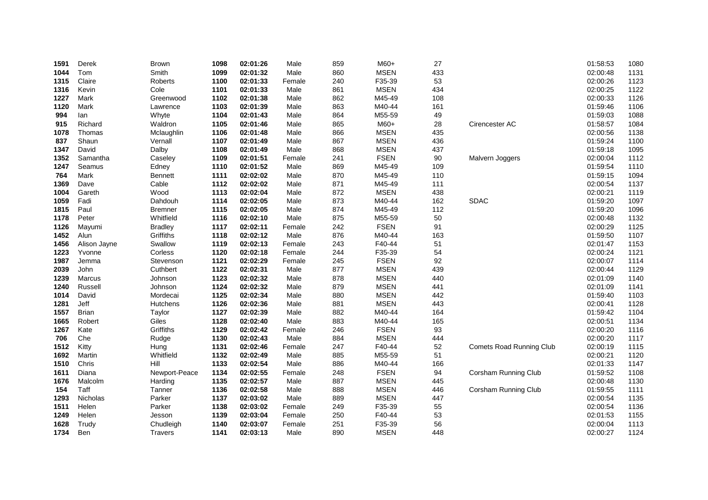| 1591 | Derek           | <b>Brown</b>   | 1098 | 02:01:26 | Male   | 859 | M60+        | 27  |                                 | 01:58:53 | 1080 |
|------|-----------------|----------------|------|----------|--------|-----|-------------|-----|---------------------------------|----------|------|
| 1044 | Tom             | Smith          | 1099 | 02:01:32 | Male   | 860 | <b>MSEN</b> | 433 |                                 | 02:00:48 | 1131 |
| 1315 | Claire          | Roberts        | 1100 | 02:01:33 | Female | 240 | F35-39      | 53  |                                 | 02:00:26 | 1123 |
| 1316 | Kevin           | Cole           | 1101 | 02:01:33 | Male   | 861 | <b>MSEN</b> | 434 |                                 | 02:00:25 | 1122 |
| 1227 | Mark            | Greenwood      | 1102 | 02:01:38 | Male   | 862 | M45-49      | 108 |                                 | 02:00:33 | 1126 |
| 1120 | Mark            | Lawrence       | 1103 | 02:01:39 | Male   | 863 | M40-44      | 161 |                                 | 01:59:46 | 1106 |
| 994  | lan             | Whyte          | 1104 | 02:01:43 | Male   | 864 | M55-59      | 49  |                                 | 01:59:03 | 1088 |
| 915  | Richard         | Waldron        | 1105 | 02:01:46 | Male   | 865 | M60+        | 28  | Cirencester AC                  | 01:58:57 | 1084 |
| 1078 | Thomas          | Mclaughlin     | 1106 | 02:01:48 | Male   | 866 | <b>MSEN</b> | 435 |                                 | 02:00:56 | 1138 |
| 837  | Shaun           | Vernall        | 1107 | 02:01:49 | Male   | 867 | <b>MSEN</b> | 436 |                                 | 01:59:24 | 1100 |
| 1347 | David           | Dalby          | 1108 | 02:01:49 | Male   | 868 | <b>MSEN</b> | 437 |                                 | 01:59:18 | 1095 |
| 1352 | Samantha        | Caseley        | 1109 | 02:01:51 | Female | 241 | <b>FSEN</b> | 90  | Malvern Joggers                 | 02:00:04 | 1112 |
| 1247 | Seamus          | Edney          | 1110 | 02:01:52 | Male   | 869 | M45-49      | 109 |                                 | 01:59:54 | 1110 |
| 764  | Mark            | <b>Bennett</b> | 1111 | 02:02:02 | Male   | 870 | M45-49      | 110 |                                 | 01:59:15 | 1094 |
| 1369 | Dave            | Cable          | 1112 | 02:02:02 | Male   | 871 | M45-49      | 111 |                                 | 02:00:54 | 1137 |
| 1004 | Gareth          | Wood           | 1113 | 02:02:04 | Male   | 872 | <b>MSEN</b> | 438 |                                 | 02:00:21 | 1119 |
| 1059 | Fadi            | Dahdouh        | 1114 | 02:02:05 | Male   | 873 | M40-44      | 162 | <b>SDAC</b>                     | 01:59:20 | 1097 |
| 1815 | Paul            | <b>Bremner</b> | 1115 | 02:02:05 | Male   | 874 | M45-49      | 112 |                                 | 01:59:20 | 1096 |
| 1178 | Peter           | Whitfield      | 1116 | 02:02:10 | Male   | 875 | M55-59      | 50  |                                 | 02:00:48 | 1132 |
| 1126 | Mayumi          | <b>Bradley</b> | 1117 | 02:02:11 | Female | 242 | <b>FSEN</b> | 91  |                                 | 02:00:29 | 1125 |
| 1452 | Alun            | Griffiths      | 1118 | 02:02:12 | Male   | 876 | M40-44      | 163 |                                 | 01:59:50 | 1107 |
| 1456 | Alison Jayne    | Swallow        | 1119 | 02:02:13 | Female | 243 | F40-44      | 51  |                                 | 02:01:47 | 1153 |
| 1223 | Yvonne          | Corless        | 1120 | 02:02:18 | Female | 244 | F35-39      | 54  |                                 | 02:00:24 | 1121 |
| 1987 | Jemma           | Stevenson      | 1121 | 02:02:29 | Female | 245 | <b>FSEN</b> | 92  |                                 | 02:00:07 | 1114 |
| 2039 | John            | Cuthbert       | 1122 | 02:02:31 | Male   | 877 | <b>MSEN</b> | 439 |                                 | 02:00:44 | 1129 |
| 1239 | Marcus          | Johnson        | 1123 | 02:02:32 | Male   | 878 | <b>MSEN</b> | 440 |                                 | 02:01:09 | 1140 |
| 1240 | Russell         | Johnson        | 1124 | 02:02:32 | Male   | 879 | <b>MSEN</b> | 441 |                                 | 02:01:09 | 1141 |
| 1014 | David           | Mordecai       | 1125 | 02:02:34 | Male   | 880 | <b>MSEN</b> | 442 |                                 | 01:59:40 | 1103 |
| 1281 | Jeff            | Hutchens       | 1126 | 02:02:36 | Male   | 881 | <b>MSEN</b> | 443 |                                 | 02:00:41 | 1128 |
| 1557 | <b>Brian</b>    | Taylor         | 1127 | 02:02:39 | Male   | 882 | M40-44      | 164 |                                 | 01:59:42 | 1104 |
| 1665 | Robert          | Giles          | 1128 | 02:02:40 | Male   | 883 | M40-44      | 165 |                                 | 02:00:51 | 1134 |
| 1267 | Kate            | Griffiths      | 1129 | 02:02:42 | Female | 246 | <b>FSEN</b> | 93  |                                 | 02:00:20 | 1116 |
| 706  | Che             | Rudge          | 1130 | 02:02:43 | Male   | 884 | <b>MSEN</b> | 444 |                                 | 02:00:20 | 1117 |
| 1512 | Kitty           | Hung           | 1131 | 02:02:46 | Female | 247 | F40-44      | 52  | <b>Comets Road Running Club</b> | 02:00:19 | 1115 |
| 1692 | Martin          | Whitfield      | 1132 | 02:02:49 | Male   | 885 | M55-59      | 51  |                                 | 02:00:21 | 1120 |
| 1510 | Chris           | Hill           | 1133 | 02:02:54 | Male   | 886 | M40-44      | 166 |                                 | 02:01:33 | 1147 |
| 1611 | Diana           | Newport-Peace  | 1134 | 02:02:55 | Female | 248 | <b>FSEN</b> | 94  | Corsham Running Club            | 01:59:52 | 1108 |
| 1676 | Malcolm         | Harding        | 1135 | 02:02:57 | Male   | 887 | <b>MSEN</b> | 445 |                                 | 02:00:48 | 1130 |
| 154  | Taff            | Tanner         | 1136 | 02:02:58 | Male   | 888 | <b>MSEN</b> | 446 | <b>Corsham Running Club</b>     | 01:59:55 | 1111 |
| 1293 | <b>Nicholas</b> | Parker         | 1137 | 02:03:02 | Male   | 889 | <b>MSEN</b> | 447 |                                 | 02:00:54 | 1135 |
| 1511 | Helen           | Parker         | 1138 | 02:03:02 | Female | 249 | F35-39      | 55  |                                 | 02:00:54 | 1136 |
| 1249 | Helen           | Jesson         | 1139 | 02:03:04 | Female | 250 | F40-44      | 53  |                                 | 02:01:53 | 1155 |
| 1628 | Trudy           | Chudleigh      | 1140 | 02:03:07 | Female | 251 | F35-39      | 56  |                                 | 02:00:04 | 1113 |
| 1734 | Ben             | <b>Travers</b> | 1141 | 02:03:13 | Male   | 890 | <b>MSEN</b> | 448 |                                 | 02:00:27 | 1124 |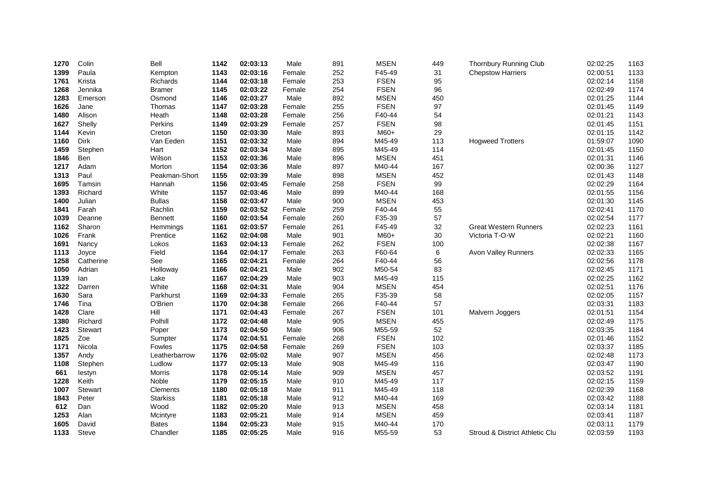| 1270 | Colin       | Bell            | 1142 | 02:03:13 | Male   | 891 | <b>MSEN</b> | 449 | Thornbury Running Club         | 02:02:25 | 1163 |
|------|-------------|-----------------|------|----------|--------|-----|-------------|-----|--------------------------------|----------|------|
| 1399 | Paula       | Kempton         | 1143 | 02:03:16 | Female | 252 | F45-49      | 31  | <b>Chepstow Harriers</b>       | 02:00:51 | 1133 |
| 1761 | Krista      | Richards        | 1144 | 02:03:18 | Female | 253 | <b>FSEN</b> | 95  |                                | 02:02:14 | 1158 |
| 1268 | Jennika     | Bramer          | 1145 | 02:03:22 | Female | 254 | <b>FSEN</b> | 96  |                                | 02:02:49 | 1174 |
| 1283 | Emerson     | Osmond          | 1146 | 02:03:27 | Male   | 892 | <b>MSEN</b> | 450 |                                | 02:01:25 | 1144 |
| 1626 | Jane        | Thomas          | 1147 | 02:03:28 | Female | 255 | <b>FSEN</b> | 97  |                                | 02:01:45 | 1149 |
| 1480 | Alison      | Heath           | 1148 | 02:03:28 | Female | 256 | F40-44      | 54  |                                | 02:01:21 | 1143 |
| 1627 | Shelly      | Perkins         | 1149 | 02:03:29 | Female | 257 | <b>FSEN</b> | 98  |                                | 02:01:45 | 1151 |
| 1144 | Kevin       | Creton          | 1150 | 02:03:30 | Male   | 893 | M60+        | 29  |                                | 02:01:15 | 1142 |
| 1160 | <b>Dirk</b> | Van Eeden       | 1151 | 02:03:32 | Male   | 894 | M45-49      | 113 | <b>Hogweed Trotters</b>        | 01:59:07 | 1090 |
| 1459 | Stephen     | Hart            | 1152 | 02:03:34 | Male   | 895 | M45-49      | 114 |                                | 02:01:45 | 1150 |
| 1846 | <b>Ben</b>  | Wilson          | 1153 | 02:03:36 | Male   | 896 | <b>MSEN</b> | 451 |                                | 02:01:31 | 1146 |
| 1217 | Adam        | Morton          | 1154 | 02:03:36 | Male   | 897 | M40-44      | 167 |                                | 02:00:36 | 1127 |
| 1313 | Paul        | Peakman-Short   | 1155 | 02:03:39 | Male   | 898 | <b>MSEN</b> | 452 |                                | 02:01:43 | 1148 |
| 1695 | Tamsin      | Hannah          | 1156 | 02:03:45 | Female | 258 | <b>FSEN</b> | 99  |                                | 02:02:29 | 1164 |
| 1393 | Richard     | White           | 1157 | 02:03:46 | Male   | 899 | M40-44      | 168 |                                | 02:01:55 | 1156 |
| 1400 | Julian      | <b>Bullas</b>   | 1158 | 02:03:47 | Male   | 900 | <b>MSEN</b> | 453 |                                | 02:01:30 | 1145 |
| 1841 | Farah       | Rachlin         | 1159 | 02:03:52 | Female | 259 | F40-44      | 55  |                                | 02:02:41 | 1170 |
| 1039 | Deanne      | Bennett         | 1160 | 02:03:54 | Female | 260 | F35-39      | 57  |                                | 02:02:54 | 1177 |
| 1162 | Sharon      | Hemmings        | 1161 | 02:03:57 | Female | 261 | F45-49      | 32  | <b>Great Western Runners</b>   | 02:02:23 | 1161 |
| 1026 | Frank       | Prentice        | 1162 | 02:04:08 | Male   | 901 | M60+        | 30  | Victoria T-O-W                 | 02:02:21 | 1160 |
| 1691 | Nancy       | Lokos           | 1163 | 02:04:13 | Female | 262 | <b>FSEN</b> | 100 |                                | 02:02:38 | 1167 |
| 1113 | Joyce       | Field           | 1164 | 02:04:17 | Female | 263 | F60-64      | 6   | <b>Avon Valley Runners</b>     | 02:02:33 | 1165 |
| 1258 | Catherine   | See             | 1165 | 02:04:21 | Female | 264 | F40-44      | 56  |                                | 02:02:56 | 1178 |
| 1050 | Adrian      | Holloway        | 1166 | 02:04:21 | Male   | 902 | M50-54      | 83  |                                | 02:02:45 | 1171 |
| 1139 | lan         | Lake            | 1167 | 02:04:29 | Male   | 903 | M45-49      | 115 |                                | 02:02:25 | 1162 |
| 1322 | Darren      | White           | 1168 | 02:04:31 | Male   | 904 | <b>MSEN</b> | 454 |                                | 02:02:51 | 1176 |
| 1630 | Sara        | Parkhurst       | 1169 | 02:04:33 | Female | 265 | F35-39      | 58  |                                | 02:02:05 | 1157 |
| 1746 | Tina        | O'Brien         | 1170 | 02:04:38 | Female | 266 | F40-44      | 57  |                                | 02:03:31 | 1183 |
| 1428 | Clare       | Hill            | 1171 | 02:04:43 | Female | 267 | <b>FSEN</b> | 101 | Malvern Joggers                | 02:01:51 | 1154 |
| 1380 | Richard     | Polhill         | 1172 | 02:04:48 | Male   | 905 | <b>MSEN</b> | 455 |                                | 02:02:49 | 1175 |
| 1423 | Stewart     | Poper           | 1173 | 02:04:50 | Male   | 906 | M55-59      | 52  |                                | 02:03:35 | 1184 |
| 1825 | Zoe         | Sumpter         | 1174 | 02:04:51 | Female | 268 | <b>FSEN</b> | 102 |                                | 02:01:46 | 1152 |
| 1171 | Nicola      | Fowles          | 1175 | 02:04:58 | Female | 269 | <b>FSEN</b> | 103 |                                | 02:03:37 | 1185 |
| 1357 | Andy        | Leatherbarrow   | 1176 | 02:05:02 | Male   | 907 | <b>MSEN</b> | 456 |                                | 02:02:48 | 1173 |
| 1108 | Stephen     | Ludlow          | 1177 | 02:05:13 | Male   | 908 | M45-49      | 116 |                                | 02:03:47 | 1190 |
| 661  | lestyn      | Morris          | 1178 | 02:05:14 | Male   | 909 | <b>MSEN</b> | 457 |                                | 02:03:52 | 1191 |
| 1228 | Keith       | Noble           | 1179 | 02:05:15 | Male   | 910 | M45-49      | 117 |                                | 02:02:15 | 1159 |
| 1007 | Stewart     | Clements        | 1180 | 02:05:18 | Male   | 911 | M45-49      | 118 |                                | 02:02:39 | 1168 |
| 1843 | Peter       | <b>Starkiss</b> | 1181 | 02:05:18 | Male   | 912 | M40-44      | 169 |                                | 02:03:42 | 1188 |
| 612  | Dan         | Wood            | 1182 | 02:05:20 | Male   | 913 | <b>MSEN</b> | 458 |                                | 02:03:14 | 1181 |
| 1253 | Alan        | Mcintyre        | 1183 | 02:05:21 | Male   | 914 | <b>MSEN</b> | 459 |                                | 02:03:41 | 1187 |
| 1605 | David       | <b>Bates</b>    | 1184 | 02:05:23 | Male   | 915 | M40-44      | 170 |                                | 02:03:11 | 1179 |
| 1133 | Steve       | Chandler        | 1185 | 02:05:25 | Male   | 916 | M55-59      | 53  | Stroud & District Athletic Clu | 02:03:59 | 1193 |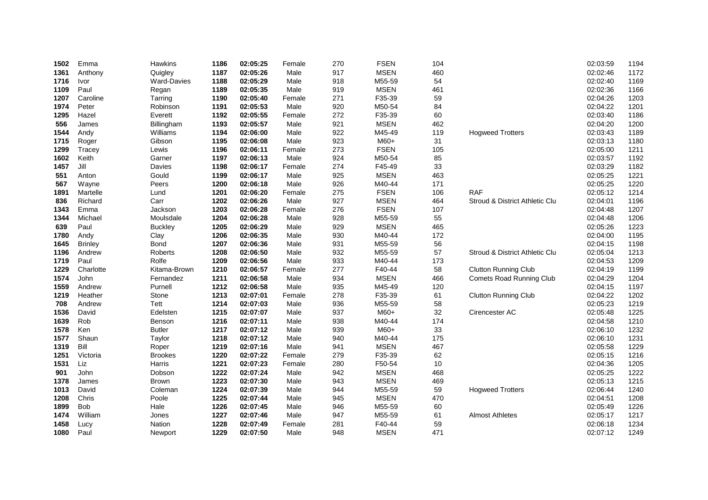| 1502 | Emma           | Hawkins        | 1186 | 02:05:25 | Female | 270 | <b>FSEN</b> | 104 |                                 | 02:03:59 | 1194 |
|------|----------------|----------------|------|----------|--------|-----|-------------|-----|---------------------------------|----------|------|
| 1361 | Anthony        | Quigley        | 1187 | 02:05:26 | Male   | 917 | <b>MSEN</b> | 460 |                                 | 02:02:46 | 1172 |
| 1716 | Ivor           | Ward-Davies    | 1188 | 02:05:29 | Male   | 918 | M55-59      | 54  |                                 | 02:02:40 | 1169 |
| 1109 | Paul           | Regan          | 1189 | 02:05:35 | Male   | 919 | <b>MSEN</b> | 461 |                                 | 02:02:36 | 1166 |
| 1207 | Caroline       | Tarring        | 1190 | 02:05:40 | Female | 271 | F35-39      | 59  |                                 | 02:04:26 | 1203 |
| 1974 | Peter          | Robinson       | 1191 | 02:05:53 | Male   | 920 | M50-54      | 84  |                                 | 02:04:22 | 1201 |
| 1295 | Hazel          | Everett        | 1192 | 02:05:55 | Female | 272 | F35-39      | 60  |                                 | 02:03:40 | 1186 |
| 556  | James          | Billingham     | 1193 | 02:05:57 | Male   | 921 | <b>MSEN</b> | 462 |                                 | 02:04:20 | 1200 |
| 1544 | Andy           | Williams       | 1194 | 02:06:00 | Male   | 922 | M45-49      | 119 | <b>Hogweed Trotters</b>         | 02:03:43 | 1189 |
| 1715 | Roger          | Gibson         | 1195 | 02:06:08 | Male   | 923 | $M60+$      | 31  |                                 | 02:03:13 | 1180 |
| 1299 | Tracey         | Lewis          | 1196 | 02:06:11 | Female | 273 | <b>FSEN</b> | 105 |                                 | 02:05:00 | 1211 |
| 1602 | Keith          | Garner         | 1197 | 02:06:13 | Male   | 924 | M50-54      | 85  |                                 | 02:03:57 | 1192 |
| 1457 | Jill           | Davies         | 1198 | 02:06:17 | Female | 274 | F45-49      | 33  |                                 | 02:03:29 | 1182 |
| 551  | Anton          | Gould          | 1199 | 02:06:17 | Male   | 925 | <b>MSEN</b> | 463 |                                 | 02:05:25 | 1221 |
| 567  | Wayne          | Peers          | 1200 | 02:06:18 | Male   | 926 | M40-44      | 171 |                                 | 02:05:25 | 1220 |
| 1891 | Martelle       | Lund           | 1201 | 02:06:20 | Female | 275 | <b>FSEN</b> | 106 | <b>RAF</b>                      | 02:05:12 | 1214 |
| 836  | Richard        | Carr           | 1202 | 02:06:26 | Male   | 927 | <b>MSEN</b> | 464 | Stroud & District Athletic Clu  | 02:04:01 | 1196 |
| 1343 | Emma           | Jackson        | 1203 | 02:06:28 | Female | 276 | <b>FSEN</b> | 107 |                                 | 02:04:48 | 1207 |
| 1344 | Michael        | Moulsdale      | 1204 | 02:06:28 | Male   | 928 | M55-59      | 55  |                                 | 02:04:48 | 1206 |
| 639  | Paul           | <b>Buckley</b> | 1205 | 02:06:29 | Male   | 929 | <b>MSEN</b> | 465 |                                 | 02:05:26 | 1223 |
| 1780 | Andy           | Clay           | 1206 | 02:06:35 | Male   | 930 | M40-44      | 172 |                                 | 02:04:00 | 1195 |
| 1645 | <b>Brinley</b> | Bond           | 1207 | 02:06:36 | Male   | 931 | M55-59      | 56  |                                 | 02:04:15 | 1198 |
| 1196 | Andrew         | Roberts        | 1208 | 02:06:50 | Male   | 932 | M55-59      | 57  | Stroud & District Athletic Clu  | 02:05:04 | 1213 |
| 1719 | Paul           | Rolfe          | 1209 | 02:06:56 | Male   | 933 | M40-44      | 173 |                                 | 02:04:53 | 1209 |
| 1229 | Charlotte      | Kitama-Brown   | 1210 | 02:06:57 | Female | 277 | F40-44      | 58  | <b>Clutton Running Club</b>     | 02:04:19 | 1199 |
| 1574 | John           | Fernandez      | 1211 | 02:06:58 | Male   | 934 | <b>MSEN</b> | 466 | <b>Comets Road Running Club</b> | 02:04:29 | 1204 |
| 1559 | Andrew         | Purnell        | 1212 | 02:06:58 | Male   | 935 | M45-49      | 120 |                                 | 02:04:15 | 1197 |
| 1219 | Heather        | Stone          | 1213 | 02:07:01 | Female | 278 | F35-39      | 61  | <b>Clutton Running Club</b>     | 02:04:22 | 1202 |
| 708  | Andrew         | Tett           | 1214 | 02:07:03 | Male   | 936 | M55-59      | 58  |                                 | 02:05:23 | 1219 |
| 1536 | David          | Edelsten       | 1215 | 02:07:07 | Male   | 937 | $M60+$      | 32  | Cirencester AC                  | 02:05:48 | 1225 |
| 1639 | Rob            | Benson         | 1216 | 02:07:11 | Male   | 938 | M40-44      | 174 |                                 | 02:04:58 | 1210 |
| 1578 | Ken            | <b>Butler</b>  | 1217 | 02:07:12 | Male   | 939 | M60+        | 33  |                                 | 02:06:10 | 1232 |
| 1577 | Shaun          | Taylor         | 1218 | 02:07:12 | Male   | 940 | M40-44      | 175 |                                 | 02:06:10 | 1231 |
| 1319 | Bill           | Roper          | 1219 | 02:07:16 | Male   | 941 | <b>MSEN</b> | 467 |                                 | 02:05:58 | 1229 |
| 1251 | Victoria       | <b>Brookes</b> | 1220 | 02:07:22 | Female | 279 | F35-39      | 62  |                                 | 02:05:15 | 1216 |
| 1531 | Liz            | Harris         | 1221 | 02:07:23 | Female | 280 | F50-54      | 10  |                                 | 02:04:36 | 1205 |
| 901  | John           | Dobson         | 1222 | 02:07:24 | Male   | 942 | <b>MSEN</b> | 468 |                                 | 02:05:25 | 1222 |
| 1378 | James          | <b>Brown</b>   | 1223 | 02:07:30 | Male   | 943 | <b>MSEN</b> | 469 |                                 | 02:05:13 | 1215 |
| 1013 | David          | Coleman        | 1224 | 02:07:39 | Male   | 944 | M55-59      | 59  | <b>Hogweed Trotters</b>         | 02:06:44 | 1240 |
| 1208 | Chris          | Poole          | 1225 | 02:07:44 | Male   | 945 | <b>MSEN</b> | 470 |                                 | 02:04:51 | 1208 |
| 1899 | <b>Bob</b>     | Hale           | 1226 | 02:07:45 | Male   | 946 | M55-59      | 60  |                                 | 02:05:49 | 1226 |
| 1474 | William        | Jones          | 1227 | 02:07:46 | Male   | 947 | M55-59      | 61  | <b>Almost Athletes</b>          | 02:05:17 | 1217 |
| 1458 | Lucy           | Nation         | 1228 | 02:07:49 | Female | 281 | F40-44      | 59  |                                 | 02:06:18 | 1234 |
| 1080 | Paul           | Newport        | 1229 | 02:07:50 | Male   | 948 | <b>MSEN</b> | 471 |                                 | 02:07:12 | 1249 |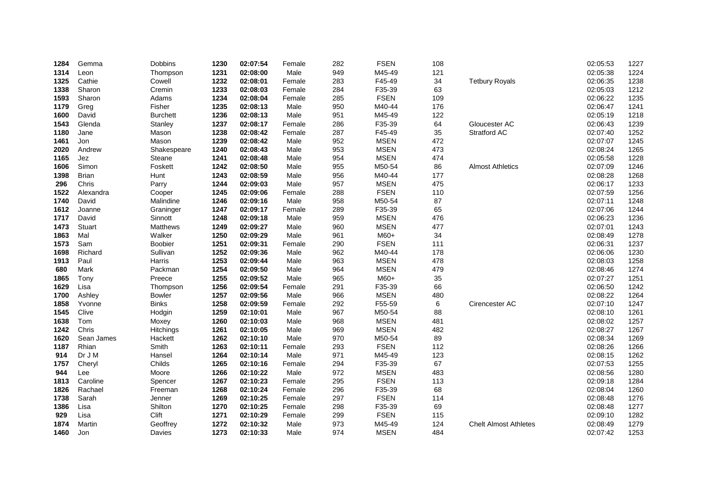| 1284 | Gemma         | Dobbins         | 1230 | 02:07:54 | Female | 282 | <b>FSEN</b> | 108 |                              | 02:05:53 | 1227 |
|------|---------------|-----------------|------|----------|--------|-----|-------------|-----|------------------------------|----------|------|
| 1314 | Leon          | Thompson        | 1231 | 02:08:00 | Male   | 949 | M45-49      | 121 |                              | 02:05:38 | 1224 |
| 1325 | Cathie        | Cowell          | 1232 | 02:08:01 | Female | 283 | F45-49      | 34  | <b>Tetbury Royals</b>        | 02:06:35 | 1238 |
| 1338 | Sharon        | Cremin          | 1233 | 02:08:03 | Female | 284 | F35-39      | 63  |                              | 02:05:03 | 1212 |
| 1593 | Sharon        | Adams           | 1234 | 02:08:04 | Female | 285 | <b>FSEN</b> | 109 |                              | 02:06:22 | 1235 |
| 1179 | Greg          | Fisher          | 1235 | 02:08:13 | Male   | 950 | M40-44      | 176 |                              | 02:06:47 | 1241 |
| 1600 | David         | <b>Burchett</b> | 1236 | 02:08:13 | Male   | 951 | M45-49      | 122 |                              | 02:05:19 | 1218 |
| 1543 | Glenda        | Stanley         | 1237 | 02:08:17 | Female | 286 | F35-39      | 64  | Gloucester AC                | 02:06:43 | 1239 |
| 1180 | Jane          | Mason           | 1238 | 02:08:42 | Female | 287 | F45-49      | 35  | Stratford AC                 | 02:07:40 | 1252 |
| 1461 | Jon           | Mason           | 1239 | 02:08:42 | Male   | 952 | <b>MSEN</b> | 472 |                              | 02:07:07 | 1245 |
| 2020 | Andrew        | Shakespeare     | 1240 | 02:08:43 | Male   | 953 | <b>MSEN</b> | 473 |                              | 02:08:24 | 1265 |
| 1165 | Jez           | Steane          | 1241 | 02:08:48 | Male   | 954 | <b>MSEN</b> | 474 |                              | 02:05:58 | 1228 |
| 1606 | Simon         | Foskett         | 1242 | 02:08:50 | Male   | 955 | M50-54      | 86  | <b>Almost Athletics</b>      | 02:07:09 | 1246 |
| 1398 | <b>Brian</b>  | Hunt            | 1243 | 02:08:59 | Male   | 956 | M40-44      | 177 |                              | 02:08:28 | 1268 |
| 296  | Chris         | Parry           | 1244 | 02:09:03 | Male   | 957 | <b>MSEN</b> | 475 |                              | 02:06:17 | 1233 |
| 1522 | Alexandra     | Cooper          | 1245 | 02:09:06 | Female | 288 | <b>FSEN</b> | 110 |                              | 02:07:59 | 1256 |
| 1740 | David         | Malindine       | 1246 | 02:09:16 | Male   | 958 | M50-54      | 87  |                              | 02:07:11 | 1248 |
| 1612 | Joanne        | Graninger       | 1247 | 02:09:17 | Female | 289 | F35-39      | 65  |                              | 02:07:06 | 1244 |
| 1717 | David         | Sinnott         | 1248 | 02:09:18 | Male   | 959 | <b>MSEN</b> | 476 |                              | 02:06:23 | 1236 |
| 1473 | <b>Stuart</b> | <b>Matthews</b> | 1249 | 02:09:27 | Male   | 960 | <b>MSEN</b> | 477 |                              | 02:07:01 | 1243 |
| 1863 | Mal           | Walker          | 1250 | 02:09:29 | Male   | 961 | M60+        | 34  |                              | 02:08:49 | 1278 |
| 1573 | Sam           | <b>Boobier</b>  | 1251 | 02:09:31 | Female | 290 | <b>FSEN</b> | 111 |                              | 02:06:31 | 1237 |
| 1698 | Richard       | Sullivan        | 1252 | 02:09:36 | Male   | 962 | M40-44      | 178 |                              | 02:06:06 | 1230 |
| 1913 | Paul          | Harris          | 1253 | 02:09:44 | Male   | 963 | <b>MSEN</b> | 478 |                              | 02:08:03 | 1258 |
| 680  | Mark          | Packman         | 1254 | 02:09:50 | Male   | 964 | <b>MSEN</b> | 479 |                              | 02:08:46 | 1274 |
| 1865 | Tony          | Preece          | 1255 | 02:09:52 | Male   | 965 | M60+        | 35  |                              | 02:07:27 | 1251 |
| 1629 | Lisa          | Thompson        | 1256 | 02:09:54 | Female | 291 | F35-39      | 66  |                              | 02:06:50 | 1242 |
| 1700 | Ashley        | <b>Bowler</b>   | 1257 | 02:09:56 | Male   | 966 | <b>MSEN</b> | 480 |                              | 02:08:22 | 1264 |
| 1858 | Yvonne        | <b>Binks</b>    | 1258 | 02:09:59 | Female | 292 | F55-59      | 6   | Cirencester AC               | 02:07:10 | 1247 |
| 1545 | Clive         | Hodgin          | 1259 | 02:10:01 | Male   | 967 | M50-54      | 88  |                              | 02:08:10 | 1261 |
| 1638 | Tom           | Moxey           | 1260 | 02:10:03 | Male   | 968 | <b>MSEN</b> | 481 |                              | 02:08:02 | 1257 |
| 1242 | Chris         | Hitchings       | 1261 | 02:10:05 | Male   | 969 | <b>MSEN</b> | 482 |                              | 02:08:27 | 1267 |
| 1620 | Sean James    | Hackett         | 1262 | 02:10:10 | Male   | 970 | M50-54      | 89  |                              | 02:08:34 | 1269 |
| 1187 | Rhian         | Smith           | 1263 | 02:10:11 | Female | 293 | <b>FSEN</b> | 112 |                              | 02:08:26 | 1266 |
| 914  | Dr J M        | Hansel          | 1264 | 02:10:14 | Male   | 971 | M45-49      | 123 |                              | 02:08:15 | 1262 |
| 1757 | Cheryl        | Childs          | 1265 | 02:10:16 | Female | 294 | F35-39      | 67  |                              | 02:07:53 | 1255 |
| 944  | Lee           | Moore           | 1266 | 02:10:22 | Male   | 972 | <b>MSEN</b> | 483 |                              | 02:08:56 | 1280 |
| 1813 | Caroline      | Spencer         | 1267 | 02:10:23 | Female | 295 | <b>FSEN</b> | 113 |                              | 02:09:18 | 1284 |
| 1826 | Rachael       | Freeman         | 1268 | 02:10:24 | Female | 296 | F35-39      | 68  |                              | 02:08:04 | 1260 |
| 1738 | Sarah         | Jenner          | 1269 | 02:10:25 | Female | 297 | <b>FSEN</b> | 114 |                              | 02:08:48 | 1276 |
| 1386 | Lisa          | Shilton         | 1270 | 02:10:25 | Female | 298 | F35-39      | 69  |                              | 02:08:48 | 1277 |
| 929  | Lisa          | Clift           | 1271 | 02:10:29 | Female | 299 | <b>FSEN</b> | 115 |                              | 02:09:10 | 1282 |
| 1874 | Martin        | Geoffrey        | 1272 | 02:10:32 | Male   | 973 | M45-49      | 124 | <b>Chelt Almost Athletes</b> | 02:08:49 | 1279 |
| 1460 | Jon           | Davies          | 1273 | 02:10:33 | Male   | 974 | <b>MSEN</b> | 484 |                              | 02:07:42 | 1253 |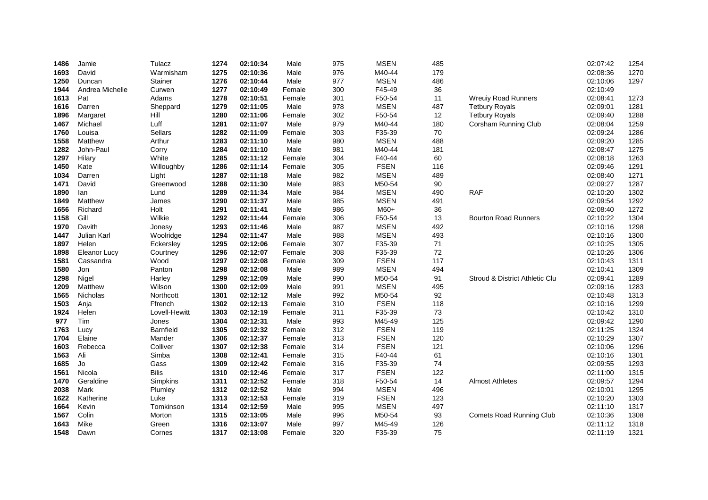| 1486 | Jamie               | Tulacz           | 1274 | 02:10:34 | Male   | 975 | <b>MSEN</b> | 485  |                                 | 02:07:42 | 1254 |
|------|---------------------|------------------|------|----------|--------|-----|-------------|------|---------------------------------|----------|------|
| 1693 | David               | Warmisham        | 1275 | 02:10:36 | Male   | 976 | M40-44      | 179  |                                 | 02:08:36 | 1270 |
| 1250 | Duncan              | <b>Stainer</b>   | 1276 | 02:10:44 | Male   | 977 | <b>MSEN</b> | 486  |                                 | 02:10:06 | 1297 |
| 1944 | Andrea Michelle     | Curwen           | 1277 | 02:10:49 | Female | 300 | F45-49      | 36   |                                 | 02:10:49 |      |
| 1613 | Pat                 | Adams            | 1278 | 02:10:51 | Female | 301 | F50-54      | 11   | <b>Wreuly Road Runners</b>      | 02:08:41 | 1273 |
| 1616 | Darren              | Sheppard         | 1279 | 02:11:05 | Male   | 978 | <b>MSEN</b> | 487  | <b>Tetbury Royals</b>           | 02:09:01 | 1281 |
| 1896 | Margaret            | Hill             | 1280 | 02:11:06 | Female | 302 | F50-54      | 12   | <b>Tetbury Royals</b>           | 02:09:40 | 1288 |
| 1467 | Michael             | Luff             | 1281 | 02:11:07 | Male   | 979 | M40-44      | 180  | Corsham Running Club            | 02:08:04 | 1259 |
| 1760 | Louisa              | Sellars          | 1282 | 02:11:09 | Female | 303 | F35-39      | 70   |                                 | 02:09:24 | 1286 |
| 1558 | Matthew             | Arthur           | 1283 | 02:11:10 | Male   | 980 | <b>MSEN</b> | 488  |                                 | 02:09:20 | 1285 |
| 1282 | John-Paul           | Corry            | 1284 | 02:11:10 | Male   | 981 | M40-44      | 181  |                                 | 02:08:47 | 1275 |
| 1297 | Hilary              | White            | 1285 | 02:11:12 | Female | 304 | F40-44      | 60   |                                 | 02:08:18 | 1263 |
| 1450 | Kate                | Willoughby       | 1286 | 02:11:14 | Female | 305 | <b>FSEN</b> | 116  |                                 | 02:09:46 | 1291 |
| 1034 | Darren              | Light            | 1287 | 02:11:18 | Male   | 982 | <b>MSEN</b> | 489  |                                 | 02:08:40 | 1271 |
| 1471 | David               | Greenwood        | 1288 | 02:11:30 | Male   | 983 | M50-54      | 90   |                                 | 02:09:27 | 1287 |
| 1890 | lan                 | Lund             | 1289 | 02:11:34 | Male   | 984 | <b>MSEN</b> | 490  | <b>RAF</b>                      | 02:10:20 | 1302 |
| 1849 | Matthew             | James            | 1290 | 02:11:37 | Male   | 985 | <b>MSEN</b> | 491  |                                 | 02:09:54 | 1292 |
| 1656 | Richard             | Holt             | 1291 | 02:11:41 | Male   | 986 | M60+        | 36   |                                 | 02:08:40 | 1272 |
| 1158 | Gill                | Wilkie           | 1292 | 02:11:44 | Female | 306 | F50-54      | 13   | <b>Bourton Road Runners</b>     | 02:10:22 | 1304 |
| 1970 | Davith              | Jonesy           | 1293 | 02:11:46 | Male   | 987 | <b>MSEN</b> | 492  |                                 | 02:10:16 | 1298 |
| 1447 | Julian Karl         | Woolridge        | 1294 | 02:11:47 | Male   | 988 | <b>MSEN</b> | 493  |                                 | 02:10:16 | 1300 |
| 1897 | Helen               | Eckersley        | 1295 | 02:12:06 | Female | 307 | F35-39      | $71$ |                                 | 02:10:25 | 1305 |
| 1898 | <b>Eleanor Lucy</b> | Courtney         | 1296 | 02:12:07 | Female | 308 | F35-39      | 72   |                                 | 02:10:26 | 1306 |
| 1581 | Cassandra           | Wood             | 1297 | 02:12:08 | Female | 309 | <b>FSEN</b> | 117  |                                 | 02:10:43 | 1311 |
| 1580 | Jon                 | Panton           | 1298 | 02:12:08 | Male   | 989 | <b>MSEN</b> | 494  |                                 | 02:10:41 | 1309 |
| 1298 | Nigel               | Harley           | 1299 | 02:12:09 | Male   | 990 | M50-54      | 91   | Stroud & District Athletic Clu  | 02:09:41 | 1289 |
| 1209 | Matthew             | Wilson           | 1300 | 02:12:09 | Male   | 991 | <b>MSEN</b> | 495  |                                 | 02:09:16 | 1283 |
| 1565 | <b>Nicholas</b>     | Northcott        | 1301 | 02:12:12 | Male   | 992 | M50-54      | 92   |                                 | 02:10:48 | 1313 |
| 1503 | Anja                | Ffrench          | 1302 | 02:12:13 | Female | 310 | <b>FSEN</b> | 118  |                                 | 02:10:16 | 1299 |
| 1924 | Helen               | Lovell-Hewitt    | 1303 | 02:12:19 | Female | 311 | F35-39      | 73   |                                 | 02:10:42 | 1310 |
| 977  | Tim                 | Jones            | 1304 | 02:12:31 | Male   | 993 | M45-49      | 125  |                                 | 02:09:42 | 1290 |
| 1763 | Lucy                | <b>Barnfield</b> | 1305 | 02:12:32 | Female | 312 | <b>FSEN</b> | 119  |                                 | 02:11:25 | 1324 |
| 1704 | Elaine              | Mander           | 1306 | 02:12:37 | Female | 313 | <b>FSEN</b> | 120  |                                 | 02:10:29 | 1307 |
| 1603 | Rebecca             | Colliver         | 1307 | 02:12:38 | Female | 314 | <b>FSEN</b> | 121  |                                 | 02:10:06 | 1296 |
| 1563 | Ali                 | Simba            | 1308 | 02:12:41 | Female | 315 | F40-44      | 61   |                                 | 02:10:16 | 1301 |
| 1685 | Jo                  | Gass             | 1309 | 02:12:42 | Female | 316 | F35-39      | 74   |                                 | 02:09:55 | 1293 |
| 1561 | Nicola              | <b>Bilis</b>     | 1310 | 02:12:46 | Female | 317 | <b>FSEN</b> | 122  |                                 | 02:11:00 | 1315 |
| 1470 | Geraldine           | <b>Simpkins</b>  | 1311 | 02:12:52 | Female | 318 | F50-54      | 14   | <b>Almost Athletes</b>          | 02:09:57 | 1294 |
| 2038 | Mark                | Plumley          | 1312 | 02:12:52 | Male   | 994 | <b>MSEN</b> | 496  |                                 | 02:10:01 | 1295 |
| 1622 | Katherine           | Luke             | 1313 | 02:12:53 | Female | 319 | <b>FSEN</b> | 123  |                                 | 02:10:20 | 1303 |
| 1664 | Kevin               | Tomkinson        | 1314 | 02:12:59 | Male   | 995 | <b>MSEN</b> | 497  |                                 | 02:11:10 | 1317 |
| 1567 | Colin               | Morton           | 1315 | 02:13:05 | Male   | 996 | M50-54      | 93   | <b>Comets Road Running Club</b> | 02:10:36 | 1308 |
| 1643 | Mike                | Green            | 1316 | 02:13:07 | Male   | 997 | M45-49      | 126  |                                 | 02:11:12 | 1318 |
| 1548 | Dawn                | Cornes           | 1317 | 02:13:08 | Female | 320 | F35-39      | 75   |                                 | 02:11:19 | 1321 |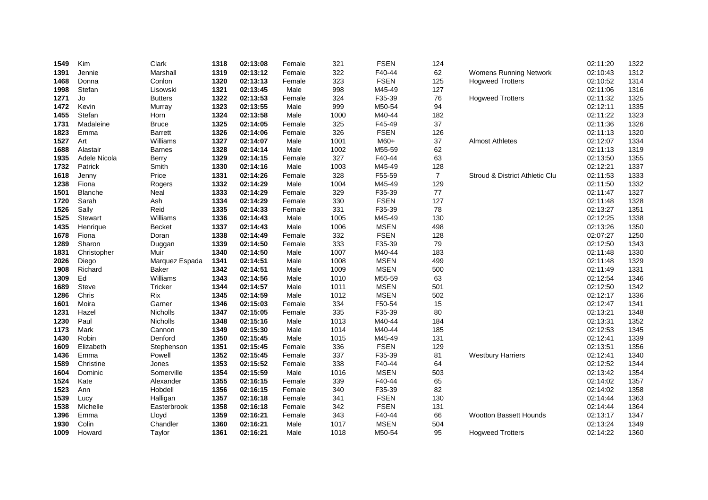| 1549 | Kim            | Clark          | 1318 | 02:13:08 | Female | 321  | <b>FSEN</b> | 124            |                                | 02:11:20 | 1322 |
|------|----------------|----------------|------|----------|--------|------|-------------|----------------|--------------------------------|----------|------|
| 1391 | Jennie         | Marshall       | 1319 | 02:13:12 | Female | 322  | F40-44      | 62             | Womens Running Network         | 02:10:43 | 1312 |
| 1468 | Donna          | Conlon         | 1320 | 02:13:13 | Female | 323  | <b>FSEN</b> | 125            | <b>Hogweed Trotters</b>        | 02:10:52 | 1314 |
| 1998 | Stefan         | Lisowski       | 1321 | 02:13:45 | Male   | 998  | M45-49      | 127            |                                | 02:11:06 | 1316 |
| 1271 | Jo             | <b>Butters</b> | 1322 | 02:13:53 | Female | 324  | F35-39      | 76             | <b>Hogweed Trotters</b>        | 02:11:32 | 1325 |
| 1472 | Kevin          | Murray         | 1323 | 02:13:55 | Male   | 999  | M50-54      | 94             |                                | 02:12:11 | 1335 |
| 1455 | Stefan         | Horn           | 1324 | 02:13:58 | Male   | 1000 | M40-44      | 182            |                                | 02:11:22 | 1323 |
| 1731 | Madaleine      | <b>Bruce</b>   | 1325 | 02:14:05 | Female | 325  | F45-49      | 37             |                                | 02:11:36 | 1326 |
| 1823 | Emma           | <b>Barrett</b> | 1326 | 02:14:06 | Female | 326  | <b>FSEN</b> | 126            |                                | 02:11:13 | 1320 |
| 1527 | Art            | Williams       | 1327 | 02:14:07 | Male   | 1001 | M60+        | 37             | <b>Almost Athletes</b>         | 02:12:07 | 1334 |
| 1688 | Alastair       | Barnes         | 1328 | 02:14:14 | Male   | 1002 | M55-59      | 62             |                                | 02:11:13 | 1319 |
| 1935 | Adele Nicola   | Berry          | 1329 | 02:14:15 | Female | 327  | F40-44      | 63             |                                | 02:13:50 | 1355 |
| 1732 | Patrick        | Smith          | 1330 | 02:14:16 | Male   | 1003 | M45-49      | 128            |                                | 02:12:21 | 1337 |
| 1618 | Jenny          | Price          | 1331 | 02:14:26 | Female | 328  | F55-59      | $\overline{7}$ | Stroud & District Athletic Clu | 02:11:53 | 1333 |
| 1238 | Fiona          | Rogers         | 1332 | 02:14:29 | Male   | 1004 | M45-49      | 129            |                                | 02:11:50 | 1332 |
| 1501 | <b>Blanche</b> | Neal           | 1333 | 02:14:29 | Female | 329  | F35-39      | 77             |                                | 02:11:47 | 1327 |
| 1720 | Sarah          | Ash            | 1334 | 02:14:29 | Female | 330  | <b>FSEN</b> | 127            |                                | 02:11:48 | 1328 |
| 1526 | Sally          | Reid           | 1335 | 02:14:33 | Female | 331  | F35-39      | 78             |                                | 02:13:27 | 1351 |
| 1525 | Stewart        | Williams       | 1336 | 02:14:43 | Male   | 1005 | M45-49      | 130            |                                | 02:12:25 | 1338 |
| 1435 | Henrique       | <b>Becket</b>  | 1337 | 02:14:43 | Male   | 1006 | <b>MSEN</b> | 498            |                                | 02:13:26 | 1350 |
| 1678 | Fiona          | Doran          | 1338 | 02:14:49 | Female | 332  | <b>FSEN</b> | 128            |                                | 02:07:27 | 1250 |
| 1289 | Sharon         | Duggan         | 1339 | 02:14:50 | Female | 333  | F35-39      | 79             |                                | 02:12:50 | 1343 |
| 1831 | Christopher    | Muir           | 1340 | 02:14:50 | Male   | 1007 | M40-44      | 183            |                                | 02:11:48 | 1330 |
| 2026 | Diego          | Marquez Espada | 1341 | 02:14:51 | Male   | 1008 | <b>MSEN</b> | 499            |                                | 02:11:48 | 1329 |
| 1908 | Richard        | <b>Baker</b>   | 1342 | 02:14:51 | Male   | 1009 | <b>MSEN</b> | 500            |                                | 02:11:49 | 1331 |
| 1309 | Ed             | Williams       | 1343 | 02:14:56 | Male   | 1010 | M55-59      | 63             |                                | 02:12:54 | 1346 |
| 1689 | Steve          | Tricker        | 1344 | 02:14:57 | Male   | 1011 | <b>MSEN</b> | 501            |                                | 02:12:50 | 1342 |
| 1286 | Chris          | Rix            | 1345 | 02:14:59 | Male   | 1012 | <b>MSEN</b> | 502            |                                | 02:12:17 | 1336 |
| 1601 | Moira          | Garner         | 1346 | 02:15:03 | Female | 334  | F50-54      | 15             |                                | 02:12:47 | 1341 |
| 1231 | Hazel          | Nicholls       | 1347 | 02:15:05 | Female | 335  | F35-39      | 80             |                                | 02:13:21 | 1348 |
| 1230 | Paul           | Nicholls       | 1348 | 02:15:16 | Male   | 1013 | M40-44      | 184            |                                | 02:13:31 | 1352 |
| 1173 | Mark           | Cannon         | 1349 | 02:15:30 | Male   | 1014 | M40-44      | 185            |                                | 02:12:53 | 1345 |
| 1430 | Robin          | Denford        | 1350 | 02:15:45 | Male   | 1015 | M45-49      | 131            |                                | 02:12:41 | 1339 |
| 1609 | Elizabeth      | Stephenson     | 1351 | 02:15:45 | Female | 336  | <b>FSEN</b> | 129            |                                | 02:13:51 | 1356 |
| 1436 | Emma           | Powell         | 1352 | 02:15:45 | Female | 337  | F35-39      | 81             | <b>Westbury Harriers</b>       | 02:12:41 | 1340 |
| 1589 | Christine      | Jones          | 1353 | 02:15:52 | Female | 338  | F40-44      | 64             |                                | 02:12:52 | 1344 |
| 1604 | Dominic        | Somerville     | 1354 | 02:15:59 | Male   | 1016 | <b>MSEN</b> | 503            |                                | 02:13:42 | 1354 |
| 1524 | Kate           | Alexander      | 1355 | 02:16:15 | Female | 339  | F40-44      | 65             |                                | 02:14:02 | 1357 |
| 1523 | Ann            | Hobdell        | 1356 | 02:16:15 | Female | 340  | F35-39      | 82             |                                | 02:14:02 | 1358 |
| 1539 | Lucy           | Halligan       | 1357 | 02:16:18 | Female | 341  | <b>FSEN</b> | 130            |                                | 02:14:44 | 1363 |
| 1538 | Michelle       | Easterbrook    | 1358 | 02:16:18 | Female | 342  | <b>FSEN</b> | 131            |                                | 02:14:44 | 1364 |
| 1396 | Emma           | Lloyd          | 1359 | 02:16:21 | Female | 343  | F40-44      | 66             | <b>Wootton Bassett Hounds</b>  | 02:13:17 | 1347 |
| 1930 | Colin          | Chandler       | 1360 | 02:16:21 | Male   | 1017 | <b>MSEN</b> | 504            |                                | 02:13:24 | 1349 |
| 1009 | Howard         | Taylor         | 1361 | 02:16:21 | Male   | 1018 | M50-54      | 95             | <b>Hogweed Trotters</b>        | 02:14:22 | 1360 |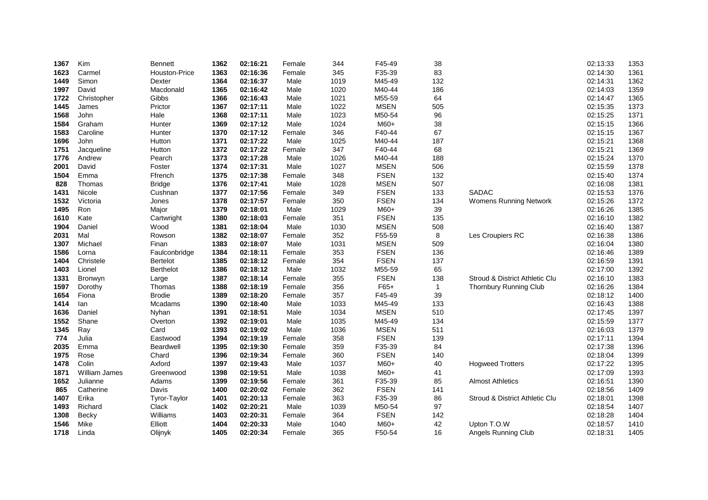| 1367 | Kim           | <b>Bennett</b>      | 1362 | 02:16:21 | Female | 344  | F45-49      | 38           |                                | 02:13:33 | 1353 |
|------|---------------|---------------------|------|----------|--------|------|-------------|--------------|--------------------------------|----------|------|
| 1623 | Carmel        | Houston-Price       | 1363 | 02:16:36 | Female | 345  | F35-39      | 83           |                                | 02:14:30 | 1361 |
| 1449 | Simon         | Dexter              | 1364 | 02:16:37 | Male   | 1019 | M45-49      | 132          |                                | 02:14:31 | 1362 |
| 1997 | David         | Macdonald           | 1365 | 02:16:42 | Male   | 1020 | M40-44      | 186          |                                | 02:14:03 | 1359 |
| 1722 | Christopher   | Gibbs               | 1366 | 02:16:43 | Male   | 1021 | M55-59      | 64           |                                | 02:14:47 | 1365 |
| 1445 | James         | Prictor             | 1367 | 02:17:11 | Male   | 1022 | <b>MSEN</b> | 505          |                                | 02:15:35 | 1373 |
| 1568 | John          | Hale                | 1368 | 02:17:11 | Male   | 1023 | M50-54      | 96           |                                | 02:15:25 | 1371 |
| 1584 | Graham        | Hunter              | 1369 | 02:17:12 | Male   | 1024 | M60+        | 38           |                                | 02:15:15 | 1366 |
| 1583 | Caroline      | Hunter              | 1370 | 02:17:12 | Female | 346  | F40-44      | 67           |                                | 02:15:15 | 1367 |
| 1696 | John          | Hutton              | 1371 | 02:17:22 | Male   | 1025 | M40-44      | 187          |                                | 02:15:21 | 1368 |
| 1751 | Jacqueline    | Hutton              | 1372 | 02:17:22 | Female | 347  | F40-44      | 68           |                                | 02:15:21 | 1369 |
| 1776 | Andrew        | Pearch              | 1373 | 02:17:28 | Male   | 1026 | M40-44      | 188          |                                | 02:15:24 | 1370 |
| 2001 | David         | Foster              | 1374 | 02:17:31 | Male   | 1027 | <b>MSEN</b> | 506          |                                | 02:15:59 | 1378 |
| 1504 | Emma          | Ffrench             | 1375 | 02:17:38 | Female | 348  | <b>FSEN</b> | 132          |                                | 02:15:40 | 1374 |
| 828  | Thomas        | <b>Bridge</b>       | 1376 | 02:17:41 | Male   | 1028 | <b>MSEN</b> | 507          |                                | 02:16:08 | 1381 |
| 1431 | Nicole        | Cushnan             | 1377 | 02:17:56 | Female | 349  | <b>FSEN</b> | 133          | <b>SADAC</b>                   | 02:15:53 | 1376 |
| 1532 | Victoria      | Jones               | 1378 | 02:17:57 | Female | 350  | <b>FSEN</b> | 134          | <b>Womens Running Network</b>  | 02:15:26 | 1372 |
| 1495 | Ron           | Major               | 1379 | 02:18:01 | Male   | 1029 | M60+        | 39           |                                | 02:16:26 | 1385 |
| 1610 | Kate          | Cartwright          | 1380 | 02:18:03 | Female | 351  | <b>FSEN</b> | 135          |                                | 02:16:10 | 1382 |
| 1904 | Daniel        | Wood                | 1381 | 02:18:04 | Male   | 1030 | <b>MSEN</b> | 508          |                                | 02:16:40 | 1387 |
| 2031 | Mal           | Rowson              | 1382 | 02:18:07 | Female | 352  | F55-59      | 8            | Les Croupiers RC               | 02:16:38 | 1386 |
| 1307 | Michael       | Finan               | 1383 | 02:18:07 | Male   | 1031 | <b>MSEN</b> | 509          |                                | 02:16:04 | 1380 |
| 1586 | Lorna         | Faulconbridge       | 1384 | 02:18:11 | Female | 353  | <b>FSEN</b> | 136          |                                | 02:16:46 | 1389 |
| 1404 | Christele     | <b>Bertelot</b>     | 1385 | 02:18:12 | Female | 354  | <b>FSEN</b> | 137          |                                | 02:16:59 | 1391 |
| 1403 | Lionel        | <b>Berthelot</b>    | 1386 | 02:18:12 | Male   | 1032 | M55-59      | 65           |                                | 02:17:00 | 1392 |
| 1331 | Bronwyn       | Large               | 1387 | 02:18:14 | Female | 355  | <b>FSEN</b> | 138          | Stroud & District Athletic Clu | 02:16:10 | 1383 |
| 1597 | Dorothy       | Thomas              | 1388 | 02:18:19 | Female | 356  | $F65+$      | $\mathbf{1}$ | Thornbury Running Club         | 02:16:26 | 1384 |
| 1654 | Fiona         | <b>Brodie</b>       | 1389 | 02:18:20 | Female | 357  | F45-49      | 39           |                                | 02:18:12 | 1400 |
| 1414 | lan           | Mcadams             | 1390 | 02:18:40 | Male   | 1033 | M45-49      | 133          |                                | 02:16:43 | 1388 |
| 1636 | Daniel        | Nyhan               | 1391 | 02:18:51 | Male   | 1034 | <b>MSEN</b> | 510          |                                | 02:17:45 | 1397 |
| 1552 | Shane         | Overton             | 1392 | 02:19:01 | Male   | 1035 | M45-49      | 134          |                                | 02:15:59 | 1377 |
| 1345 | Ray           | Card                | 1393 | 02:19:02 | Male   | 1036 | <b>MSEN</b> | 511          |                                | 02:16:03 | 1379 |
| 774  | Julia         | Eastwood            | 1394 | 02:19:19 | Female | 358  | <b>FSEN</b> | 139          |                                | 02:17:11 | 1394 |
| 2035 | Emma          | Beardwell           | 1395 | 02:19:30 | Female | 359  | F35-39      | 84           |                                | 02:17:38 | 1396 |
| 1975 | Rose          | Chard               | 1396 | 02:19:34 | Female | 360  | <b>FSEN</b> | 140          |                                | 02:18:04 | 1399 |
| 1478 | Colin         | Axford              | 1397 | 02:19:43 | Male   | 1037 | M60+        | 40           | <b>Hogweed Trotters</b>        | 02:17:22 | 1395 |
| 1871 | William James | Greenwood           | 1398 | 02:19:51 | Male   | 1038 | $M60+$      | 41           |                                | 02:17:09 | 1393 |
| 1652 | Julianne      | Adams               | 1399 | 02:19:56 | Female | 361  | F35-39      | 85           | <b>Almost Athletics</b>        | 02:16:51 | 1390 |
| 865  | Catherine     | Davis               | 1400 | 02:20:02 | Female | 362  | <b>FSEN</b> | 141          |                                | 02:18:56 | 1409 |
| 1407 | Erika         | <b>Tyror-Taylor</b> | 1401 | 02:20:13 | Female | 363  | F35-39      | 86           | Stroud & District Athletic Clu | 02:18:01 | 1398 |
| 1493 | Richard       | Clack               | 1402 | 02:20:21 | Male   | 1039 | M50-54      | 97           |                                | 02:18:54 | 1407 |
| 1308 | Becky         | Williams            | 1403 | 02:20:31 | Female | 364  | <b>FSEN</b> | 142          |                                | 02:18:28 | 1404 |
| 1546 | Mike          | Elliott             | 1404 | 02:20:33 | Male   | 1040 | M60+        | 42           | Upton T.O.W                    | 02:18:57 | 1410 |
| 1718 | Linda         | Olijnyk             | 1405 | 02:20:34 | Female | 365  | F50-54      | 16           | Angels Running Club            | 02:18:31 | 1405 |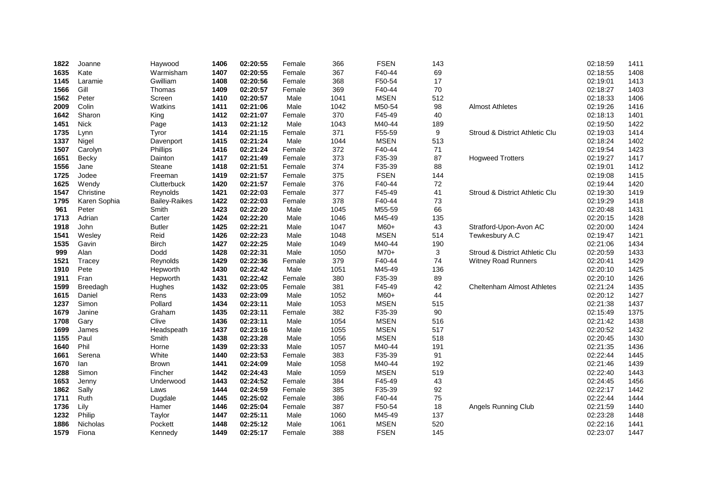| 1822 | Joanne       | Haywood              | 1406 | 02:20:55 | Female | 366  | <b>FSEN</b> | 143 |                                | 02:18:59 | 1411 |
|------|--------------|----------------------|------|----------|--------|------|-------------|-----|--------------------------------|----------|------|
| 1635 | Kate         | Warmisham            | 1407 | 02:20:55 | Female | 367  | F40-44      | 69  |                                | 02:18:55 | 1408 |
| 1145 | Laramie      | Gwilliam             | 1408 | 02:20:56 | Female | 368  | F50-54      | 17  |                                | 02:19:01 | 1413 |
| 1566 | Gill         | Thomas               | 1409 | 02:20:57 | Female | 369  | F40-44      | 70  |                                | 02:18:27 | 1403 |
| 1562 | Peter        | Screen               | 1410 | 02:20:57 | Male   | 1041 | <b>MSEN</b> | 512 |                                | 02:18:33 | 1406 |
| 2009 | Colin        | Watkins              | 1411 | 02:21:06 | Male   | 1042 | M50-54      | 98  | <b>Almost Athletes</b>         | 02:19:26 | 1416 |
| 1642 | Sharon       | King                 | 1412 | 02:21:07 | Female | 370  | F45-49      | 40  |                                | 02:18:13 | 1401 |
| 1451 | <b>Nick</b>  | Page                 | 1413 | 02:21:12 | Male   | 1043 | M40-44      | 189 |                                | 02:19:50 | 1422 |
| 1735 | Lynn         | Tyror                | 1414 | 02:21:15 | Female | 371  | F55-59      | 9   | Stroud & District Athletic Clu | 02:19:03 | 1414 |
| 1337 | Nigel        | Davenport            | 1415 | 02:21:24 | Male   | 1044 | <b>MSEN</b> | 513 |                                | 02:18:24 | 1402 |
| 1507 | Carolyn      | Phillips             | 1416 | 02:21:24 | Female | 372  | F40-44      | 71  |                                | 02:19:54 | 1423 |
| 1651 | Becky        | Dainton              | 1417 | 02:21:49 | Female | 373  | F35-39      | 87  | <b>Hogweed Trotters</b>        | 02:19:27 | 1417 |
| 1556 | Jane         | Steane               | 1418 | 02:21:51 | Female | 374  | F35-39      | 88  |                                | 02:19:01 | 1412 |
| 1725 | Jodee        | Freeman              | 1419 | 02:21:57 | Female | 375  | <b>FSEN</b> | 144 |                                | 02:19:08 | 1415 |
| 1625 | Wendy        | Clutterbuck          | 1420 | 02:21:57 | Female | 376  | F40-44      | 72  |                                | 02:19:44 | 1420 |
| 1547 | Christine    | Reynolds             | 1421 | 02:22:03 | Female | 377  | F45-49      | 41  | Stroud & District Athletic Clu | 02:19:30 | 1419 |
| 1795 | Karen Sophia | <b>Bailey-Raikes</b> | 1422 | 02:22:03 | Female | 378  | F40-44      | 73  |                                | 02:19:29 | 1418 |
| 961  | Peter        | Smith                | 1423 | 02:22:20 | Male   | 1045 | M55-59      | 66  |                                | 02:20:48 | 1431 |
| 1713 | Adrian       | Carter               | 1424 | 02:22:20 | Male   | 1046 | M45-49      | 135 |                                | 02:20:15 | 1428 |
| 1918 | John         | <b>Butler</b>        | 1425 | 02:22:21 | Male   | 1047 | M60+        | 43  | Stratford-Upon-Avon AC         | 02:20:00 | 1424 |
| 1541 | Wesley       | Reid                 | 1426 | 02:22:23 | Male   | 1048 | <b>MSEN</b> | 514 | Tewkesbury A.C                 | 02:19:47 | 1421 |
| 1535 | Gavin        | <b>Birch</b>         | 1427 | 02:22:25 | Male   | 1049 | M40-44      | 190 |                                | 02:21:06 | 1434 |
| 999  | Alan         | Dodd                 | 1428 | 02:22:31 | Male   | 1050 | M70+        | 3   | Stroud & District Athletic Clu | 02:20:59 | 1433 |
| 1521 | Tracey       | Reynolds             | 1429 | 02:22:36 | Female | 379  | F40-44      | 74  | <b>Witney Road Runners</b>     | 02:20:41 | 1429 |
| 1910 | Pete         | Hepworth             | 1430 | 02:22:42 | Male   | 1051 | M45-49      | 136 |                                | 02:20:10 | 1425 |
| 1911 | Fran         | Hepworth             | 1431 | 02:22:42 | Female | 380  | F35-39      | 89  |                                | 02:20:10 | 1426 |
| 1599 | Breedagh     | Hughes               | 1432 | 02:23:05 | Female | 381  | F45-49      | 42  | Cheltenham Almost Athletes     | 02:21:24 | 1435 |
| 1615 | Daniel       | Rens                 | 1433 | 02:23:09 | Male   | 1052 | M60+        | 44  |                                | 02:20:12 | 1427 |
| 1237 | Simon        | Pollard              | 1434 | 02:23:11 | Male   | 1053 | <b>MSEN</b> | 515 |                                | 02:21:38 | 1437 |
| 1679 | Janine       | Graham               | 1435 | 02:23:11 | Female | 382  | F35-39      | 90  |                                | 02:15:49 | 1375 |
| 1708 | Gary         | Clive                | 1436 | 02:23:11 | Male   | 1054 | <b>MSEN</b> | 516 |                                | 02:21:42 | 1438 |
| 1699 | James        | Headspeath           | 1437 | 02:23:16 | Male   | 1055 | <b>MSEN</b> | 517 |                                | 02:20:52 | 1432 |
| 1155 | Paul         | Smith                | 1438 | 02:23:28 | Male   | 1056 | <b>MSEN</b> | 518 |                                | 02:20:45 | 1430 |
| 1640 | Phil         | Horne                | 1439 | 02:23:33 | Male   | 1057 | M40-44      | 191 |                                | 02:21:35 | 1436 |
| 1661 | Serena       | White                | 1440 | 02:23:53 | Female | 383  | F35-39      | 91  |                                | 02:22:44 | 1445 |
| 1670 | lan          | <b>Brown</b>         | 1441 | 02:24:09 | Male   | 1058 | M40-44      | 192 |                                | 02:21:46 | 1439 |
| 1288 | Simon        | Fincher              | 1442 | 02:24:43 | Male   | 1059 | <b>MSEN</b> | 519 |                                | 02:22:40 | 1443 |
| 1653 | Jenny        | Underwood            | 1443 | 02:24:52 | Female | 384  | F45-49      | 43  |                                | 02:24:45 | 1456 |
| 1862 | Sally        | Laws                 | 1444 | 02:24:59 | Female | 385  | F35-39      | 92  |                                | 02:22:17 | 1442 |
| 1711 | Ruth         | Dugdale              | 1445 | 02:25:02 | Female | 386  | F40-44      | 75  |                                | 02:22:44 | 1444 |
| 1736 | Lily         | Hamer                | 1446 | 02:25:04 | Female | 387  | F50-54      | 18  | Angels Running Club            | 02:21:59 | 1440 |
| 1232 | Philip       | Taylor               | 1447 | 02:25:11 | Male   | 1060 | M45-49      | 137 |                                | 02:23:28 | 1448 |
| 1886 | Nicholas     | Pockett              | 1448 | 02:25:12 | Male   | 1061 | <b>MSEN</b> | 520 |                                | 02:22:16 | 1441 |
| 1579 | Fiona        | Kennedy              | 1449 | 02:25:17 | Female | 388  | <b>FSEN</b> | 145 |                                | 02:23:07 | 1447 |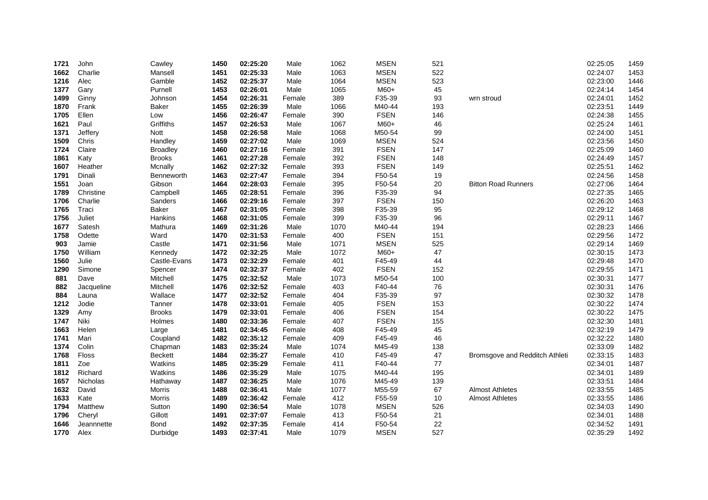| 1721 | John       | Cawley          | 1450 | 02:25:20 | Male   | 1062 | <b>MSEN</b> | 521 |                                | 02:25:05 | 1459 |
|------|------------|-----------------|------|----------|--------|------|-------------|-----|--------------------------------|----------|------|
| 1662 | Charlie    | Mansell         | 1451 | 02:25:33 | Male   | 1063 | <b>MSEN</b> | 522 |                                | 02:24:07 | 1453 |
| 1216 | Alec       | Gamble          | 1452 | 02:25:37 | Male   | 1064 | <b>MSEN</b> | 523 |                                | 02:23:00 | 1446 |
| 1377 | Gary       | Purnell         | 1453 | 02:26:01 | Male   | 1065 | M60+        | 45  |                                | 02:24:14 | 1454 |
| 1499 | Ginny      | Johnson         | 1454 | 02:26:31 | Female | 389  | F35-39      | 93  | wrn stroud                     | 02:24:01 | 1452 |
| 1870 | Frank      | <b>Baker</b>    | 1455 | 02:26:39 | Male   | 1066 | M40-44      | 193 |                                | 02:23:51 | 1449 |
| 1705 | Ellen      | Low             | 1456 | 02:26:47 | Female | 390  | <b>FSEN</b> | 146 |                                | 02:24:38 | 1455 |
| 1621 | Paul       | Griffiths       | 1457 | 02:26:53 | Male   | 1067 | M60+        | 46  |                                | 02:25:24 | 1461 |
| 1371 | Jeffery    | <b>Nott</b>     | 1458 | 02:26:58 | Male   | 1068 | M50-54      | 99  |                                | 02:24:00 | 1451 |
| 1509 | Chris      | Handley         | 1459 | 02:27:02 | Male   | 1069 | <b>MSEN</b> | 524 |                                | 02:23:56 | 1450 |
| 1724 | Claire     | <b>Broadley</b> | 1460 | 02:27:16 | Female | 391  | <b>FSEN</b> | 147 |                                | 02:25:09 | 1460 |
| 1861 | Katy       | <b>Brooks</b>   | 1461 | 02:27:28 | Female | 392  | <b>FSEN</b> | 148 |                                | 02:24:49 | 1457 |
| 1607 | Heather    | Mcnally         | 1462 | 02:27:32 | Female | 393  | <b>FSEN</b> | 149 |                                | 02:25:51 | 1462 |
| 1791 | Dinali     | Benneworth      | 1463 | 02:27:47 | Female | 394  | F50-54      | 19  |                                | 02:24:56 | 1458 |
| 1551 | Joan       | Gibson          | 1464 | 02:28:03 | Female | 395  | F50-54      | 20  | <b>Bitton Road Runners</b>     | 02:27:06 | 1464 |
| 1789 | Christine  | Campbell        | 1465 | 02:28:51 | Female | 396  | F35-39      | 94  |                                | 02:27:35 | 1465 |
| 1706 | Charlie    | Sanders         | 1466 | 02:29:16 | Female | 397  | <b>FSEN</b> | 150 |                                | 02:26:20 | 1463 |
| 1765 | Traci      | <b>Baker</b>    | 1467 | 02:31:05 | Female | 398  | F35-39      | 95  |                                | 02:29:12 | 1468 |
| 1756 | Juliet     | Hankins         | 1468 | 02:31:05 | Female | 399  | F35-39      | 96  |                                | 02:29:11 | 1467 |
| 1677 | Satesh     | Mathura         | 1469 | 02:31:26 | Male   | 1070 | M40-44      | 194 |                                | 02:28:23 | 1466 |
| 1758 | Odette     | Ward            | 1470 | 02:31:53 | Female | 400  | <b>FSEN</b> | 151 |                                | 02:29:56 | 1472 |
| 903  | Jamie      | Castle          | 1471 | 02:31:56 | Male   | 1071 | <b>MSEN</b> | 525 |                                | 02:29:14 | 1469 |
| 1750 | William    | Kennedy         | 1472 | 02:32:25 | Male   | 1072 | $M60+$      | 47  |                                | 02:30:15 | 1473 |
| 1560 | Julie      | Castle-Evans    | 1473 | 02:32:29 | Female | 401  | F45-49      | 44  |                                | 02:29:48 | 1470 |
| 1290 | Simone     | Spencer         | 1474 | 02:32:37 | Female | 402  | <b>FSEN</b> | 152 |                                | 02:29:55 | 1471 |
| 881  | Dave       | Mitchell        | 1475 | 02:32:52 | Male   | 1073 | M50-54      | 100 |                                | 02:30:31 | 1477 |
| 882  | Jacqueline | Mitchell        | 1476 | 02:32:52 | Female | 403  | F40-44      | 76  |                                | 02:30:31 | 1476 |
| 884  | Launa      | Wallace         | 1477 | 02:32:52 | Female | 404  | F35-39      | 97  |                                | 02:30:32 | 1478 |
| 1212 | Jodie      | Tanner          | 1478 | 02:33:01 | Female | 405  | <b>FSEN</b> | 153 |                                | 02:30:22 | 1474 |
| 1329 | Amy        | <b>Brooks</b>   | 1479 | 02:33:01 | Female | 406  | <b>FSEN</b> | 154 |                                | 02:30:22 | 1475 |
| 1747 | Niki       | Holmes          | 1480 | 02:33:36 | Female | 407  | <b>FSEN</b> | 155 |                                | 02:32:30 | 1481 |
| 1663 | Helen      | Large           | 1481 | 02:34:45 | Female | 408  | F45-49      | 45  |                                | 02:32:19 | 1479 |
| 1741 | Mari       | Coupland        | 1482 | 02:35:12 | Female | 409  | F45-49      | 46  |                                | 02:32:22 | 1480 |
| 1374 | Colin      | Chapman         | 1483 | 02:35:24 | Male   | 1074 | M45-49      | 138 |                                | 02:33:09 | 1482 |
| 1768 | Floss      | <b>Beckett</b>  | 1484 | 02:35:27 | Female | 410  | F45-49      | 47  | Bromsgove and Redditch Athleti | 02:33:15 | 1483 |
| 1811 | Zoe        | Watkins         | 1485 | 02:35:29 | Female | 411  | F40-44      | 77  |                                | 02:34:01 | 1487 |
| 1812 | Richard    | Watkins         | 1486 | 02:35:29 | Male   | 1075 | M40-44      | 195 |                                | 02:34:01 | 1489 |
| 1657 | Nicholas   | Hathaway        | 1487 | 02:36:25 | Male   | 1076 | M45-49      | 139 |                                | 02:33:51 | 1484 |
| 1632 | David      | Morris          | 1488 | 02:36:41 | Male   | 1077 | M55-59      | 67  | <b>Almost Athletes</b>         | 02:33:55 | 1485 |
| 1633 | Kate       | Morris          | 1489 | 02:36:42 | Female | 412  | F55-59      | 10  | <b>Almost Athletes</b>         | 02:33:55 | 1486 |
| 1794 | Matthew    | Sutton          | 1490 | 02:36:54 | Male   | 1078 | <b>MSEN</b> | 526 |                                | 02:34:03 | 1490 |
| 1796 | Cheryl     | Gillott         | 1491 | 02:37:07 | Female | 413  | F50-54      | 21  |                                | 02:34:01 | 1488 |
| 1646 | Jeannnette | Bond            | 1492 | 02:37:35 | Female | 414  | F50-54      | 22  |                                | 02:34:52 | 1491 |
| 1770 | Alex       | Durbidge        | 1493 | 02:37:41 | Male   | 1079 | <b>MSEN</b> | 527 |                                | 02:35:29 | 1492 |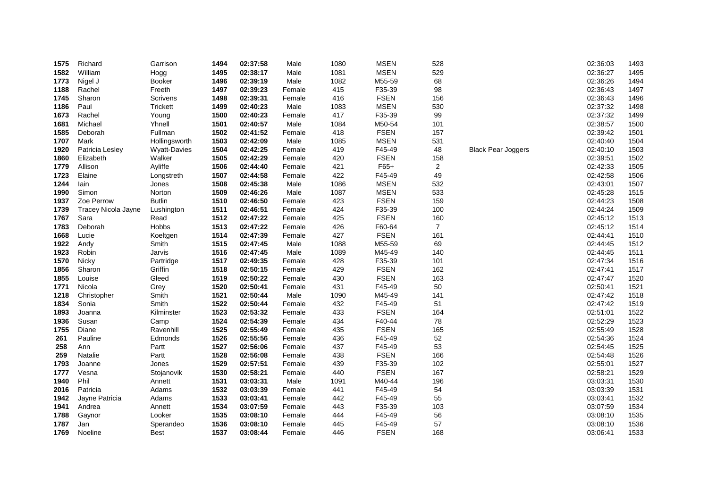| 1575 | Richard             | Garrison            | 1494 | 02:37:58 | Male   | 1080 | <b>MSEN</b> | 528            |                           | 02:36:03 | 1493 |
|------|---------------------|---------------------|------|----------|--------|------|-------------|----------------|---------------------------|----------|------|
| 1582 | William             | Hogg                | 1495 | 02:38:17 | Male   | 1081 | <b>MSEN</b> | 529            |                           | 02:36:27 | 1495 |
| 1773 | Nigel J             | <b>Booker</b>       | 1496 | 02:39:19 | Male   | 1082 | M55-59      | 68             |                           | 02:36:26 | 1494 |
| 1188 | Rachel              | Freeth              | 1497 | 02:39:23 | Female | 415  | F35-39      | 98             |                           | 02:36:43 | 1497 |
| 1745 | Sharon              | <b>Scrivens</b>     | 1498 | 02:39:31 | Female | 416  | <b>FSEN</b> | 156            |                           | 02:36:43 | 1496 |
| 1186 | Paul                | <b>Trickett</b>     | 1499 | 02:40:23 | Male   | 1083 | <b>MSEN</b> | 530            |                           | 02:37:32 | 1498 |
| 1673 | Rachel              | Young               | 1500 | 02:40:23 | Female | 417  | F35-39      | 99             |                           | 02:37:32 | 1499 |
| 1681 | Michael             | Yhnell              | 1501 | 02:40:57 | Male   | 1084 | M50-54      | 101            |                           | 02:38:57 | 1500 |
| 1585 | Deborah             | Fullman             | 1502 | 02:41:52 | Female | 418  | <b>FSEN</b> | 157            |                           | 02:39:42 | 1501 |
| 1707 | Mark                | Hollingsworth       | 1503 | 02:42:09 | Male   | 1085 | <b>MSEN</b> | 531            |                           | 02:40:40 | 1504 |
| 1920 | Patricia Lesley     | <b>Wyatt-Davies</b> | 1504 | 02:42:25 | Female | 419  | F45-49      | 48             | <b>Black Pear Joggers</b> | 02:40:10 | 1503 |
| 1860 | Elizabeth           | Walker              | 1505 | 02:42:29 | Female | 420  | <b>FSEN</b> | 158            |                           | 02:39:51 | 1502 |
| 1779 | Allison             | Ayliffe             | 1506 | 02:44:40 | Female | 421  | $F65+$      | $\overline{c}$ |                           | 02:42:33 | 1505 |
| 1723 | Elaine              | Longstreth          | 1507 | 02:44:58 | Female | 422  | F45-49      | 49             |                           | 02:42:58 | 1506 |
| 1244 | lain                | Jones               | 1508 | 02:45:38 | Male   | 1086 | <b>MSEN</b> | 532            |                           | 02:43:01 | 1507 |
| 1990 | Simon               | Norton              | 1509 | 02:46:26 | Male   | 1087 | <b>MSEN</b> | 533            |                           | 02:45:28 | 1515 |
| 1937 | Zoe Perrow          | <b>Butlin</b>       | 1510 | 02:46:50 | Female | 423  | <b>FSEN</b> | 159            |                           | 02:44:23 | 1508 |
| 1739 | Tracey Nicola Jayne | Lushington          | 1511 | 02:46:51 | Female | 424  | F35-39      | 100            |                           | 02:44:24 | 1509 |
| 1767 | Sara                | Read                | 1512 | 02:47:22 | Female | 425  | <b>FSEN</b> | 160            |                           | 02:45:12 | 1513 |
| 1783 | Deborah             | Hobbs               | 1513 | 02:47:22 | Female | 426  | F60-64      | $\overline{7}$ |                           | 02:45:12 | 1514 |
| 1668 | Lucie               | Koeltgen            | 1514 | 02:47:39 | Female | 427  | <b>FSEN</b> | 161            |                           | 02:44:41 | 1510 |
| 1922 | Andy                | Smith               | 1515 | 02:47:45 | Male   | 1088 | M55-59      | 69             |                           | 02:44:45 | 1512 |
| 1923 | Robin               | Jarvis              | 1516 | 02:47:45 | Male   | 1089 | M45-49      | 140            |                           | 02:44:45 | 1511 |
| 1570 | <b>Nicky</b>        | Partridge           | 1517 | 02:49:35 | Female | 428  | F35-39      | 101            |                           | 02:47:34 | 1516 |
| 1856 | Sharon              | Griffin             | 1518 | 02:50:15 | Female | 429  | <b>FSEN</b> | 162            |                           | 02:47:41 | 1517 |
| 1855 | Louise              | Gleed               | 1519 | 02:50:22 | Female | 430  | <b>FSEN</b> | 163            |                           | 02:47:47 | 1520 |
| 1771 | Nicola              | Grey                | 1520 | 02:50:41 | Female | 431  | F45-49      | 50             |                           | 02:50:41 | 1521 |
| 1218 | Christopher         | Smith               | 1521 | 02:50:44 | Male   | 1090 | M45-49      | 141            |                           | 02:47:42 | 1518 |
| 1834 | Sonia               | Smith               | 1522 | 02:50:44 | Female | 432  | F45-49      | 51             |                           | 02:47:42 | 1519 |
| 1893 | Joanna              | Kilminster          | 1523 | 02:53:32 | Female | 433  | <b>FSEN</b> | 164            |                           | 02:51:01 | 1522 |
| 1936 | Susan               | Camp                | 1524 | 02:54:39 | Female | 434  | F40-44      | 78             |                           | 02:52:29 | 1523 |
| 1755 | Diane               | Ravenhill           | 1525 | 02:55:49 | Female | 435  | <b>FSEN</b> | 165            |                           | 02:55:49 | 1528 |
| 261  | Pauline             | Edmonds             | 1526 | 02:55:56 | Female | 436  | F45-49      | 52             |                           | 02:54:36 | 1524 |
| 258  | Ann                 | Partt               | 1527 | 02:56:06 | Female | 437  | F45-49      | 53             |                           | 02:54:45 | 1525 |
| 259  | Natalie             | Partt               | 1528 | 02:56:08 | Female | 438  | <b>FSEN</b> | 166            |                           | 02:54:48 | 1526 |
| 1793 | Joanne              | Jones               | 1529 | 02:57:51 | Female | 439  | F35-39      | 102            |                           | 02:55:01 | 1527 |
| 1777 | Vesna               | Stojanovik          | 1530 | 02:58:21 | Female | 440  | <b>FSEN</b> | 167            |                           | 02:58:21 | 1529 |
| 1940 | Phil                | Annett              | 1531 | 03:03:31 | Male   | 1091 | M40-44      | 196            |                           | 03:03:31 | 1530 |
| 2016 | Patricia            | Adams               | 1532 | 03:03:39 | Female | 441  | F45-49      | 54             |                           | 03:03:39 | 1531 |
| 1942 | Jayne Patricia      | Adams               | 1533 | 03:03:41 | Female | 442  | F45-49      | 55             |                           | 03:03:41 | 1532 |
| 1941 | Andrea              | Annett              | 1534 | 03:07:59 | Female | 443  | F35-39      | 103            |                           | 03:07:59 | 1534 |
| 1788 | Gaynor              | Looker              | 1535 | 03:08:10 | Female | 444  | F45-49      | 56             |                           | 03:08:10 | 1535 |
| 1787 | Jan                 | Sperandeo           | 1536 | 03:08:10 | Female | 445  | F45-49      | 57             |                           | 03:08:10 | 1536 |
| 1769 | Noeline             | <b>Best</b>         | 1537 | 03:08:44 | Female | 446  | <b>FSEN</b> | 168            |                           | 03:06:41 | 1533 |